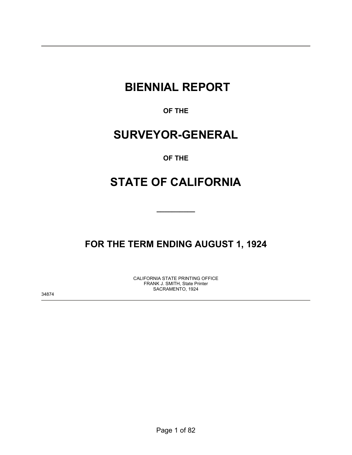# **BIENNIAL REPORT**

**OF THE** 

# **SURVEYOR-GENERAL**

## **OF THE**

# **STATE OF CALIFORNIA**

**\_\_\_\_\_\_\_\_\_\_** 

## **FOR THE TERM ENDING AUGUST 1, 1924**

CALIFORNIA STATE PRINTING OFFICE FRANK J. SMITH, State Printer SACRAMENTO, 1924

34874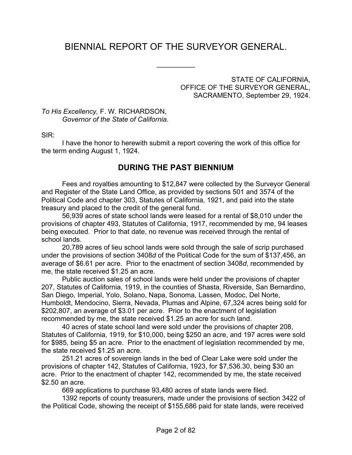## BIENNIAL REPORT OF THE SURVEYOR GENERAL.

 $\frac{1}{2}$ 

STATE OF CALIFORNIA, OFFICE OF THE SURVEYOR GENERAL, SACRAMENTO, September 29, 1924.

*To His Excellency,* F. W. RICHARDSON, *Governor of the State of California.*

SIR:

 I have the honor to herewith submit a report covering the work of this office for the term ending August 1, 1924.

## **DURING THE PAST BIENNIUM**

 Fees and royalties amounting to \$12,847 were collected by the Surveyor General and Register of the State Land Office, as provided by sections 501 and 3574 of the Political Code and chapter 303, Statutes of California, 1921, and paid into the state treasury and placed to the credit of the general fund.

 56,939 acres of state school lands were leased for a rental of \$8,010 under the provisions of chapter 493, Statutes of California, 1917, recommended by me, 94 leases being executed. Prior to that date, no revenue was received through the rental of school lands.

 20,789 acres of lieu school lands were sold through the sale of scrip purchased under the provisions of section 3408*d* of the Political Code for the sum of \$137,456, an average of \$6.61 per acre. Prior to the enactment of section 3408*d*, recommended by me, the state received \$1.25 an acre.

 Public auction sales of school lands were held under the provisions of chapter 207, Statutes of California, 1919, in the counties of Shasta, Riverside, San Bernardino, San Diego, Imperial, Yolo, Solano, Napa, Sonoma, Lassen, Modoc, Del Norte, Humboldt, Mendocino, Sierra, Nevada, Plumas and Alpine, 67,324 acres being sold for \$202,807, an average of \$3.01 per acre. Prior to the enactment of legislation recommended by me, the state received \$1.25 an acre for such land.

 40 acres of state school land were sold under the provisions of chapter 208, Statutes of California, 1919, for \$10,000, being \$250 an acre, and 197 acres were sold for \$985, being \$5 an acre. Prior to the enactment of legislation recommended by me, the state received \$1.25 an acre.

251.21 acres of sovereign lands in the bed of Clear Lake were sold under the provisions of chapter 142, Statutes of California, 1923, for \$7,536.30, being \$30 an acre. Prior to the enactment of chapter 142, recommended by me, the state received \$2.50 an acre.

669 applications to purchase 93,480 acres of state lands were filed.

 1392 reports of county treasurers, made under the provisions of section 3422 of the Political Code, showing the receipt of \$155,686 paid for state lands, were received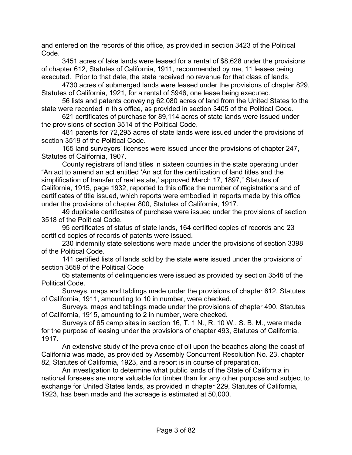and entered on the records of this office, as provided in section 3423 of the Political Code.

 3451 acres of lake lands were leased for a rental of \$8,628 under the provisions of chapter 612, Statutes of California, 1911, recommended by me, 11 leases being executed. Prior to that date, the state received no revenue for that class of lands.

 4730 acres of submerged lands were leased under the provisions of chapter 829, Statutes of California, 1921, for a rental of \$946, one lease being executed.

 56 lists and patents conveying 62,080 acres of land from the United States to the state were recorded in this office, as provided in section 3405 of the Political Code.

 621 certificates of purchase for 89,114 acres of state lands were issued under the provisions of section 3514 of the Political Code.

 481 patents for 72,295 acres of state lands were issued under the provisions of section 3519 of the Political Code.

 165 land surveyors' licenses were issued under the provisions of chapter 247, Statutes of California, 1907.

 County registrars of land titles in sixteen counties in the state operating under "An act to amend an act entitled 'An act for the certification of land titles and the simplification of transfer of real estate,' approved March 17, 1897," Statutes of California, 1915, page 1932, reported to this office the number of registrations and of certificates of title issued, which reports were embodied in reports made by this office under the provisions of chapter 800, Statutes of California, 1917.

 49 duplicate certificates of purchase were issued under the provisions of section 3518 of the Political Code.

 95 certificates of status of state lands, 164 certified copies of records and 23 certified copies of records of patents were issued.

 230 indemnity state selections were made under the provisions of section 3398 of the Political Code.

 141 certified lists of lands sold by the state were issued under the provisions of section 3659 of the Political Code

 65 statements of delinquencies were issued as provided by section 3546 of the Political Code.

 Surveys, maps and tablings made under the provisions of chapter 612, Statutes of California, 1911, amounting to 10 in number, were checked.

 Surveys, maps and tablings made under the provisions of chapter 490, Statutes of California, 1915, amounting to 2 in number, were checked.

Surveys of 65 camp sites in section 16, T. 1 N., R. 10 W., S. B. M., were made for the purpose of leasing under the provisions of chapter 493, Statutes of California, 1917.

 An extensive study of the prevalence of oil upon the beaches along the coast of California was made, as provided by Assembly Concurrent Resolution No. 23, chapter 82, Statutes of California, 1923, and a report is in course of preparation.

An investigation to determine what public lands of the State of California in national foresees are more valuable for timber than for any other purpose and subject to exchange for United States lands, as provided in chapter 229, Statutes of California, 1923, has been made and the acreage is estimated at 50,000.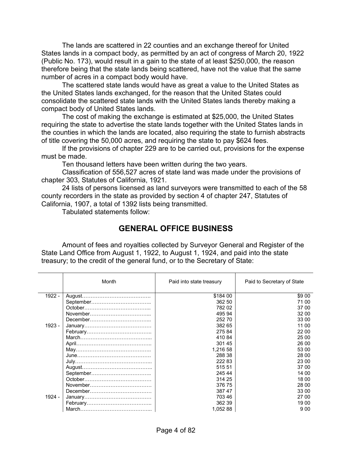The lands are scattered in 22 counties and an exchange thereof for United States lands in a compact body, as permitted by an act of congress of March 20, 1922 (Public No. 173), would result in a gain to the state of at least \$250,000, the reason therefore being that the state lands being scattered, have not the value that the same number of acres in a compact body would have.

 The scattered state lands would have as great a value to the United States as the United States lands exchanged, for the reason that the United States could consolidate the scattered state lands with the United States lands thereby making a compact body of United States lands.

 The cost of making the exchange is estimated at \$25,000, the United States requiring the state to advertise the state lands together with the United States lands in the counties in which the lands are located, also requiring the state to furnish abstracts of title covering the 50,000 acres, and requiring the state to pay \$624 fees.

 If the provisions of chapter 229 are to be carried out, provisions for the expense must be made.

Ten thousand letters have been written during the two years.

 Classification of 556,527 acres of state land was made under the provisions of chapter 303, Statutes of California, 1921.

 24 lists of persons licensed as land surveyors were transmitted to each of the 58 county recorders in the state as provided by section 4 of chapter 247, Statutes of California, 1907, a total of 1392 lists being transmitted.

Tabulated statements follow:

## **GENERAL OFFICE BUSINESS**

 Amount of fees and royalties collected by Surveyor General and Register of the State Land Office from August 1, 1922, to August 1, 1924, and paid into the state treasury; to the credit of the general fund, or to the Secretary of State:

|          | Month   | Paid into state treasury | Paid to Secretary of State |
|----------|---------|--------------------------|----------------------------|
| $1922 -$ | August. | \$184 00                 | \$9 00                     |
|          |         | 362 50                   | 71 00                      |
|          | October | 782 02                   | 37 00                      |
|          |         | 495 94                   | 32 00                      |
|          |         | 252 70                   | 33 00                      |
| $1923 -$ |         | 382 65                   | 11 00                      |
|          |         | 27584                    | 22 00                      |
|          |         | 410 84                   | 25 00                      |
|          |         | 301 45                   | 26 00                      |
|          |         | 1,216 58                 | 53 00                      |
|          |         | 288 38                   | 28 00                      |
|          |         | 222 83                   | 23 00                      |
|          |         | 515 51                   | 37 00                      |
|          |         | 245 44                   | 14 00                      |
|          |         | 314 25                   | 18 00                      |
|          |         | 376 75                   | 28 00                      |
|          |         | 387 47                   | 33 00                      |
| 1924 -   |         | 703 46                   | 27 00                      |
|          |         | 362 39                   | 19 00                      |
|          |         | 1,052 88                 | 900                        |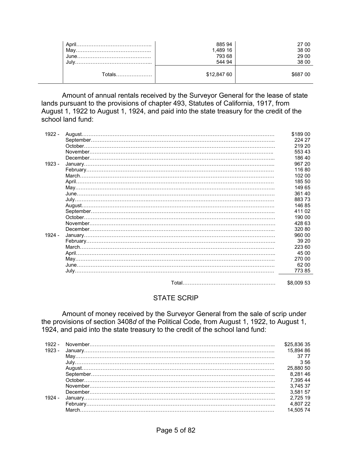| April<br>Mav<br>June<br>Jul | 88594<br>1,489 16<br>793 68<br>544 94 | 27 00<br>38 00<br>29 00<br>38 00 |
|-----------------------------|---------------------------------------|----------------------------------|
| ⊺otals<br>.                 | \$12,847 60                           | \$687 00                         |

 Amount of annual rentals received by the Surveyor General for the lease of state lands pursuant to the provisions of chapter 493, Statutes of California, 1917, from August 1, 1922 to August 1, 1924, and paid into the state treasury for the credit of the school land fund:

| 1922 - |          | \$189 00   |
|--------|----------|------------|
|        |          | 224 27     |
|        | October. | 219 20     |
|        |          | 553 43     |
|        |          | 186 40     |
| 1923 - |          | 967 20     |
|        |          | 11680      |
|        |          | 102 00     |
|        |          | 185 50     |
|        |          | 149 65     |
|        |          | 36140      |
|        |          | 88373      |
|        |          | 14685      |
|        |          | 41102      |
|        | October. | 190 00     |
|        |          | 428 63     |
|        |          | 320 80     |
| 1924 - |          | 960 00     |
|        |          | 39 20      |
|        |          | 223 60     |
|        |          | 45 00      |
|        |          | 270 00     |
|        |          | 62 00      |
|        |          | 77385      |
|        |          |            |
|        |          | \$8,009 53 |

#### STATE SCRIP

 Amount of money received by the Surveyor General from the sale of scrip under the provisions of section 3408*d* of the Political Code, from August 1, 1922, to August 1, 1924, and paid into the state treasury to the credit of the school land fund:

| 1922 - | \$25.836 35 |
|--------|-------------|
| 1923 - | 15.894 86   |
|        | 37.77       |
|        | 356         |
|        | 25.880 50   |
|        | 8.28146     |
|        | 7 395 44    |
|        | 3.745 37    |
|        | 3.581 57    |
| 1924 - | 2.725 19    |
|        |             |
|        |             |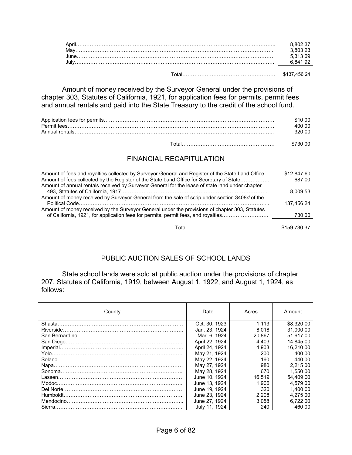Total……………………………………………… \$137,456 24

 Amount of money received by the Surveyor General under the provisions of chapter 303, Statutes of California, 1921, for application fees for permits, permit fees and annual rentals and paid into the State Treasury to the credit of the school fund.

| Permit fees.    | 400 00 |
|-----------------|--------|
| Annual rentals. | 320 OC |
|                 |        |

|  | \$730 00 |
|--|----------|
|--|----------|

#### FINANCIAL RECAPITULATION

| Amount of fees and royalties collected by Surveyor General and Register of the State Land Office<br>Amount of fees collected by the Register of the State Land Office for Secretary of State<br>Amount of annual rentals received by Surveyor General for the lease of state land under chapter | \$12,847 60<br>687 00 |
|-------------------------------------------------------------------------------------------------------------------------------------------------------------------------------------------------------------------------------------------------------------------------------------------------|-----------------------|
|                                                                                                                                                                                                                                                                                                 | 8.009 53              |
| Amount of money received by Surveyor General from the sale of scrip under section 3408d of the                                                                                                                                                                                                  |                       |
|                                                                                                                                                                                                                                                                                                 | 137.456 24            |
| Amount of money received by the Surveyor General under the provisions of chapter 303, Statutes                                                                                                                                                                                                  |                       |
| of California, 1921, for application fees for permits, permit fees, and royalties                                                                                                                                                                                                               | 730 00                |
|                                                                                                                                                                                                                                                                                                 |                       |
| Total………………………………………………                                                                                                                                                                                                                                                                         | \$159,730 37          |

#### PUBLIC AUCTION SALES OF SCHOOL LANDS

 State school lands were sold at public auction under the provisions of chapter 207, Statutes of California, 1919, between August 1, 1922, and August 1, 1924, as follows:

| County | Date           | Acres  | Amount     |
|--------|----------------|--------|------------|
|        | Oct. 30, 1923  | 1.113  | \$8,320 00 |
|        | Jan. 23, 1924  | 8.018  | 31,000 00  |
|        | Mar. 6, 1924   | 20.867 | 51.617 00  |
|        | April 22, 1924 | 4.403  | 14.845 00  |
|        | April 24, 1924 | 4.903  | 16.210 00  |
|        | May 21, 1924   | 200    | 400 00     |
|        | May 22, 1924   | 160    | 440.00     |
|        | May 27, 1924   | 980    | 2.215 00   |
|        | May 28, 1924   | 670    | 1.550 00   |
|        | June 10, 1924  | 16.519 | 54.409 00  |
|        | June 13, 1924  | 1.906  | 4.579 00   |
|        | June 19, 1924  | 320    | 1.400 00   |
|        | June 23, 1924  | 2.208  | 4.275 00   |
|        | June 27, 1924  | 3.058  | 6.722 00   |
|        | July 11, 1924  | 240    | 460 00     |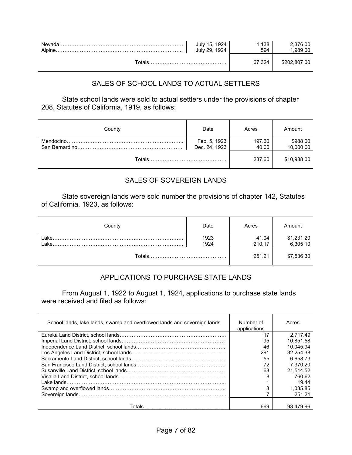| Nevad: | 1924<br>15.<br>1924<br>July 29. | 138<br>594 | 2.376 00<br>.989 00 |
|--------|---------------------------------|------------|---------------------|
|        |                                 |            | \$202.807 00        |

## SALES OF SCHOOL LANDS TO ACTUAL SETTLERS

 State school lands were sold to actual settlers under the provisions of chapter 208, Statutes of California, 1919, as follows:

| County | Date                          | Acres           | Amount                |
|--------|-------------------------------|-----------------|-----------------------|
|        | Feb. 5, 1923<br>Dec. 24, 1923 | 197.60<br>40.00 | \$988 00<br>10,000 00 |
|        |                               | 237.60          | \$10,988 00           |

#### SALES OF SOVEREIGN LANDS

 State sovereign lands were sold number the provisions of chapter 142, Statutes of California, 1923, as follows:

| County  | Date         | Acres           | Amount                 |
|---------|--------------|-----------------|------------------------|
| l ake.  | 1923<br>1924 | 41.04<br>210.17 | \$1,231 20<br>6,305 10 |
| Totals. |              | 251.21          | \$7,536 30             |

## APPLICATIONS TO PURCHASE STATE LANDS

From August 1, 1922 to August 1, 1924, applications to purchase state lands were received and filed as follows:

| School lands, lake lands, swamp and overflowed lands and sovereign lands | Number of<br>applications | Acres     |
|--------------------------------------------------------------------------|---------------------------|-----------|
|                                                                          | 17                        | 2.717.49  |
|                                                                          | 95                        | 10.851.58 |
|                                                                          | 46                        | 10.045.94 |
|                                                                          | 291                       | 32.254.38 |
|                                                                          | 55                        | 6.658.73  |
|                                                                          | 72                        | 7.370.20  |
|                                                                          | 68                        | 21.514.52 |
|                                                                          | 8                         | 760.62    |
|                                                                          |                           | 19.44     |
|                                                                          | 8                         | 1.035.85  |
|                                                                          |                           | 251.21    |
|                                                                          | 669                       | 93.479.96 |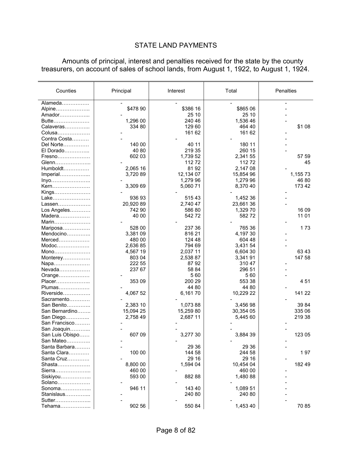## STATE LAND PAYMENTS

 Amounts of principal, interest and penalties received for the state by the county treasurers, on account of sales of school lands, from August 1, 1922, to August 1, 1924.

| Counties        | Principal | Interest  | Total     | Penalties |
|-----------------|-----------|-----------|-----------|-----------|
|                 |           |           |           |           |
| Alameda         |           |           |           |           |
| Alpine          | \$478 90  | \$386 16  | \$865 06  |           |
| Amador          |           | 25 10     | 25 10     |           |
| Butte           | 1,296 00  | 240 46    | 1,536 46  |           |
| Calaveras       | 334 80    | 129 60    | 464 40    | \$1 08    |
| Colusa          |           | 161 62    | 161 62    |           |
| Contra Costa    |           |           |           |           |
| Del Norte       | 140 00    | 40 11     | 180 11    |           |
| El Dorado       | 40 80     | 219 35    | 260 15    |           |
| Fresno          | 602 03    | 1,739 52  | 2,341 55  | 57 59     |
| Glenn           |           | 11272     | 11272     | 45        |
| Humboldt        | 2,065 16  | 8192      | 2,147 08  |           |
| Imperial        | 3,720 89  | 12,134 07 | 15,854 96 | 1,155 73  |
| Inyo            |           | 1,279 96  | 1,279 96  | 46 80     |
| Kern            | 3,309 69  | 5,060 71  | 8,370 40  | 173 42    |
| Kings           |           |           |           |           |
| Lake            | 936 93    | 51543     | 1,452 36  |           |
| Lassen          | 20,920 89 | 2,740 47  | 23,661 36 |           |
| Los Angeles     | 742 90    | 586 80    | 1,329 70  | 16 09     |
| Madera          | 40 00     | 542 72    | 58272     | 11 01     |
| Marin           |           |           |           |           |
| Mariposa        | 528 00    | 237 36    | 765 36    | 173       |
| Mendocino       | 3,381 09  | 816 21    | 4,197 30  |           |
| Merced          | 480 00    | 124 48    | 604 48    |           |
| Modoc           | 2,636 85  | 794 69    | 3,431 54  |           |
| Mono            | 4,567 19  | 2,037 11  | 6,604 30  | 63 43     |
| Monterey        | 803 04    | 2,538 87  | 3,341 91  | 147 58    |
| Napa            | 222 55    | 8792      | 310 47    |           |
| Nevada          | 237 67    | 58 84     | 296 51    |           |
| Orange          |           | 560       | 560       |           |
| Placer          | 353 09    | 200 29    | 553 38    | 451       |
| Plumas          |           | 44 80     | 44 80     |           |
| Riverside       | 4,067 52  | 6,16170   | 10,229 22 | 141 22    |
| Sacramento      |           |           |           |           |
| San Benito      | 2,383 10  | 1,073 88  | 3,456 98  | 39 84     |
| San Bernardino  | 15,094 25 | 15,259 80 | 30,354 05 | 335 06    |
| San Diego       | 2,758 49  | 2,687 11  | 5,445 60  | 219 38    |
| San Francisco   |           |           |           |           |
| San Joaquin     |           |           |           |           |
| San Luis Obispo | 607 09    | 3,277 30  | 3,884 39  | 123 05    |
| San Mateo       |           |           |           |           |
| Santa Barbara   |           | 29 36     | 29 36     |           |
| Santa Clara     | 100 00    | 144 58    | 244 58    | 197       |
| Santa Cruz      |           | 29 16     | 29 16     |           |
| Shasta          | 8,800 00  | 1,594 04  | 10,454 04 | 182 49    |
| Sierra          | 460 00    |           | 460 00    |           |
| Siskiyou        | 593 00    | 88288     | 1,480 88  |           |
| Solano          |           |           |           |           |
| Sonoma          | 946 11    | 143 40    | 1,089 51  |           |
| Stanislaus      |           | 240 80    | 240 80    |           |
| Sutter          |           |           |           |           |
| Tehama          | 902 56    | 550 84    | 1,453 40  | 70 85     |
|                 |           |           |           |           |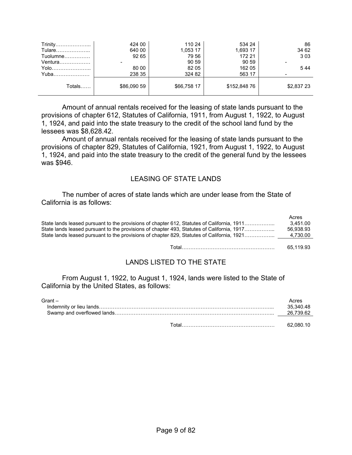| Trinity    | 424 00      | 110 24      | 534 24       | 86         |
|------------|-------------|-------------|--------------|------------|
| Tulare     | 640 00      | 1,053 17    | 1,693 17     | 34 62      |
| $Tuolumne$ | 92 65       | 79 56       | 172 21       | 303        |
| Ventura    |             | 90 59       | 90 59        |            |
| Yolo       | 80 00       | 82 05       | 162 05       | 544        |
| Yuba       | 238 35      | 324 82      | 563 17       |            |
| Totals     | \$86,090 59 | \$66,758 17 | \$152,848 76 | \$2,837 23 |

 Amount of annual rentals received for the leasing of state lands pursuant to the provisions of chapter 612, Statutes of California, 1911, from August 1, 1922, to August 1, 1924, and paid into the state treasury to the credit of the school land fund by the lessees was \$8,628.42.

 Amount of annual rentals received for the leasing of state lands pursuant to the provisions of chapter 829, Statutes of California, 1921, from August 1, 1922, to August 1, 1924, and paid into the state treasury to the credit of the general fund by the lessees was \$946.

#### LEASING OF STATE LANDS

 The number of acres of state lands which are under lease from the State of California is as follows:

|                                                                                            | Acres     |  |
|--------------------------------------------------------------------------------------------|-----------|--|
| State lands leased pursuant to the provisions of chapter 612, Statutes of California, 1911 | 3.451.00  |  |
| State lands leased pursuant to the provisions of chapter 493, Statutes of California, 1917 | 56.938.93 |  |
| State lands leased pursuant to the provisions of chapter 829, Statutes of California, 1921 | 4.730.00  |  |
|                                                                                            |           |  |
|                                                                                            | 65.119.93 |  |

## LANDS LISTED TO THE STATE

 From August 1, 1922, to August 1, 1924, lands were listed to the State of California by the United States, as follows:

| $G$ rant $-$ | Acres<br>35.340.48<br>26.739.62 |
|--------------|---------------------------------|
|              | 62.080.10                       |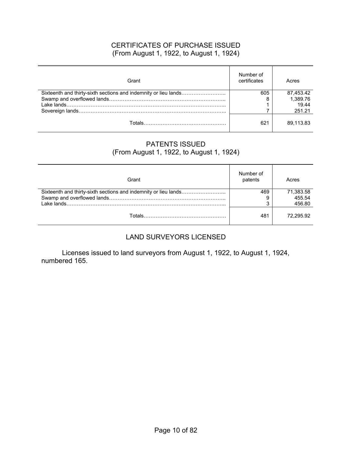#### CERTIFICATES OF PURCHASE ISSUED (From August 1, 1922, to August 1, 1924)

| Grant | Number of<br>certificates | Acres     |
|-------|---------------------------|-----------|
|       | 605                       | 87.453.42 |
|       |                           | 1,389.76  |
|       |                           | 19.44     |
|       |                           | 251.21    |
|       | 621                       | 89.113.83 |

#### PATENTS ISSUED (From August 1, 1922, to August 1, 1924)

| Grant | Number of<br>patents | Acres               |
|-------|----------------------|---------------------|
|       | 469                  | 71,383.58<br>455.54 |
|       | ິ                    | 456.80              |
|       | 481                  | 72.295.92           |

## LAND SURVEYORS LICENSED

 Licenses issued to land surveyors from August 1, 1922, to August 1, 1924, numbered 165.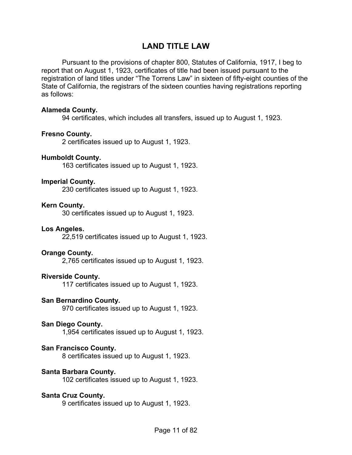## **LAND TITLE LAW**

 Pursuant to the provisions of chapter 800, Statutes of California, 1917, I beg to report that on August 1, 1923, certificates of title had been issued pursuant to the registration of land titles under "The Torrens Law" in sixteen of fifty-eight counties of the State of California, the registrars of the sixteen counties having registrations reporting as follows:

#### **Alameda County.**

94 certificates, which includes all transfers, issued up to August 1, 1923.

#### **Fresno County.**

2 certificates issued up to August 1, 1923.

#### **Humboldt County.**

163 certificates issued up to August 1, 1923.

#### **Imperial County.**

230 certificates issued up to August 1, 1923.

#### **Kern County.**

30 certificates issued up to August 1, 1923.

#### **Los Angeles.**

22,519 certificates issued up to August 1, 1923.

#### **Orange County.**

2,765 certificates issued up to August 1, 1923.

#### **Riverside County.**

117 certificates issued up to August 1, 1923.

#### **San Bernardino County.**

970 certificates issued up to August 1, 1923.

#### **San Diego County.**

1,954 certificates issued up to August 1, 1923.

#### **San Francisco County.**

8 certificates issued up to August 1, 1923.

#### **Santa Barbara County.**

102 certificates issued up to August 1, 1923.

#### **Santa Cruz County.**

9 certificates issued up to August 1, 1923.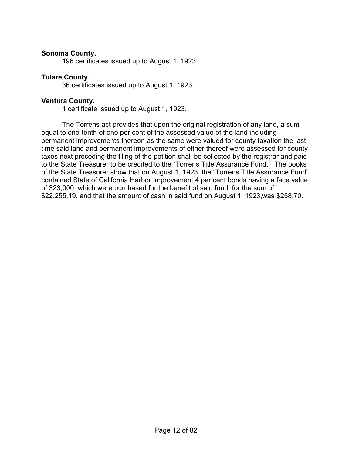#### **Sonoma County.**

196 certificates issued up to August 1, 1923.

#### **Tulare County.**

36 certificates issued up to August 1, 1923.

#### **Ventura County.**

1 certificate issued up to August 1, 1923.

 The Torrens act provides that upon the original registration of any land, a sum equal to one-tenth of one per cent of the assessed value of the land including permanent improvements thereon as the same were valued for county taxation the last time said land and permanent improvements of either thereof were assessed for county taxes next preceding the filing of the petition shall be collected by the registrar and paid to the State Treasurer to be credited to the "Torrens Title Assurance Fund." The books of the State Treasurer show that on August 1, 1923, the "Torrens Title Assurance Fund" contained State of California Harbor Improvement 4 per cent bonds having a face value of \$23,000, which were purchased for the benefit of said fund, for the sum of \$22,255.19, and that the amount of cash in said fund on August 1, 1923,was \$258.70.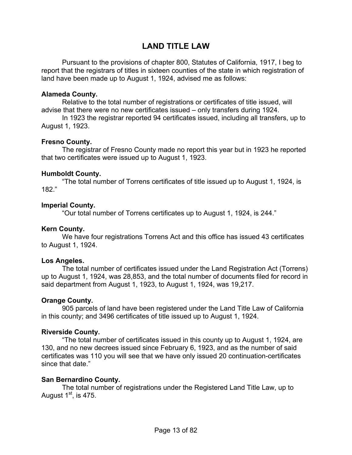## **LAND TITLE LAW**

 Pursuant to the provisions of chapter 800, Statutes of California, 1917, I beg to report that the registrars of titles in sixteen counties of the state in which registration of land have been made up to August 1, 1924, advised me as follows:

#### **Alameda County.**

Relative to the total number of registrations or certificates of title issued, will advise that there were no new certificates issued – only transfers during 1924.

 In 1923 the registrar reported 94 certificates issued, including all transfers, up to August 1, 1923.

#### **Fresno County.**

 The registrar of Fresno County made no report this year but in 1923 he reported that two certificates were issued up to August 1, 1923.

#### **Humboldt County.**

 "The total number of Torrens certificates of title issued up to August 1, 1924, is 182."

#### **Imperial County.**

"Our total number of Torrens certificates up to August 1, 1924, is 244."

#### **Kern County.**

 We have four registrations Torrens Act and this office has issued 43 certificates to August 1, 1924.

#### **Los Angeles.**

 The total number of certificates issued under the Land Registration Act (Torrens) up to August 1, 1924, was 28,853, and the total number of documents filed for record in said department from August 1, 1923, to August 1, 1924, was 19,217.

#### **Orange County.**

 905 parcels of land have been registered under the Land Title Law of California in this county; and 3496 certificates of title issued up to August 1, 1924.

#### **Riverside County.**

 "The total number of certificates issued in this county up to August 1, 1924, are 130, and no new decrees issued since February 6, 1923, and as the number of said certificates was 110 you will see that we have only issued 20 continuation-certificates since that date."

#### **San Bernardino County.**

 The total number of registrations under the Registered Land Title Law, up to August  $1<sup>st</sup>$ , is 475.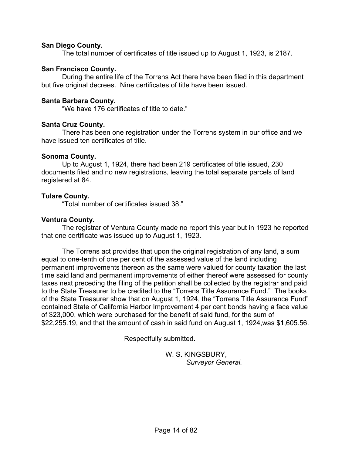#### **San Diego County.**

The total number of certificates of title issued up to August 1, 1923, is 2187.

#### **San Francisco County.**

 During the entire life of the Torrens Act there have been filed in this department but five original decrees. Nine certificates of title have been issued.

#### **Santa Barbara County.**

"We have 176 certificates of title to date."

#### **Santa Cruz County.**

 There has been one registration under the Torrens system in our office and we have issued ten certificates of title.

#### **Sonoma County.**

 Up to August 1, 1924, there had been 219 certificates of title issued, 230 documents filed and no new registrations, leaving the total separate parcels of land registered at 84.

#### **Tulare County.**

"Total number of certificates issued 38."

#### **Ventura County.**

 The registrar of Ventura County made no report this year but in 1923 he reported that one certificate was issued up to August 1, 1923.

 The Torrens act provides that upon the original registration of any land, a sum equal to one-tenth of one per cent of the assessed value of the land including permanent improvements thereon as the same were valued for county taxation the last time said land and permanent improvements of either thereof were assessed for county taxes next preceding the filing of the petition shall be collected by the registrar and paid to the State Treasurer to be credited to the "Torrens Title Assurance Fund." The books of the State Treasurer show that on August 1, 1924, the "Torrens Title Assurance Fund" contained State of California Harbor Improvement 4 per cent bonds having a face value of \$23,000, which were purchased for the benefit of said fund, for the sum of \$22,255.19, and that the amount of cash in said fund on August 1, 1924,was \$1,605.56.

Respectfully submitted.

 W. S. KINGSBURY, *Surveyor General.*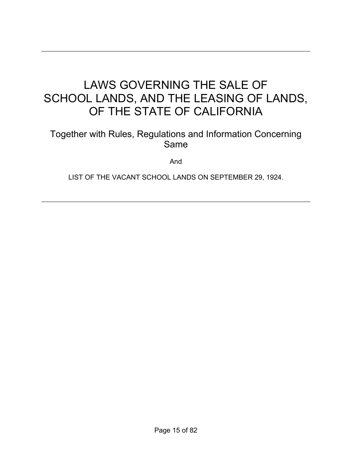# LAWS GOVERNING THE SALE OF SCHOOL LANDS, AND THE LEASING OF LANDS, OF THE STATE OF CALIFORNIA

## Together with Rules, Regulations and Information Concerning Same

And

LIST OF THE VACANT SCHOOL LANDS ON SEPTEMBER 29, 1924.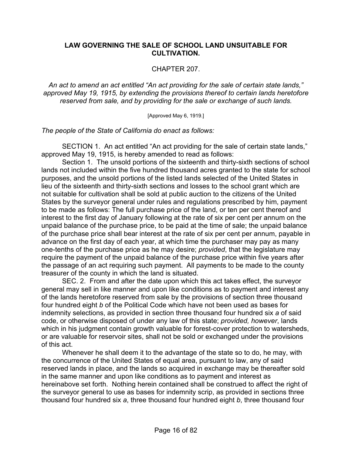#### **LAW GOVERNING THE SALE OF SCHOOL LAND UNSUITABLE FOR CULTIVATION.**

#### CHAPTER 207.

*An act to amend an act entitled "An act providing for the sale of certain state lands," approved May 19, 1915, by extending the provisions thereof to certain lands heretofore reserved from sale, and by providing for the sale or exchange of such lands.* 

[Approved May 6, 1919.]

*The people of the State of California do enact as follows:*

 SECTION 1. An act entitled "An act providing for the sale of certain state lands," approved May 19, 1915, is hereby amended to read as follows:

 Section 1. The unsold portions of the sixteenth and thirty-sixth sections of school lands not included within the five hundred thousand acres granted to the state for school purposes, and the unsold portions of the listed lands selected of the United States in lieu of the sixteenth and thirty-sixth sections and losses to the school grant which are not suitable for cultivation shall be sold at public auction to the citizens of the United States by the surveyor general under rules and regulations prescribed by him, payment to be made as follows: The full purchase price of the land, or ten per cent thereof and interest to the first day of January following at the rate of six per cent per annum on the unpaid balance of the purchase price, to be paid at the time of sale; the unpaid balance of the purchase price shall bear interest at the rate of six per cent per annum, payable in advance on the first day of each year, at which time the purchaser may pay as many one-tenths of the purchase price as he may desire; *provided*, that the legislature may require the payment of the unpaid balance of the purchase price within five years after the passage of an act requiring such payment. All payments to be made to the county treasurer of the county in which the land is situated.

 SEC. 2. From and after the date upon which this act takes effect, the surveyor general may sell in like manner and upon like conditions as to payment and interest any of the lands heretofore reserved from sale by the provisions of section three thousand four hundred eight *b* of the Political Code which have not been used as bases for indemnity selections, as provided in section three thousand four hundred six *a* of said code, or otherwise disposed of under any law of this state; *provided, however*, lands which in his judgment contain growth valuable for forest-cover protection to watersheds, or are valuable for reservoir sites, shall not be sold or exchanged under the provisions of this act.

 Whenever he shall deem it to the advantage of the state so to do, he may, with the concurrence of the United States of equal area, pursuant to law, any of said reserved lands in place, and the lands so acquired in exchange may be thereafter sold in the same manner and upon like conditions as to payment and interest as hereinabove set forth. Nothing herein contained shall be construed to affect the right of the surveyor general to use as bases for indemnity scrip, as provided in sections three thousand four hundred six *a*, three thousand four hundred eight *b*, three thousand four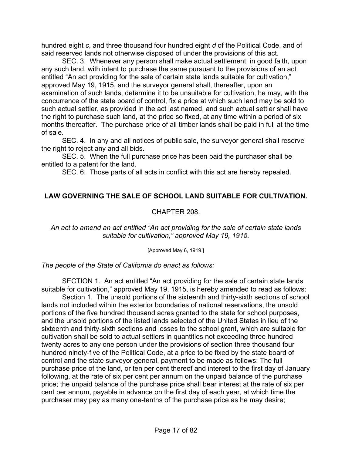hundred eight *c*, and three thousand four hundred eight *d* of the Political Code, and of said reserved lands not otherwise disposed of under the provisions of this act.

 SEC. 3. Whenever any person shall make actual settlement, in good faith, upon any such land, with intent to purchase the same pursuant to the provisions of an act entitled "An act providing for the sale of certain state lands suitable for cultivation," approved May 19, 1915, and the surveyor general shall, thereafter, upon an examination of such lands, determine it to be unsuitable for cultivation, he may, with the concurrence of the state board of control, fix a price at which such land may be sold to such actual settler, as provided in the act last named, and such actual settler shall have the right to purchase such land, at the price so fixed, at any time within a period of six months thereafter. The purchase price of all timber lands shall be paid in full at the time of sale.

 SEC. 4. In any and all notices of public sale, the surveyor general shall reserve the right to reject any and all bids.

 SEC. 5. When the full purchase price has been paid the purchaser shall be entitled to a patent for the land.

SEC. 6. Those parts of all acts in conflict with this act are hereby repealed.

## **LAW GOVERNING THE SALE OF SCHOOL LAND SUITABLE FOR CULTIVATION.**

#### CHAPTER 208.

#### *An act to amend an act entitled "An act providing for the sale of certain state lands suitable for cultivation," approved May 19, 1915.*

[Approved May 6, 1919.]

*The people of the State of California do enact as follows:*

 SECTION 1. An act entitled "An act providing for the sale of certain state lands suitable for cultivation," approved May 19, 1915, is hereby amended to read as follows:

 Section 1. The unsold portions of the sixteenth and thirty-sixth sections of school lands not included within the exterior boundaries of national reservations, the unsold portions of the five hundred thousand acres granted to the state for school purposes, and the unsold portions of the listed lands selected of the United States in lieu of the sixteenth and thirty-sixth sections and losses to the school grant, which are suitable for cultivation shall be sold to actual settlers in quantities not exceeding three hundred twenty acres to any one person under the provisions of section three thousand four hundred ninety-five of the Political Code, at a price to be fixed by the state board of control and the state surveyor general, payment to be made as follows: The full purchase price of the land, or ten per cent thereof and interest to the first day of January following, at the rate of six per cent per annum on the unpaid balance of the purchase price; the unpaid balance of the purchase price shall bear interest at the rate of six per cent per annum, payable in advance on the first day of each year, at which time the purchaser may pay as many one-tenths of the purchase price as he may desire;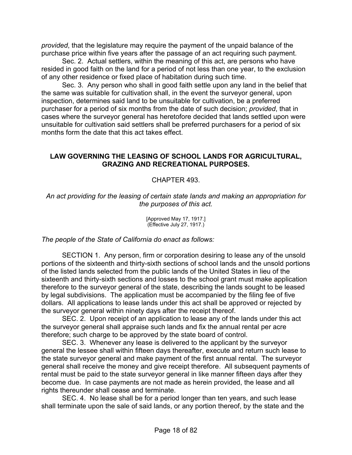*provided*, that the legislature may require the payment of the unpaid balance of the purchase price within five years after the passage of an act requiring such payment.

 Sec. 2. Actual settlers, within the meaning of this act, are persons who have resided in good faith on the land for a period of not less than one year, to the exclusion of any other residence or fixed place of habitation during such time.

 Sec. 3. Any person who shall in good faith settle upon any land in the belief that the same was suitable for cultivation shall, in the event the surveyor general, upon inspection, determines said land to be unsuitable for cultivation, be a preferred purchaser for a period of six months from the date of such decision; *provided*, that in cases where the surveyor general has heretofore decided that lands settled upon were unsuitable for cultivation said settlers shall be preferred purchasers for a period of six months form the date that this act takes effect.

#### **LAW GOVERNING THE LEASING OF SCHOOL LANDS FOR AGRICULTURAL, GRAZING AND RECREATIONAL PURPOSES.**

#### CHAPTER 493.

*An act providing for the leasing of certain state lands and making an appropriation for the purposes of this act.* 

> [Approved May 17, 1917.] (Effective July 27, 1917.)

*The people of the State of California do enact as follows:*

 SECTION 1. Any person, firm or corporation desiring to lease any of the unsold portions of the sixteenth and thirty-sixth sections of school lands and the unsold portions of the listed lands selected from the public lands of the United States in lieu of the sixteenth and thirty-sixth sections and losses to the school grant must make application therefore to the surveyor general of the state, describing the lands sought to be leased by legal subdivisions. The application must be accompanied by the filing fee of five dollars. All applications to lease lands under this act shall be approved or rejected by the surveyor general within ninety days after the receipt thereof.

 SEC. 2. Upon receipt of an application to lease any of the lands under this act the surveyor general shall appraise such lands and fix the annual rental per acre therefore; such charge to be approved by the state board of control.

 SEC. 3. Whenever any lease is delivered to the applicant by the surveyor general the lessee shall within fifteen days thereafter, execute and return such lease to the state surveyor general and make payment of the first annual rental. The surveyor general shall receive the money and give receipt therefore. All subsequent payments of rental must be paid to the state surveyor general in like manner fifteen days after they become due. In case payments are not made as herein provided, the lease and all rights thereunder shall cease and terminate.

 SEC. 4. No lease shall be for a period longer than ten years, and such lease shall terminate upon the sale of said lands, or any portion thereof, by the state and the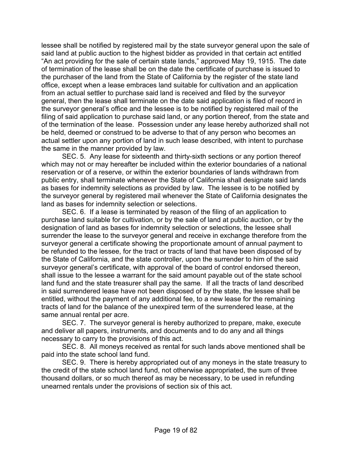lessee shall be notified by registered mail by the state surveyor general upon the sale of said land at public auction to the highest bidder as provided in that certain act entitled "An act providing for the sale of certain state lands," approved May 19, 1915. The date of termination of the lease shall be on the date the certificate of purchase is issued to the purchaser of the land from the State of California by the register of the state land office, except when a lease embraces land suitable for cultivation and an application from an actual settler to purchase said land is received and filed by the surveyor general, then the lease shall terminate on the date said application is filed of record in the surveyor general's office and the lessee is to be notified by registered mail of the filing of said application to purchase said land, or any portion thereof, from the state and of the termination of the lease. Possession under any lease hereby authorized shall not be held, deemed or construed to be adverse to that of any person who becomes an actual settler upon any portion of land in such lease described, with intent to purchase the same in the manner provided by law.

 SEC. 5. Any lease for sixteenth and thirty-sixth sections or any portion thereof which may not or may hereafter be included within the exterior boundaries of a national reservation or of a reserve, or within the exterior boundaries of lands withdrawn from public entry, shall terminate whenever the State of California shall designate said lands as bases for indemnity selections as provided by law. The lessee is to be notified by the surveyor general by registered mail whenever the State of California designates the land as bases for indemnity selection or selections.

 SEC. 6. If a lease is terminated by reason of the filing of an application to purchase land suitable for cultivation, or by the sale of land at public auction, or by the designation of land as bases for indemnity selection or selections, the lessee shall surrender the lease to the surveyor general and receive in exchange therefore from the surveyor general a certificate showing the proportionate amount of annual payment to be refunded to the lessee, for the tract or tracts of land that have been disposed of by the State of California, and the state controller, upon the surrender to him of the said surveyor general's certificate, with approval of the board of control endorsed thereon, shall issue to the lessee a warrant for the said amount payable out of the state school land fund and the state treasurer shall pay the same. If all the tracts of land described in said surrendered lease have not been disposed of by the state, the lessee shall be entitled, without the payment of any additional fee, to a new lease for the remaining tracts of land for the balance of the unexpired term of the surrendered lease, at the same annual rental per acre.

 SEC. 7. The surveyor general is hereby authorized to prepare, make, execute and deliver all papers, instruments, and documents and to do any and all things necessary to carry to the provisions of this act.

 SEC. 8. All moneys received as rental for such lands above mentioned shall be paid into the state school land fund.

 SEC. 9. There is hereby appropriated out of any moneys in the state treasury to the credit of the state school land fund, not otherwise appropriated, the sum of three thousand dollars, or so much thereof as may be necessary, to be used in refunding unearned rentals under the provisions of section six of this act.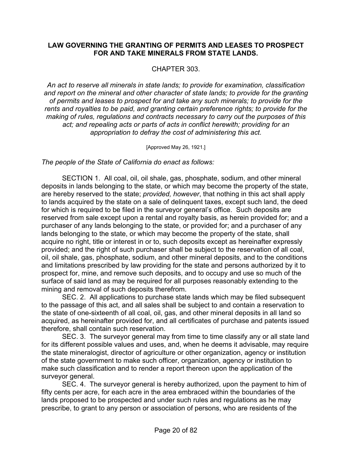#### **LAW GOVERNING THE GRANTING OF PERMITS AND LEASES TO PROSPECT FOR AND TAKE MINERALS FROM STATE LANDS.**

#### CHAPTER 303.

*An act to reserve all minerals in state lands; to provide for examination, classification and report on the mineral and other character of state lands; to provide for the granting of permits and leases to prospect for and take any such minerals; to provide for the rents and royalties to be paid, and granting certain preference rights; to provide for the making of rules, regulations and contracts necessary to carry out the purposes of this*  act; and repealing acts or parts of acts in conflict herewith; providing for an *appropriation to defray the cost of administering this act.* 

[Approved May 26, 1921.]

*The people of the State of California do enact as follows:*

 SECTION 1. All coal, oil, oil shale, gas, phosphate, sodium, and other mineral deposits in lands belonging to the state, or which may become the property of the state, are hereby reserved to the state; *provided, however*, that nothing in this act shall apply to lands acquired by the state on a sale of delinquent taxes, except such land, the deed for which is required to be filed in the surveyor general's office. Such deposits are reserved from sale except upon a rental and royalty basis, as herein provided for; and a purchaser of any lands belonging to the state, or provided for; and a purchaser of any lands belonging to the state, or which may become the property of the state, shall acquire no right, title or interest in or to, such deposits except as hereinafter expressly provided; and the right of such purchaser shall be subject to the reservation of all coal, oil, oil shale, gas, phosphate, sodium, and other mineral deposits, and to the conditions and limitations prescribed by law providing for the state and persons authorized by it to prospect for, mine, and remove such deposits, and to occupy and use so much of the surface of said land as may be required for all purposes reasonably extending to the mining and removal of such deposits therefrom.

 SEC. 2. All applications to purchase state lands which may be filed subsequent to the passage of this act, and all sales shall be subject to and contain a reservation to the state of one-sixteenth of all coal, oil, gas, and other mineral deposits in all land so acquired, as hereinafter provided for, and all certificates of purchase and patents issued therefore, shall contain such reservation.

 SEC. 3. The surveyor general may from time to time classify any or all state land for its different possible values and uses, and, when he deems it advisable, may require the state mineralogist, director of agriculture or other organization, agency or institution of the state government to make such officer, organization, agency or institution to make such classification and to render a report thereon upon the application of the surveyor general.

 SEC. 4. The surveyor general is hereby authorized, upon the payment to him of fifty cents per acre, for each acre in the area embraced within the boundaries of the lands proposed to be prospected and under such rules and regulations as he may prescribe, to grant to any person or association of persons, who are residents of the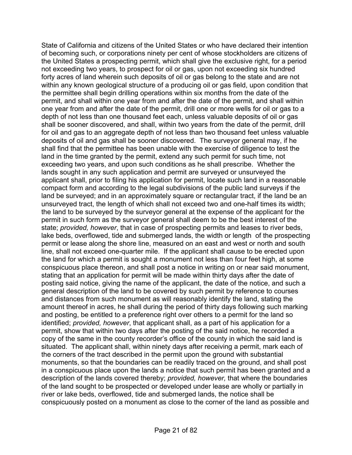State of California and citizens of the United States or who have declared their intention of becoming such, or corporations ninety per cent of whose stockholders are citizens of the United States a prospecting permit, which shall give the exclusive right, for a period not exceeding two years, to prospect for oil or gas, upon not exceeding six hundred forty acres of land wherein such deposits of oil or gas belong to the state and are not within any known geological structure of a producing oil or gas field, upon condition that the permittee shall begin drilling operations within six months from the date of the permit, and shall within one year from and after the date of the permit, and shall within one year from and after the date of the permit, drill one or more wells for oil or gas to a depth of not less than one thousand feet each, unless valuable deposits of oil or gas shall be sooner discovered, and shall, within two years from the date of the permit, drill for oil and gas to an aggregate depth of not less than two thousand feet unless valuable deposits of oil and gas shall be sooner discovered. The surveyor general may, if he shall find that the permittee has been unable with the exercise of diligence to test the land in the time granted by the permit, extend any such permit for such time, not exceeding two years, and upon such conditions as he shall prescribe. Whether the lands sought in any such application and permit are surveyed or unsurveyed the applicant shall, prior to filing his application for permit, locate such land in a reasonable compact form and according to the legal subdivisions of the public land surveys if the land be surveyed; and in an approximately square or rectangular tract, if the land be an unsurveyed tract, the length of which shall not exceed two and one-half times its width; the land to be surveyed by the surveyor general at the expense of the applicant for the permit in such form as the surveyor general shall deem to be the best interest of the state; *provided, however*, that in case of prospecting permits and leases to river beds, lake beds, overflowed, tide and submerged lands, the width or length of the prospecting permit or lease along the shore line, measured on an east and west or north and south line, shall not exceed one-quarter mile. If the applicant shall cause to be erected upon the land for which a permit is sought a monument not less than four feet high, at some conspicuous place thereon, and shall post a notice in writing on or near said monument, stating that an application for permit will be made within thirty days after the date of posting said notice, giving the name of the applicant, the date of the notice, and such a general description of the land to be covered by such permit by reference to courses and distances from such monument as will reasonably identify the land, stating the amount thereof in acres, he shall during the period of thirty days following such marking and posting, be entitled to a preference right over others to a permit for the land so identified; *provided, however*, that applicant shall, as a part of his application for a permit, show that within two days after the posting of the said notice, he recorded a copy of the same in the county recorder's office of the county in which the said land is situated. The applicant shall, within ninety days after receiving a permit, mark each of the corners of the tract described in the permit upon the ground with substantial monuments, so that the boundaries can be readily traced on the ground, and shall post in a conspicuous place upon the lands a notice that such permit has been granted and a description of the lands covered thereby; *provided, however,* that where the boundaries of the land sought to be prospected or developed under lease are wholly or partially in river or lake beds, overflowed, tide and submerged lands, the notice shall be conspicuously posted on a monument as close to the corner of the land as possible and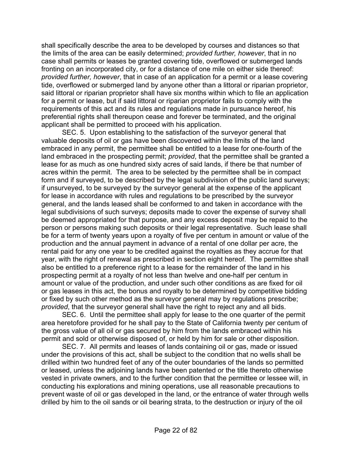shall specifically describe the area to be developed by courses and distances so that the limits of the area can be easily determined; *provided further, however*, that in no case shall permits or leases be granted covering tide, overflowed or submerged lands fronting on an incorporated city, or for a distance of one mile on either side thereof: *provided further, however*, that in case of an application for a permit or a lease covering tide, overflowed or submerged land by anyone other than a littoral or riparian proprietor, said littoral or riparian proprietor shall have six months within which to file an application for a permit or lease, but if said littoral or riparian proprietor fails to comply with the requirements of this act and its rules and regulations made in pursuance hereof, his preferential rights shall thereupon cease and forever be terminated, and the original applicant shall be permitted to proceed with his application.

 SEC. 5. Upon establishing to the satisfaction of the surveyor general that valuable deposits of oil or gas have been discovered within the limits of the land embraced in any permit, the permittee shall be entitled to a lease for one-fourth of the land embraced in the prospecting permit; *provided*, that the permittee shall be granted a lease for as much as one hundred sixty acres of said lands, if there be that number of acres within the permit. The area to be selected by the permittee shall be in compact form and if surveyed, to be described by the legal subdivision of the public land surveys; if unsurveyed, to be surveyed by the surveyor general at the expense of the applicant for lease in accordance with rules and regulations to be prescribed by the surveyor general, and the lands leased shall be conformed to and taken in accordance with the legal subdivisions of such surveys; deposits made to cover the expense of survey shall be deemed appropriated for that purpose, and any excess deposit may be repaid to the person or persons making such deposits or their legal representative. Such lease shall be for a term of twenty years upon a royalty of five per centum in amount or value of the production and the annual payment in advance of a rental of one dollar per acre, the rental paid for any one year to be credited against the royalties as they accrue for that year, with the right of renewal as prescribed in section eight hereof. The permittee shall also be entitled to a preference right to a lease for the remainder of the land in his prospecting permit at a royalty of not less than twelve and one-half per centum in amount or value of the production, and under such other conditions as are fixed for oil or gas leases in this act, the bonus and royalty to be determined by competitive bidding or fixed by such other method as the surveyor general may by regulations prescribe; *provided*, that the surveyor general shall have the right to reject any and all bids.

 SEC. 6. Until the permittee shall apply for lease to the one quarter of the permit area heretofore provided for he shall pay to the State of California twenty per centum of the gross value of all oil or gas secured by him from the lands embraced within his permit and sold or otherwise disposed of, or held by him for sale or other disposition.

 SEC. 7. All permits and leases of lands containing oil or gas, made or issued under the provisions of this act, shall be subject to the condition that no wells shall be drilled within two hundred feet of any of the outer boundaries of the lands so permitted or leased, unless the adjoining lands have been patented or the title thereto otherwise vested in private owners, and to the further condition that the permittee or lessee will, in conducting his explorations and mining operations, use all reasonable precautions to prevent waste of oil or gas developed in the land, or the entrance of water through wells drilled by him to the oil sands or oil bearing strata, to the destruction or injury of the oil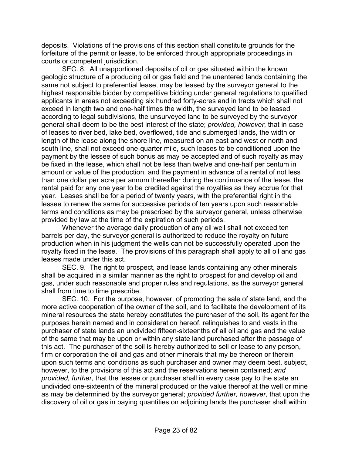deposits. Violations of the provisions of this section shall constitute grounds for the forfeiture of the permit or lease, to be enforced through appropriate proceedings in courts or competent jurisdiction.

 SEC. 8. All unapportioned deposits of oil or gas situated within the known geologic structure of a producing oil or gas field and the unentered lands containing the same not subject to preferential lease, may be leased by the surveyor general to the highest responsible bidder by competitive bidding under general regulations to qualified applicants in areas not exceeding six hundred forty-acres and in tracts which shall not exceed in length two and one-half times the width, the surveyed land to be leased according to legal subdivisions, the unsurveyed land to be surveyed by the surveyor general shall deem to be the best interest of the state; *provided, however*, that in case of leases to river bed, lake bed, overflowed, tide and submerged lands, the width or length of the lease along the shore line, measured on an east and west or north and south line, shall not exceed one-quarter mile, such leases to be conditioned upon the payment by the lessee of such bonus as may be accepted and of such royalty as may be fixed in the lease, which shall not be less than twelve and one-half per centum in amount or value of the production, and the payment in advance of a rental of not less than one dollar per acre per annum thereafter during the continuance of the lease, the rental paid for any one year to be credited against the royalties as they accrue for that year. Leases shall be for a period of twenty years, with the preferential right in the lessee to renew the same for successive periods of ten years upon such reasonable terms and conditions as may be prescribed by the surveyor general, unless otherwise provided by law at the time of the expiration of such periods.

 Whenever the average daily production of any oil well shall not exceed ten barrels per day, the surveyor general is authorized to reduce the royalty on future production when in his judgment the wells can not be successfully operated upon the royalty fixed in the lease. The provisions of this paragraph shall apply to all oil and gas leases made under this act.

 SEC. 9. The right to prospect, and lease lands containing any other minerals shall be acquired in a similar manner as the right to prospect for and develop oil and gas, under such reasonable and proper rules and regulations, as the surveyor general shall from time to time prescribe.

 SEC. 10. For the purpose, however, of promoting the sale of state land, and the more active cooperation of the owner of the soil, and to facilitate the development of its mineral resources the state hereby constitutes the purchaser of the soil, its agent for the purposes herein named and in consideration hereof, relinquishes to and vests in the purchaser of state lands an undivided fifteen-sixteenths of all oil and gas and the value of the same that may be upon or within any state land purchased after the passage of this act. The purchaser of the soil is hereby authorized to sell or lease to any person, firm or corporation the oil and gas and other minerals that my be thereon or therein upon such terms and conditions as such purchaser and owner may deem best, subject, however, to the provisions of this act and the reservations herein contained; *and provided, further*, that the lessee or purchaser shall in every case pay to the state an undivided one-sixteenth of the mineral produced or the value thereof at the well or mine as may be determined by the surveyor general; *provided further, however*, that upon the discovery of oil or gas in paying quantities on adjoining lands the purchaser shall within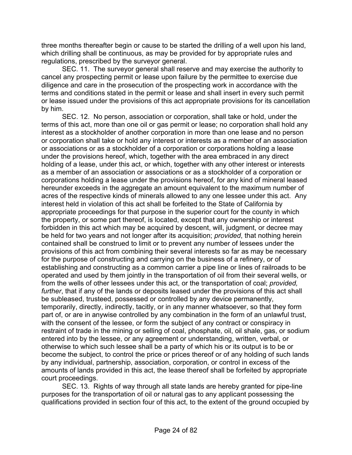three months thereafter begin or cause to be started the drilling of a well upon his land, which drilling shall be continuous, as may be provided for by appropriate rules and regulations, prescribed by the surveyor general.

 SEC. 11. The surveyor general shall reserve and may exercise the authority to cancel any prospecting permit or lease upon failure by the permittee to exercise due diligence and care in the prosecution of the prospecting work in accordance with the terms and conditions stated in the permit or lease and shall insert in every such permit or lease issued under the provisions of this act appropriate provisions for its cancellation by him.

 SEC. 12. No person, association or corporation, shall take or hold, under the terms of this act, more than one oil or gas permit or lease; no corporation shall hold any interest as a stockholder of another corporation in more than one lease and no person or corporation shall take or hold any interest or interests as a member of an association or associations or as a stockholder of a corporation or corporations holding a lease under the provisions hereof, which, together with the area embraced in any direct holding of a lease, under this act, or which, together with any other interest or interests as a member of an association or associations or as a stockholder of a corporation or corporations holding a lease under the provisions hereof, for any kind of mineral leased hereunder exceeds in the aggregate an amount equivalent to the maximum number of acres of the respective kinds of minerals allowed to any one lessee under this act. Any interest held in violation of this act shall be forfeited to the State of California by appropriate proceedings for that purpose in the superior court for the county in which the property, or some part thereof, is located, except that any ownership or interest forbidden in this act which may be acquired by descent, will, judgment, or decree may be held for two years and not longer after its acquisition; *provided*, that nothing herein contained shall be construed to limit or to prevent any number of lessees under the provisions of this act from combining their several interests so far as may be necessary for the purpose of constructing and carrying on the business of a refinery, or of establishing and constructing as a common carrier a pipe line or lines of railroads to be operated and used by them jointly in the transportation of oil from their several wells, or from the wells of other lessees under this act, or the transportation of coal; *provided, further*, that if any of the lands or deposits leased under the provisions of this act shall be subleased, trusteed, possessed or controlled by any device permanently, temporarily, directly, indirectly, tacitly, or in any manner whatsoever, so that they form part of, or are in anywise controlled by any combination in the form of an unlawful trust, with the consent of the lessee, or form the subject of any contract or conspiracy in restraint of trade in the mining or selling of coal, phosphate, oil, oil shale, gas, or sodium entered into by the lessee, or any agreement or understanding, written, verbal, or otherwise to which such lessee shall be a party of which his or its output is to be or become the subject, to control the price or prices thereof or of any holding of such lands by any individual, partnership, association, corporation, or control in excess of the amounts of lands provided in this act, the lease thereof shall be forfeited by appropriate court proceedings.

 SEC. 13. Rights of way through all state lands are hereby granted for pipe-line purposes for the transportation of oil or natural gas to any applicant possessing the qualifications provided in section four of this act, to the extent of the ground occupied by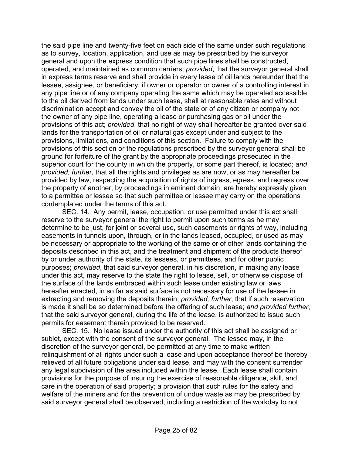the said pipe line and twenty-five feet on each side of the same under such regulations as to survey, location, application, and use as may be prescribed by the surveyor general and upon the express condition that such pipe lines shall be constructed, operated, and maintained as common carriers; *provided*, that the surveyor general shall in express terms reserve and shall provide in every lease of oil lands hereunder that the lessee, assignee, or beneficiary, if owner or operator or owner of a controlling interest in any pipe line or of any company operating the same which may be operated accessible to the oil derived from lands under such lease, shall at reasonable rates and without discrimination accept and convey the oil of the state or of any citizen or company not the owner of any pipe line, operating a lease or purchasing gas or oil under the provisions of this act; *provided*, that no right of way shall hereafter be granted over said lands for the transportation of oil or natural gas except under and subject to the provisions, limitations, and conditions of this section. Failure to comply with the provisions of this section or the regulations prescribed by the surveyor general shall be ground for forfeiture of the grant by the appropriate proceedings prosecuted in the superior court for the county in which the property, or some part thereof, is located; *and provided, further*, that all the rights and privileges as are now, or as may hereafter be provided by law, respecting the acquisition of rights of ingress, egress, and regress over the property of another, by proceedings in eminent domain, are hereby expressly given to a permittee or lessee so that such permittee or lessee may carry on the operations contemplated under the terms of this act.

 SEC. 14. Any permit, lease, occupation, or use permitted under this act shall reserve to the surveyor general the right to permit upon such terms as he may determine to be just, for joint or several use, such easements or rights of way, including easements in tunnels upon, through, or in the lands leased, occupied, or used as may be necessary or appropriate to the working of the same or of other lands containing the deposits described in this act, and the treatment and shipment of the products thereof by or under authority of the state, its lessees, or permittees, and for other public purposes; *provided*, that said surveyor general, in his discretion, in making any lease under this act, may reserve to the state the right to lease, sell, or otherwise dispose of the surface of the lands embraced within such lease under existing law or laws hereafter enacted, in so far as said surface is not necessary for use of the lessee in extracting and removing the deposits therein; *provided, further*, that if such reservation is made it shall be so determined before the offering of such lease; *and provided further*, that the said surveyor general, during the life of the lease, is authorized to issue such permits for easement therein provided to be reserved.

 SEC. 15. No lease issued under the authority of this act shall be assigned or sublet, except with the consent of the surveyor general. The lessee may, in the discretion of the surveyor general, be permitted at any time to make written relinquishment of all rights under such a lease and upon acceptance thereof be thereby relieved of all future obligations under said lease, and may with the consent surrender any legal subdivision of the area included within the lease. Each lease shall contain provisions for the purpose of insuring the exercise of reasonable diligence, skill, and care in the operation of said property; a provision that such rules for the safety and welfare of the miners and for the prevention of undue waste as may be prescribed by said surveyor general shall be observed, including a restriction of the workday to not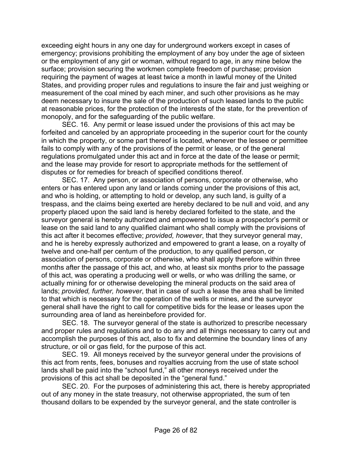exceeding eight hours in any one day for underground workers except in cases of emergency; provisions prohibiting the employment of any boy under the age of sixteen or the employment of any girl or woman, without regard to age, in any mine below the surface; provision securing the workmen complete freedom of purchase; provision requiring the payment of wages at least twice a month in lawful money of the United States, and providing proper rules and regulations to insure the fair and just weighing or measurement of the coal mined by each miner, and such other provisions as he may deem necessary to insure the sale of the production of such leased lands to the public at reasonable prices, for the protection of the interests of the state, for the prevention of monopoly, and for the safeguarding of the public welfare.

 SEC. 16. Any permit or lease issued under the provisions of this act may be forfeited and canceled by an appropriate proceeding in the superior court for the county in which the property, or some part thereof is located, whenever the lessee or permittee fails to comply with any of the provisions of the permit or lease, or of the general regulations promulgated under this act and in force at the date of the lease or permit; and the lease may provide for resort to appropriate methods for the settlement of disputes or for remedies for breach of specified conditions thereof.

 SEC. 17. Any person, or association of persons, corporate or otherwise, who enters or has entered upon any land or lands coming under the provisions of this act, and who is holding, or attempting to hold or develop, any such land, is guilty of a trespass, and the claims being exerted are hereby declared to be null and void, and any property placed upon the said land is hereby declared forfeited to the state, and the surveyor general is hereby authorized and empowered to issue a prospector's permit or lease on the said land to any qualified claimant who shall comply with the provisions of this act after it becomes effective; *provided, however*, that they surveyor general may, and he is hereby expressly authorized and empowered to grant a lease, on a royalty of twelve and one-half per centum of the production, to any qualified person, or association of persons, corporate or otherwise, who shall apply therefore within three months after the passage of this act, and who, at least six months prior to the passage of this act, was operating a producing well or wells, or who was drilling the same, or actually mining for or otherwise developing the mineral products on the said area of lands; *provided, further, however*, that in case of such a lease the area shall be limited to that which is necessary for the operation of the wells or mines, and the surveyor general shall have the right to call for competitive bids for the lease or leases upon the surrounding area of land as hereinbefore provided for.

 SEC. 18. The surveyor general of the state is authorized to prescribe necessary and proper rules and regulations and to do any and all things necessary to carry out and accomplish the purposes of this act, also to fix and determine the boundary lines of any structure, or oil or gas field, for the purpose of this act.

 SEC. 19. All moneys received by the surveyor general under the provisions of this act from rents, fees, bonuses and royalties accruing from the use of state school lands shall be paid into the "school fund," all other moneys received under the provisions of this act shall be deposited in the "general fund."

 SEC. 20. For the purposes of administering this act, there is hereby appropriated out of any money in the state treasury, not otherwise appropriated, the sum of ten thousand dollars to be expended by the surveyor general, and the state controller is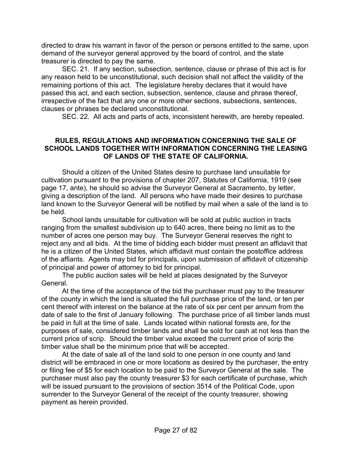directed to draw his warrant in favor of the person or persons entitled to the same, upon demand of the surveyor general approved by the board of control, and the state treasurer is directed to pay the same.

 SEC. 21. If any section, subsection, sentence, clause or phrase of this act is for any reason held to be unconstitutional, such decision shall not affect the validity of the remaining portions of this act. The legislature hereby declares that it would have passed this act, and each section, subsection, sentence, clause and phrase thereof, irrespective of the fact that any one or more other sections, subsections, sentences, clauses or phrases be declared unconstitutional.

SEC. 22. All acts and parts of acts, inconsistent herewith, are hereby repealed.

#### **RULES, REGULATIONS AND INFORMATION CONCERNING THE SALE OF SCHOOL LANDS TOGETHER WITH INFORMATION CONCERNING THE LEASING OF LANDS OF THE STATE OF CALIFORNIA.**

 Should a citizen of the United States desire to purchase land unsuitable for cultivation pursuant to the provisions of chapter 207, Statutes of California, 1919 (see page 17, ante), he should so advise the Surveyor General at Sacramento, by letter, giving a description of the land. All persons who have made their desires to purchase land known to the Surveyor General will be notified by mail when a sale of the land is to be held.

 School lands unsuitable for cultivation will be sold at public auction in tracts ranging from the smallest subdivision up to 640 acres, there being no limit as to the number of acres one person may buy. The Surveyor General reserves the right to reject any and all bids. At the time of bidding each bidder must present an affidavit that he is a citizen of the United States, which affidavit must contain the postoffice address of the affiants. Agents may bid for principals, upon submission of affidavit of citizenship of principal and power of attorney to bid for principal.

 The public auction sales will be held at places designated by the Surveyor General.

 At the time of the acceptance of the bid the purchaser must pay to the treasurer of the county in which the land is situated the full purchase price of the land, or ten per cent thereof with interest on the balance at the rate of six per cent per annum from the date of sale to the first of January following. The purchase price of all timber lands must be paid in full at the time of sale. Lands located within national forests are, for the purposes of sale, considered timber lands and shall be sold for cash at not less than the current price of scrip. Should the timber value exceed the current price of scrip the timber value shall be the minimum price that will be accepted.

 At the date of sale all of the land sold to one person in one county and land district will be embraced in one or more locations as desired by the purchaser, the entry or filing fee of \$5 for each location to be paid to the Surveyor General at the sale. The purchaser must also pay the county treasurer \$3 for each certificate of purchase, which will be issued pursuant to the provisions of section 3514 of the Political Code, upon surrender to the Surveyor General of the receipt of the county treasurer, showing payment as herein provided.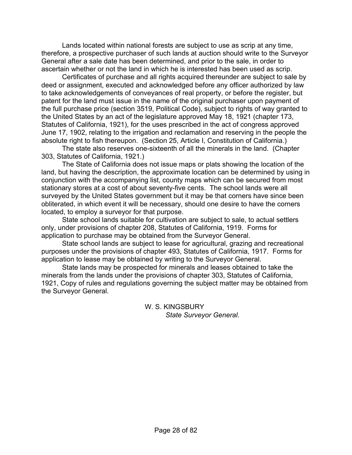Lands located within national forests are subject to use as scrip at any time, therefore, a prospective purchaser of such lands at auction should write to the Surveyor General after a sale date has been determined, and prior to the sale, in order to ascertain whether or not the land in which he is interested has been used as scrip.

 Certificates of purchase and all rights acquired thereunder are subject to sale by deed or assignment, executed and acknowledged before any officer authorized by law to take acknowledgements of conveyances of real property, or before the register, but patent for the land must issue in the name of the original purchaser upon payment of the full purchase price (section 3519, Political Code), subject to rights of way granted to the United States by an act of the legislature approved May 18, 1921 (chapter 173, Statutes of California, 1921), for the uses prescribed in the act of congress approved June 17, 1902, relating to the irrigation and reclamation and reserving in the people the absolute right to fish thereupon. (Section 25, Article I, Constitution of California.)

 The state also reserves one-sixteenth of all the minerals in the land. (Chapter 303, Statutes of California, 1921.)

 The State of California does not issue maps or plats showing the location of the land, but having the description, the approximate location can be determined by using in conjunction with the accompanying list, county maps which can be secured from most stationary stores at a cost of about seventy-five cents. The school lands were all surveyed by the United States government but it may be that corners have since been obliterated, in which event it will be necessary, should one desire to have the corners located, to employ a surveyor for that purpose.

 State school lands suitable for cultivation are subject to sale, to actual settlers only, under provisions of chapter 208, Statutes of California, 1919. Forms for application to purchase may be obtained from the Surveyor General.

 State school lands are subject to lease for agricultural, grazing and recreational purposes under the provisions of chapter 493, Statutes of California, 1917. Forms for application to lease may be obtained by writing to the Surveyor General.

 State lands may be prospected for minerals and leases obtained to take the minerals from the lands under the provisions of chapter 303, Statutes of California, 1921, Copy of rules and regulations governing the subject matter may be obtained from the Surveyor General.

> W. S. KINGSBURY *State Surveyor General.*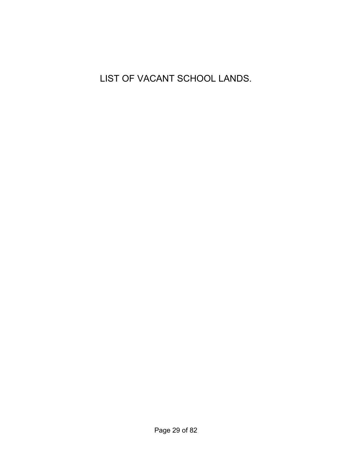LIST OF VACANT SCHOOL LANDS.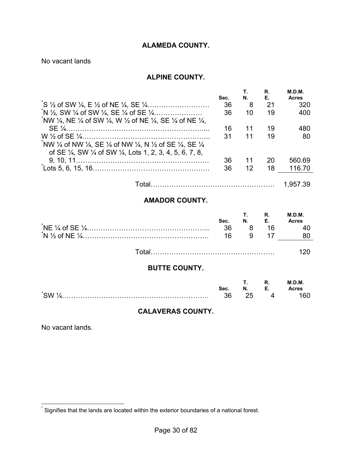#### **ALAMEDA COUNTY.**

No vacant lands

#### **ALPINE COUNTY.**

|                                                                                                                                        | Sec. | N. | R.<br>Е. | M.D.M.<br><b>Acres</b> |
|----------------------------------------------------------------------------------------------------------------------------------------|------|----|----------|------------------------|
|                                                                                                                                        | 36   | 8  | 21       | 320                    |
| $N\frac{1}{2}$ , SW $\frac{1}{4}$ of SW $\frac{1}{4}$ , SE $\frac{1}{4}$ of SE $\frac{1}{4}$                                           | 36   | 10 | 19       | 400                    |
| NW $\frac{1}{4}$ , NE $\frac{1}{4}$ of SW $\frac{1}{4}$ , W $\frac{1}{2}$ of NE $\frac{1}{4}$ , SE $\frac{1}{4}$ of NE $\frac{1}{4}$ . |      |    |          |                        |
|                                                                                                                                        | 16   | 11 | 19       | 480                    |
| NW 1/4 of NW 1/4, SE 1/4 of NW 1/4, N 1/2 of SE 1/4, SE 1/4                                                                            | 31   | 11 | 19       | 80                     |
| of SE 1/4, SW 1/4 of SW 1/4, Lots 1, 2, 3, 4, 5, 6, 7, 8,                                                                              |      |    |          |                        |
|                                                                                                                                        | 36   | 11 | 20       | 560.69                 |
|                                                                                                                                        | 36   | 12 | 18       | 116.70                 |
|                                                                                                                                        |      |    |          |                        |

Total……………………………………………… 1,957.39

## **AMADOR COUNTY.**

| Sec.<br>-36<br>16 | <b>T.</b> R. | N. E.<br>16 | M.D.M.<br><b>Acres</b> |
|-------------------|--------------|-------------|------------------------|
|                   |              |             |                        |

## **BUTTE COUNTY.**

|                           |      |    |    | M.D.M.       |
|---------------------------|------|----|----|--------------|
|                           | Sec. | N. | ь. | <b>\cres</b> |
| $\sqrt[3]{\text{SW }2}$ . | גו כ |    |    | '6U          |

#### **CALAVERAS COUNTY.**

No vacant lands.

1

<sup>\*</sup> Signifies that the lands are located within the exterior boundaries of a national forest.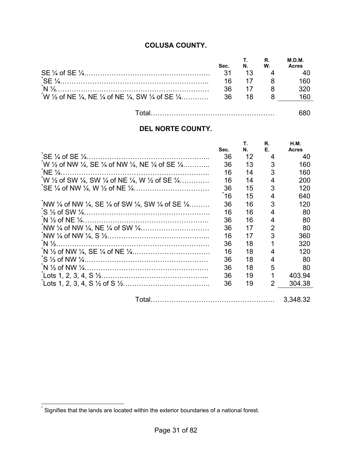## **COLUSA COUNTY.**

| Sec. | N. | W. | M.D.M.<br><b>Acres</b> |
|------|----|----|------------------------|
| -31  | 13 |    |                        |
| 16   |    |    | 160                    |
| 36   | 17 |    | ววก                    |
|      |    |    | 160                    |
|      |    |    |                        |

| _ |  |
|---|--|
|   |  |

## **DEL NORTE COUNTY.**

|                                                                                                                    | Sec. | Т.<br>Ν. | R.<br>Е. | H.M.<br><b>Acres</b> |
|--------------------------------------------------------------------------------------------------------------------|------|----------|----------|----------------------|
|                                                                                                                    | 36   | 12       | 4        | 40                   |
| $^{*}$ W 1/2 of NW 1/4, SE 1/4 of NW 1/4, NE 1/4 of SE 1/4                                                         | 36   | 13       | 3        | 160                  |
| $N E \frac{1}{4}$ .                                                                                                | 16   | 14       | 3        | 160                  |
| W $\frac{1}{2}$ of SW $\frac{1}{4}$ , SW $\frac{1}{4}$ of NE $\frac{1}{4}$ , W $\frac{1}{2}$ of SE $\frac{1}{4}$   | 16   | 14       | 4        | 200                  |
|                                                                                                                    | 36   | 15       | 3        | 120                  |
|                                                                                                                    | 16   | 15       | 4        | 640                  |
| NW $\frac{1}{4}$ of NW $\frac{1}{4}$ , SE $\frac{1}{4}$ of SW $\frac{1}{4}$ , SW $\frac{1}{4}$ of SE $\frac{1}{4}$ | 36   | 16       | 3        | 120                  |
|                                                                                                                    | 16   | 16       | 4        | 80                   |
|                                                                                                                    | 36   | 16       | 4        | 80                   |
|                                                                                                                    | 36   | 17       | 2        | 80                   |
|                                                                                                                    | 16   | 17       | 3        | 360                  |
|                                                                                                                    | 36   | 18       |          | 320                  |
|                                                                                                                    | 16   | 18       | 4        | 120                  |
|                                                                                                                    | 36   | 18       | 4        | 80                   |
|                                                                                                                    | 36   | 18       | 5        | 80                   |
|                                                                                                                    | 36   | 19       |          | 403.94               |
|                                                                                                                    | 36   | 19       | 2        | 304.38               |
|                                                                                                                    |      |          |          | 3,348.32             |

 \* Signifies that the lands are located within the exterior boundaries of a national forest.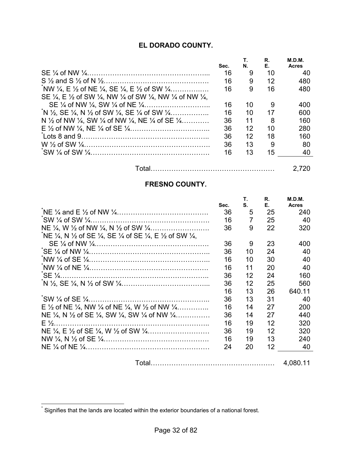## **EL DORADO COUNTY.**

|                                                                                                                                        |      |    | R. | M.D.M.       |
|----------------------------------------------------------------------------------------------------------------------------------------|------|----|----|--------------|
|                                                                                                                                        | Sec. | Ν. | Е. | <b>Acres</b> |
|                                                                                                                                        | 16   | 9  | 10 | 40           |
|                                                                                                                                        | 16   | 9  | 12 | 480          |
| NW $\frac{1}{4}$ , E $\frac{1}{2}$ of NE $\frac{1}{4}$ , SE $\frac{1}{4}$ , E $\frac{1}{2}$ of SW $\frac{1}{4}$                        | 16   | 9  | 16 | 480          |
| SE $\frac{1}{4}$ , E $\frac{1}{2}$ of SW $\frac{1}{4}$ , NW $\frac{1}{4}$ of SW $\frac{1}{4}$ , NW $\frac{1}{4}$ of NW $\frac{1}{4}$ , |      |    |    |              |
|                                                                                                                                        | 16   | 10 |    | 400          |
| $N\frac{1}{2}$ , SE $\frac{1}{4}$ , N $\frac{1}{2}$ of SW $\frac{1}{4}$ , SE $\frac{1}{4}$ of SW $\frac{1}{4}$                         | 16   | 10 | 17 | 600          |
| N $\frac{1}{2}$ of NW $\frac{1}{4}$ , SW $\frac{1}{4}$ of NW $\frac{1}{4}$ , NE $\frac{1}{4}$ of SE $\frac{1}{4}$ ,                    | 36   | 11 | 8  | 160          |
|                                                                                                                                        | 36   | 12 | 10 | 280          |
|                                                                                                                                        | 36   | 12 | 18 | 160          |
|                                                                                                                                        | 36   | 13 | 9  | 80           |
|                                                                                                                                        | 16   | 13 | 15 | 40           |
|                                                                                                                                        |      |    |    |              |

| - |  |
|---|--|
|   |  |

## **FRESNO COUNTY.**

|                                                                                                                    | Sec. | Τ.<br>S. | R.<br>Е. | M.D.M.<br><b>Acres</b> |
|--------------------------------------------------------------------------------------------------------------------|------|----------|----------|------------------------|
|                                                                                                                    | 36   | 5        | 25       | 240                    |
|                                                                                                                    | 16   | 7        | 25       | 40                     |
|                                                                                                                    | 36   | 9        | 22       | 320                    |
| NE 1/4, N 1/2 of SE 1/4, SE 1/4 of SE 1/4, E 1/2 of SW 1/4,                                                        |      |          |          |                        |
|                                                                                                                    | 36   | 9        | 23       | 400                    |
|                                                                                                                    | 36   | 10       | 24       | 40                     |
|                                                                                                                    | 16   | 10       | 30       | 40                     |
|                                                                                                                    | 16   | 11       | 20       | 40                     |
|                                                                                                                    | 36   | 12       | 24       | 160                    |
|                                                                                                                    | 36   | 12       | 25       | 560                    |
|                                                                                                                    | 16   | 13       | 26       | 640.11                 |
|                                                                                                                    | 36   | 13       | 31       | 40                     |
| E $\frac{1}{2}$ of NE $\frac{1}{4}$ , NW $\frac{1}{4}$ of NE $\frac{1}{4}$ , W $\frac{1}{2}$ of NW $\frac{1}{4}$   | 16   | 14       | 27       | 200                    |
| NE $\frac{1}{4}$ , N $\frac{1}{2}$ of SE $\frac{1}{4}$ , SW $\frac{1}{4}$ , SW $\frac{1}{4}$ of NW $\frac{1}{4}$ , | 36   | 14       | 27       | 440                    |
|                                                                                                                    | 16   | 19       | 12       | 320                    |
|                                                                                                                    | 36   | 19       | 12       | 320                    |
|                                                                                                                    | 16   | 19       | 13       | 240                    |
|                                                                                                                    | 24   | 20       | 12       | 40                     |
|                                                                                                                    |      |          |          | 4,080.11               |

 \* Signifies that the lands are located within the exterior boundaries of a national forest.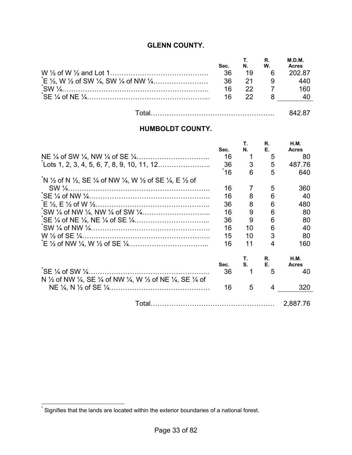## **GLENN COUNTY.**

| Sec. | N.   | W.           | M.D.M.<br><b>Acres</b> |
|------|------|--------------|------------------------|
| 36   |      | $19 \quad 6$ | 202.87                 |
| - 36 | -21  |              | 440                    |
| 16   | 22.  |              | 160.                   |
| 16   | -22. |              |                        |
|      |      |              |                        |

| _ |  |
|---|--|
|---|--|

## **HUMBOLDT COUNTY.**

|                                                                                                                                        |      | Τ.             | R. | <b>H.M.</b>  |
|----------------------------------------------------------------------------------------------------------------------------------------|------|----------------|----|--------------|
|                                                                                                                                        | Sec. | Ν.             | Е. | <b>Acres</b> |
|                                                                                                                                        | 16   |                | 5  | 80           |
|                                                                                                                                        | 36   | 3              | 5  | 487.76       |
|                                                                                                                                        | ້16  | 6              | 5  | 640          |
| N 1/2 of N 1/2, SE 1/4 of NW 1/4, W 1/2 of SE 1/4, E 1/2 of                                                                            |      |                |    |              |
|                                                                                                                                        | 16   | $\overline{7}$ | 5  | 360          |
|                                                                                                                                        | 16   | 8              | 6  | 40           |
|                                                                                                                                        | 36   | 8              | 6  | 480          |
|                                                                                                                                        | 16   | 9              | 6  | 80           |
|                                                                                                                                        | 36   | 9              | 6  | 80           |
|                                                                                                                                        | 16   | 10             | 6  | 40           |
|                                                                                                                                        | 15   | 10             | 3  | 80           |
|                                                                                                                                        | 16   | 11             | 4  | 160          |
|                                                                                                                                        |      | Т.             | R. | <b>H.M.</b>  |
|                                                                                                                                        | Sec. | S.             | Е. | <b>Acres</b> |
| $\sqrt{5}E\frac{1}{4}$ of SW $\frac{1}{4}$                                                                                             | 36   |                | 5  | 40           |
| N $\frac{1}{2}$ of NW $\frac{1}{4}$ , SE $\frac{1}{4}$ of NW $\frac{1}{4}$ , W $\frac{1}{2}$ of NE $\frac{1}{4}$ , SE $\frac{1}{4}$ of |      |                |    |              |
|                                                                                                                                        | 16   | 5              | 4  | 320          |
|                                                                                                                                        |      |                |    | 2,887.76     |
|                                                                                                                                        |      |                |    |              |

 \* Signifies that the lands are located within the exterior boundaries of a national forest.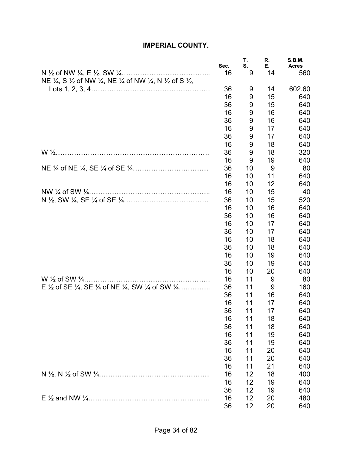## **IMPERIAL COUNTY.**

|                                                                                                                                      | Sec.     | Τ.<br>S. | R.<br>Е. | <b>S.B.M.</b><br><b>Acres</b> |
|--------------------------------------------------------------------------------------------------------------------------------------|----------|----------|----------|-------------------------------|
|                                                                                                                                      | 16       | 9        | 14       | 560                           |
| NE $\frac{1}{4}$ , S $\frac{1}{2}$ of NW $\frac{1}{4}$ , NE $\frac{1}{4}$ of NW $\frac{1}{4}$ , N $\frac{1}{2}$ of S $\frac{1}{2}$ , | 36       |          |          |                               |
|                                                                                                                                      | 16       | 9<br>9   | 14<br>15 | 602.60<br>640                 |
|                                                                                                                                      | 36       | 9        | 15       | 640                           |
|                                                                                                                                      | 16       | 9        | 16       | 640                           |
|                                                                                                                                      | 36       | 9        | 16       | 640                           |
|                                                                                                                                      | 16       | 9        | 17       | 640                           |
|                                                                                                                                      | 36       | 9        | 17       | 640                           |
|                                                                                                                                      | 16       | 9        | 18       | 640                           |
|                                                                                                                                      | 36       | 9        | 18       | 320                           |
|                                                                                                                                      | 16       | 9        | 19       | 640                           |
|                                                                                                                                      | 36       | 10       | 9        | 80                            |
|                                                                                                                                      | 16       | 10       | 11       | 640                           |
|                                                                                                                                      | 16       | 10       | 12       | 640                           |
|                                                                                                                                      | 16       | 10       | 15       | 40                            |
|                                                                                                                                      | 36       | 10       | 15       | 520                           |
|                                                                                                                                      | 16       | 10       | 16       | 640                           |
|                                                                                                                                      | 36       | 10       | 16       | 640                           |
|                                                                                                                                      | 16       | 10       | 17       | 640                           |
|                                                                                                                                      | 36       | 10       | 17       | 640                           |
|                                                                                                                                      | 16       | 10       | 18       | 640                           |
|                                                                                                                                      | 36       | 10       | 18       | 640                           |
|                                                                                                                                      | 16       | 10       | 19       | 640                           |
|                                                                                                                                      | 36       | 10       | 19       | 640                           |
|                                                                                                                                      | 16       | 10       | 20       | 640                           |
|                                                                                                                                      | 16       | 11       | 9        | 80                            |
| E 1/2 of SE 1/4, SE 1/4 of NE 1/4, SW 1/4 of SW 1/4                                                                                  | 36       | 11       | 9        | 160                           |
|                                                                                                                                      | 36       | 11       | 16       | 640                           |
|                                                                                                                                      | 16       | 11       | 17       | 640                           |
|                                                                                                                                      | 36       | 11       | 17       | 640                           |
|                                                                                                                                      | 16       | 11       | 18       | 640                           |
|                                                                                                                                      | 36       | 11       | 18       | 640                           |
|                                                                                                                                      | 16       | 11       | 19       | 640                           |
|                                                                                                                                      | 36       | 11       | 19       | 640                           |
|                                                                                                                                      | 16       | 11       | 20       | 640                           |
|                                                                                                                                      | 36       | 11       | 20       | 640                           |
|                                                                                                                                      | 16       | 11       | 21       | 640                           |
|                                                                                                                                      | 16<br>16 | 12<br>12 | 18<br>19 | 400                           |
|                                                                                                                                      | 36       | 12       | 19       | 640                           |
|                                                                                                                                      | 16       | 12       | 20       | 640<br>480                    |
|                                                                                                                                      | 36       | 12       | 20       | 640                           |
|                                                                                                                                      |          |          |          |                               |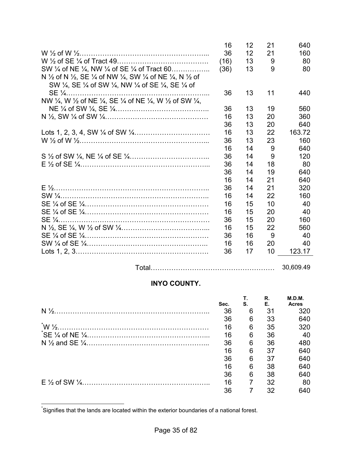|                                                                                                                                                                                                | 16   | 12 | 21 | 640    |
|------------------------------------------------------------------------------------------------------------------------------------------------------------------------------------------------|------|----|----|--------|
|                                                                                                                                                                                                | 36   | 12 | 21 | 160    |
|                                                                                                                                                                                                | (16) | 13 | 9  | 80     |
| SW 1/4 of NE 1/4, NW 1/4 of SE 1/4 of Tract 60                                                                                                                                                 | (36) | 13 | 9  | 80     |
| N $\frac{1}{2}$ of N $\frac{1}{2}$ , SE $\frac{1}{4}$ of NW $\frac{1}{4}$ , SW $\frac{1}{4}$ of NE $\frac{1}{4}$ , N $\frac{1}{2}$ of<br>SW 1/4, SE 1/4 of SW 1/4, NW 1/4 of SE 1/4, SE 1/4 of |      |    |    |        |
|                                                                                                                                                                                                | 36   | 13 | 11 | 440    |
| NW 1/4, W 1/2 of NE 1/4, SE 1/4 of NE 1/4, W 1/2 of SW 1/4,                                                                                                                                    |      |    |    |        |
|                                                                                                                                                                                                | 36   | 13 | 19 | 560    |
|                                                                                                                                                                                                | 16   | 13 | 20 | 360    |
|                                                                                                                                                                                                | 36   | 13 | 20 | 640    |
|                                                                                                                                                                                                | 16   | 13 | 22 | 163.72 |
|                                                                                                                                                                                                | 36   | 13 | 23 | 160    |
|                                                                                                                                                                                                | 16   | 14 | 9  | 640    |
|                                                                                                                                                                                                | 36   | 14 | 9  | 120    |
|                                                                                                                                                                                                | 36   | 14 | 18 | 80     |
|                                                                                                                                                                                                | 36   | 14 | 19 | 640    |
|                                                                                                                                                                                                | 16   | 14 | 21 | 640    |
|                                                                                                                                                                                                | 36   | 14 | 21 | 320    |
|                                                                                                                                                                                                | 16   | 14 | 22 | 160    |
|                                                                                                                                                                                                | 16   | 15 | 10 | 40     |
|                                                                                                                                                                                                | 16   | 15 | 20 | 40     |
|                                                                                                                                                                                                | 36   | 15 | 20 | 160    |
|                                                                                                                                                                                                | 16   | 15 | 22 | 560    |
|                                                                                                                                                                                                | 36   | 16 | 9  | 40     |
|                                                                                                                                                                                                | 16   | 16 | 20 | 40     |
|                                                                                                                                                                                                | 36   | 17 | 10 | 123.17 |

Total……………………………………………… 30,609.49

## **INYO COUNTY.**

| Sec. | S. | R.<br>Е. | M.D.M.<br><b>Acres</b> |
|------|----|----------|------------------------|
| 36   | 6  | 31       | 320                    |
| 36   | 6  | 33       | 640                    |
| 16   | 6  | 35       | 320                    |
| 16   | 6  | 36       | 40                     |
| 36   | 6  | 36       | 480                    |
| 16   | 6  | 37       | 640                    |
| 36   | 6  | 37       | 640                    |
| 16   | 6  | 38       | 640                    |
| 36   | 6  | 38       | 640                    |
| 16   |    | 32       | 80                     |
| 36   |    | 32       | 640                    |

 \* Signifies that the lands are located within the exterior boundaries of a national forest.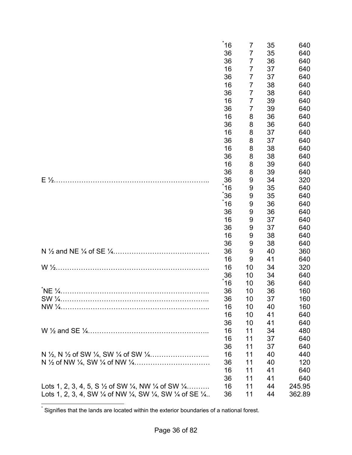|                                                                                                                   | 16                         | 7                          | 35                         | 640                             |
|-------------------------------------------------------------------------------------------------------------------|----------------------------|----------------------------|----------------------------|---------------------------------|
|                                                                                                                   | 36                         | 7                          | 35                         | 640                             |
|                                                                                                                   | 36                         | 7                          | 36                         | 640                             |
|                                                                                                                   | 16                         | 7                          | 37                         | 640                             |
|                                                                                                                   | 36                         | $\overline{7}$             | 37                         | 640                             |
|                                                                                                                   | 16                         | $\overline{7}$             | 38                         | 640                             |
|                                                                                                                   | 36                         | $\overline{7}$             | 38                         | 640                             |
|                                                                                                                   | 16                         | 7                          | 39                         | 640                             |
|                                                                                                                   | 36                         | 7                          | 39                         | 640                             |
|                                                                                                                   | 16                         | 8                          | 36                         | 640                             |
|                                                                                                                   | 36                         | 8                          | 36                         | 640                             |
|                                                                                                                   | 16                         | 8                          | 37                         | 640                             |
|                                                                                                                   | 36                         | 8                          | 37                         | 640                             |
|                                                                                                                   | 16                         | 8                          | 38                         | 640                             |
|                                                                                                                   | 36                         | 8                          | 38                         | 640                             |
|                                                                                                                   | 16                         | 8                          | 39                         | 640                             |
|                                                                                                                   | 36                         | 8                          | 39                         | 640                             |
|                                                                                                                   | 36                         | 9                          | 34                         | 320                             |
|                                                                                                                   | 16                         | 9                          | 35                         | 640                             |
|                                                                                                                   | 36                         | 9                          | 35                         | 640                             |
|                                                                                                                   | 16                         | 9                          | 36                         | 640                             |
|                                                                                                                   | 36                         | 9                          | 36                         | 640                             |
|                                                                                                                   | 16                         | 9                          | 37                         | 640                             |
|                                                                                                                   | 36                         | 9                          | 37                         | 640                             |
|                                                                                                                   | 16                         | 9                          | 38                         | 640                             |
|                                                                                                                   | 36                         | 9                          | 38                         | 640                             |
|                                                                                                                   | 36                         | 9                          | 40                         | 360                             |
|                                                                                                                   | 16                         | 9                          | 41                         | 640                             |
|                                                                                                                   | 16                         | 10                         | 34                         | 320                             |
|                                                                                                                   | 36                         | 10                         | 34                         | 640                             |
|                                                                                                                   | 16                         | 10                         | 36                         | 640                             |
|                                                                                                                   | 36<br>36<br>16<br>16<br>36 | 10<br>10<br>10<br>10<br>10 | 36<br>37<br>40<br>41<br>41 | 160<br>160<br>160<br>640<br>640 |
|                                                                                                                   | 16                         | 11                         | 34                         | 480                             |
|                                                                                                                   | 16                         | 11                         | 37                         | 640                             |
|                                                                                                                   | 36                         | 11                         | 37                         | 640                             |
|                                                                                                                   | 16<br>36<br>16<br>36       | 11<br>11<br>11<br>11       | 40<br>40<br>41<br>41       | 440<br>120<br>640<br>640        |
| Lots 1, 2, 3, 4, 5, S $\frac{1}{2}$ of SW $\frac{1}{4}$ , NW $\frac{1}{4}$ of SW $\frac{1}{4}$                    | 16                         | 11                         | 44                         | 245.95                          |
| Lots 1, 2, 3, 4, SW $\frac{1}{4}$ of NW $\frac{1}{4}$ , SW $\frac{1}{4}$ , SW $\frac{1}{4}$ of SE $\frac{1}{4}$ . | 36                         | 11                         | 44                         | 362.89                          |

 \* Signifies that the lands are located within the exterior boundaries of a national forest.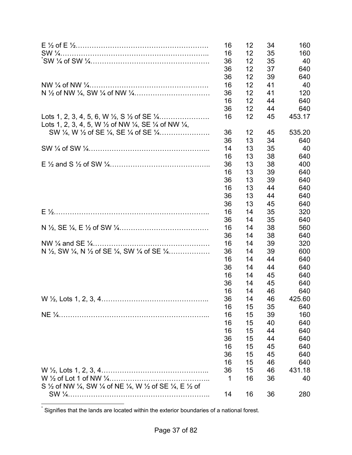|                                                                                                                 | 16 | 12 | 34 | 160    |
|-----------------------------------------------------------------------------------------------------------------|----|----|----|--------|
|                                                                                                                 | 16 | 12 | 35 | 160    |
|                                                                                                                 | 36 | 12 | 35 | 40     |
|                                                                                                                 | 36 | 12 | 37 | 640    |
|                                                                                                                 | 36 | 12 | 39 | 640    |
|                                                                                                                 | 16 | 12 | 41 | 40     |
|                                                                                                                 | 36 | 12 | 41 | 120    |
|                                                                                                                 | 16 | 12 | 44 | 640    |
|                                                                                                                 | 36 | 12 | 44 | 640    |
| Lots 1, 2, 3, 4, 5, W $\frac{1}{2}$ of NW $\frac{1}{4}$ , SE $\frac{1}{4}$ of NW $\frac{1}{4}$ ,                | 16 | 12 | 45 | 453.17 |
|                                                                                                                 | 36 | 12 | 45 | 535.20 |
|                                                                                                                 | 36 | 13 | 34 | 640    |
|                                                                                                                 | 14 | 13 | 35 | 40     |
|                                                                                                                 | 16 | 13 | 38 | 640    |
|                                                                                                                 | 36 | 13 | 38 | 400    |
|                                                                                                                 | 16 | 13 | 39 | 640    |
|                                                                                                                 | 36 | 13 | 39 | 640    |
|                                                                                                                 | 16 | 13 | 44 | 640    |
|                                                                                                                 | 36 | 13 | 44 | 640    |
|                                                                                                                 | 36 | 13 | 45 | 640    |
|                                                                                                                 | 16 | 14 | 35 | 320    |
|                                                                                                                 | 36 | 14 | 35 | 640    |
|                                                                                                                 | 16 | 14 | 38 | 560    |
|                                                                                                                 | 36 | 14 | 38 | 640    |
|                                                                                                                 | 16 | 14 | 39 | 320    |
| N $\frac{1}{2}$ , SW $\frac{1}{4}$ , N $\frac{1}{2}$ of SE $\frac{1}{4}$ , SW $\frac{1}{4}$ of SE $\frac{1}{4}$ | 36 | 14 | 39 | 600    |
|                                                                                                                 | 16 | 14 | 44 | 640    |
|                                                                                                                 | 36 | 14 | 44 | 640    |
|                                                                                                                 | 16 | 14 | 45 | 640    |
|                                                                                                                 | 36 | 14 | 45 | 640    |
|                                                                                                                 | 16 | 14 | 46 | 640    |
|                                                                                                                 | 36 | 14 | 46 | 425.60 |
|                                                                                                                 | 16 | 15 | 35 | 640    |
|                                                                                                                 | 16 | 15 | 39 | 160    |
|                                                                                                                 | 16 | 15 | 40 | 640    |
|                                                                                                                 | 16 | 15 | 44 | 640    |
|                                                                                                                 | 36 | 15 | 44 | 640    |
|                                                                                                                 | 16 | 15 | 45 | 640    |
|                                                                                                                 | 36 | 15 | 45 | 640    |
|                                                                                                                 | 16 | 15 | 46 | 640    |
|                                                                                                                 | 36 | 15 | 46 | 431.18 |
|                                                                                                                 | 1  | 16 | 36 | 40     |
| S 1/2 of NW 1/4, SW 1/4 of NE 1/4, W 1/2 of SE 1/4, E 1/2 of                                                    |    |    |    |        |
|                                                                                                                 | 14 | 16 | 36 | 280    |
|                                                                                                                 |    |    |    |        |

 \* Signifies that the lands are located within the exterior boundaries of a national forest.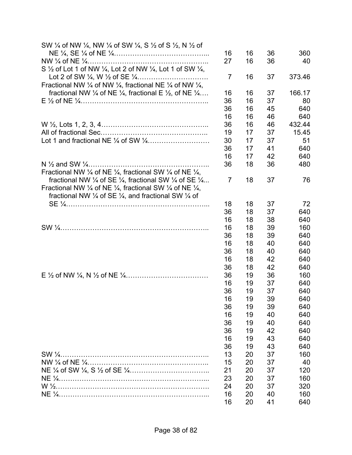| SW 1/4 of NW 1/4, NW 1/4 of SW 1/4, S 1/2 of S 1/2, N 1/2 of                                           |                |    |    |        |
|--------------------------------------------------------------------------------------------------------|----------------|----|----|--------|
|                                                                                                        | 16             | 16 | 36 | 360    |
|                                                                                                        | 27             | 16 | 36 | 40     |
| S $\frac{1}{2}$ of Lot 1 of NW $\frac{1}{4}$ , Lot 2 of NW $\frac{1}{4}$ , Lot 1 of SW $\frac{1}{4}$ , |                |    |    |        |
|                                                                                                        | $\overline{7}$ | 16 | 37 | 373.46 |
| Fractional NW 1/4 of NW 1/4, fractional NE 1/4 of NW 1/4,                                              |                |    |    |        |
| fractional NW $\frac{1}{4}$ of NE $\frac{1}{4}$ , fractional E $\frac{1}{2}$ , of NE $\frac{1}{4}$     | 16             | 16 | 37 | 166.17 |
|                                                                                                        | 36             | 16 | 37 | 80     |
|                                                                                                        | 36             | 16 | 45 | 640    |
|                                                                                                        | 16             | 16 | 46 | 640    |
|                                                                                                        | 36             | 16 | 46 | 432.44 |
|                                                                                                        | 19             | 17 | 37 | 15.45  |
|                                                                                                        | 30             | 17 | 37 | 51     |
|                                                                                                        | 36             | 17 | 41 | 640    |
|                                                                                                        | 16             | 17 | 42 | 640    |
|                                                                                                        | 36             | 18 | 36 | 480    |
| Fractional NW $\frac{1}{4}$ of NE $\frac{1}{4}$ , fractional SW $\frac{1}{4}$ of NE $\frac{1}{4}$ ,    |                |    |    |        |
| fractional NW $\frac{1}{4}$ of SE $\frac{1}{4}$ , fractional SW $\frac{1}{4}$ of SE $\frac{1}{4}$      | 7              | 18 | 37 | 76     |
| Fractional NW $\frac{1}{4}$ of NE $\frac{1}{4}$ , fractional SW $\frac{1}{4}$ of NE $\frac{1}{4}$ ,    |                |    |    |        |
| fractional NW 1/4 of SE 1/4, and fractional SW 1/4 of                                                  |                |    |    |        |
|                                                                                                        | 18             | 18 | 37 | 72     |
|                                                                                                        | 36             | 18 | 37 | 640    |
|                                                                                                        | 16             | 18 | 38 | 640    |
|                                                                                                        | 16             | 18 | 39 | 160    |
|                                                                                                        | 36             | 18 | 39 | 640    |
|                                                                                                        | 16             | 18 | 40 | 640    |
|                                                                                                        | 36             | 18 | 40 | 640    |
|                                                                                                        | 16             | 18 | 42 | 640    |
|                                                                                                        | 36             | 18 | 42 | 640    |
|                                                                                                        | 36             | 19 | 36 | 160    |
|                                                                                                        | 16             | 19 | 37 | 640    |
|                                                                                                        | 36             | 19 | 37 | 640    |
|                                                                                                        | 16             | 19 | 39 | 640    |
|                                                                                                        | 36             | 19 | 39 | 640    |
|                                                                                                        | 16             | 19 | 40 | 640    |
|                                                                                                        | 36             | 19 | 40 | 640    |
|                                                                                                        | 36             | 19 | 42 | 640    |
|                                                                                                        | 16             | 19 | 43 | 640    |
|                                                                                                        | 36             | 19 | 43 | 640    |
|                                                                                                        | 13             |    | 37 |        |
|                                                                                                        | 15             | 20 |    | 160    |
|                                                                                                        |                | 20 | 37 | 40     |
|                                                                                                        | 21             | 20 | 37 | 120    |
|                                                                                                        | 23             | 20 | 37 | 160    |
|                                                                                                        | 24             | 20 | 37 | 320    |
|                                                                                                        | 16             | 20 | 40 | 160    |
|                                                                                                        | 16             | 20 | 41 | 640    |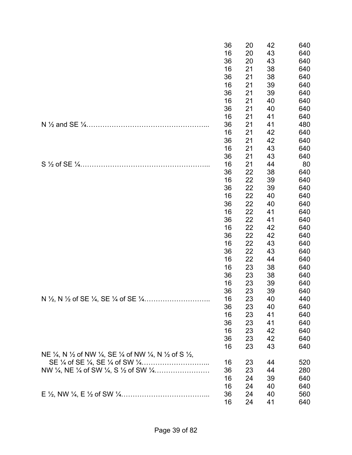|                                                                                                                                      | 36 | 20 | 42 | 640 |
|--------------------------------------------------------------------------------------------------------------------------------------|----|----|----|-----|
|                                                                                                                                      | 16 | 20 | 43 | 640 |
|                                                                                                                                      | 36 | 20 | 43 | 640 |
|                                                                                                                                      | 16 | 21 | 38 | 640 |
|                                                                                                                                      | 36 | 21 | 38 | 640 |
|                                                                                                                                      | 16 | 21 | 39 | 640 |
|                                                                                                                                      | 36 | 21 | 39 | 640 |
|                                                                                                                                      | 16 | 21 | 40 | 640 |
|                                                                                                                                      | 36 | 21 | 40 | 640 |
|                                                                                                                                      | 16 | 21 | 41 | 640 |
|                                                                                                                                      | 36 | 21 | 41 | 480 |
|                                                                                                                                      | 16 | 21 | 42 | 640 |
|                                                                                                                                      | 36 | 21 | 42 | 640 |
|                                                                                                                                      | 16 | 21 | 43 | 640 |
|                                                                                                                                      | 36 | 21 | 43 | 640 |
|                                                                                                                                      | 16 | 21 | 44 | 80  |
|                                                                                                                                      | 36 | 22 | 38 | 640 |
|                                                                                                                                      | 16 | 22 | 39 | 640 |
|                                                                                                                                      | 36 | 22 | 39 | 640 |
|                                                                                                                                      | 16 | 22 | 40 | 640 |
|                                                                                                                                      | 36 | 22 | 40 | 640 |
|                                                                                                                                      | 16 | 22 | 41 | 640 |
|                                                                                                                                      | 36 | 22 | 41 | 640 |
|                                                                                                                                      | 16 | 22 | 42 | 640 |
|                                                                                                                                      | 36 | 22 | 42 | 640 |
|                                                                                                                                      | 16 | 22 | 43 | 640 |
|                                                                                                                                      | 36 | 22 | 43 | 640 |
|                                                                                                                                      | 16 | 22 | 44 | 640 |
|                                                                                                                                      | 16 | 23 | 38 | 640 |
|                                                                                                                                      | 36 | 23 | 38 | 640 |
|                                                                                                                                      | 16 | 23 | 39 | 640 |
|                                                                                                                                      | 36 | 23 | 39 | 640 |
|                                                                                                                                      | 16 | 23 | 40 | 440 |
|                                                                                                                                      | 36 | 23 | 40 | 640 |
|                                                                                                                                      | 16 | 23 | 41 | 640 |
|                                                                                                                                      | 36 | 23 | 41 | 640 |
|                                                                                                                                      | 16 | 23 | 42 | 640 |
|                                                                                                                                      | 36 | 23 | 42 | 640 |
|                                                                                                                                      | 16 | 23 | 43 | 640 |
| NE $\frac{1}{4}$ , N $\frac{1}{2}$ of NW $\frac{1}{4}$ , SE $\frac{1}{4}$ of NW $\frac{1}{4}$ , N $\frac{1}{2}$ of S $\frac{1}{2}$ , |    |    |    |     |
|                                                                                                                                      | 16 | 23 | 44 | 520 |
|                                                                                                                                      | 36 | 23 | 44 | 280 |
|                                                                                                                                      | 16 | 24 | 39 | 640 |
|                                                                                                                                      | 16 | 24 | 40 | 640 |
|                                                                                                                                      | 36 | 24 | 40 | 560 |
|                                                                                                                                      | 16 | 24 | 41 | 640 |
|                                                                                                                                      |    |    |    |     |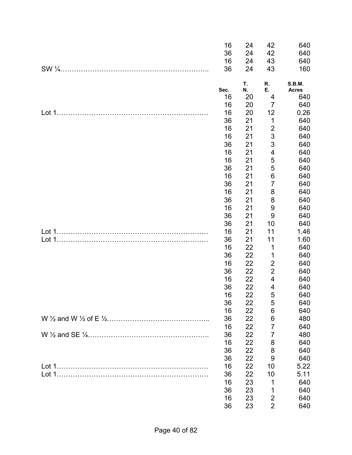|        | 16   | 24 | 42                      | 640           |
|--------|------|----|-------------------------|---------------|
|        | 36   | 24 | 42                      | 640           |
|        | 16   | 24 | 43                      | 640           |
|        | 36   | 24 | 43                      | 160           |
|        |      | Т. | R.                      | <b>S.B.M.</b> |
|        | Sec. | N. | Е.                      | <b>Acres</b>  |
|        | 16   | 20 | 4                       | 640           |
|        | 16   | 20 | $\overline{7}$          | 640           |
| Lot 1. | 16   | 20 | 12                      | 0.26          |
|        | 36   | 21 | 1                       | 640           |
|        | 16   | 21 | $\overline{2}$          | 640           |
|        | 16   | 21 | 3                       | 640           |
|        | 36   | 21 | 3                       | 640           |
|        | 16   | 21 | 4                       | 640           |
|        | 16   | 21 | 5                       | 640           |
|        | 36   | 21 | 5                       | 640           |
|        | 16   | 21 | $\,6$                   | 640           |
|        | 36   | 21 | $\overline{7}$          | 640           |
|        | 16   | 21 | 8                       | 640           |
|        | 36   | 21 | 8                       | 640           |
|        | 16   | 21 | 9                       | 640           |
|        | 36   | 21 | 9                       | 640           |
|        | 36   | 21 | 10                      | 640           |
|        | 16   | 21 | 11                      | 1.46          |
|        | 36   | 21 | 11                      | 1.60          |
|        | 16   | 22 | 1                       | 640           |
|        | 36   | 22 | 1                       | 640           |
|        | 16   | 22 | $\overline{c}$          | 640           |
|        | 36   | 22 | $\overline{c}$          | 640           |
|        | 16   | 22 | $\overline{\mathbf{4}}$ | 640           |
|        | 36   | 22 | 4                       | 640           |
|        | 16   | 22 | 5                       | 640           |
|        | 36   | 22 | 5                       | 640           |
|        | 16   | 22 | 6                       | 640           |
|        | 36   | 22 | 6                       | 480           |
|        | 16   | 22 | 7                       | 640           |
|        | 36   | 22 | $\overline{7}$          | 480           |
|        | 16   | 22 | 8                       | 640           |
|        | 36   | 22 | 8                       | 640           |
|        | 36   | 22 | 9                       | 640           |
|        | 16   | 22 | 10                      | 5.22          |
|        | 36   | 22 | 10                      | 5.11          |
|        | 16   | 23 | 1                       | 640           |
|        | 36   | 23 | 1                       | 640           |
|        | 16   | 23 | $\overline{2}$          | 640           |
|        | 36   | 23 | $\overline{2}$          | 640           |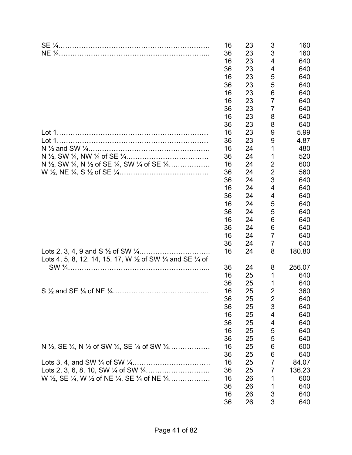|                                                                                                                 | 16<br>36<br>16<br>36<br>16<br>36<br>16<br>16<br>36 | 23<br>23<br>23<br>23<br>23<br>23<br>23<br>23<br>23 | 3<br>3<br>4<br>4<br>5<br>5<br>6<br>$\overline{7}$<br>7 | 160<br>160<br>640<br>640<br>640<br>640<br>640<br>640<br>640 |
|-----------------------------------------------------------------------------------------------------------------|----------------------------------------------------|----------------------------------------------------|--------------------------------------------------------|-------------------------------------------------------------|
|                                                                                                                 | 16                                                 | 23                                                 | 8                                                      | 640                                                         |
|                                                                                                                 | 36                                                 | 23                                                 | 8                                                      | 640                                                         |
|                                                                                                                 | 16                                                 | 23                                                 | 9                                                      | 5.99                                                        |
|                                                                                                                 | 36                                                 | 23                                                 | 9                                                      | 4.87                                                        |
|                                                                                                                 | 16                                                 | 24                                                 | 1                                                      | 480                                                         |
|                                                                                                                 | 36                                                 | 24                                                 | 1                                                      | 520                                                         |
| N 1/2, SW 1/4, N 1/2 of SE 1/4, SW 1/4 of SE 1/4                                                                | 16                                                 | 24                                                 | $\overline{2}$                                         | 600                                                         |
|                                                                                                                 | 36                                                 | 24                                                 | $\overline{2}$                                         | 560                                                         |
|                                                                                                                 | 36                                                 | 24                                                 | 3                                                      | 640                                                         |
|                                                                                                                 | 16                                                 | 24                                                 | 4                                                      | 640                                                         |
|                                                                                                                 | 36                                                 | 24                                                 | 4                                                      | 640                                                         |
|                                                                                                                 | 16                                                 | 24                                                 | 5                                                      | 640                                                         |
|                                                                                                                 | 36                                                 | 24                                                 | 5                                                      | 640                                                         |
|                                                                                                                 | 16                                                 | 24                                                 | 6                                                      | 640                                                         |
|                                                                                                                 | 36                                                 | 24                                                 | 6                                                      | 640                                                         |
|                                                                                                                 | 16                                                 | 24                                                 | $\overline{7}$                                         | 640                                                         |
|                                                                                                                 | 36                                                 | 24                                                 | 7                                                      | 640                                                         |
| Lots 4, 5, 8, 12, 14, 15, 17, W $\frac{1}{2}$ of SW $\frac{1}{4}$ and SE $\frac{1}{4}$ of                       | 16                                                 | 24                                                 | 8                                                      | 180.80                                                      |
|                                                                                                                 | 36                                                 | 24                                                 | 8                                                      | 256.07                                                      |
|                                                                                                                 | 16                                                 | 25                                                 | 1                                                      | 640                                                         |
|                                                                                                                 | 36                                                 | 25                                                 | 1                                                      | 640                                                         |
|                                                                                                                 | 16                                                 | 25                                                 | 2                                                      | 360                                                         |
|                                                                                                                 | 36                                                 | 25                                                 | 2                                                      | 640                                                         |
|                                                                                                                 | 36                                                 | 25                                                 | 3                                                      | 640                                                         |
|                                                                                                                 | 16                                                 | 25                                                 | 4                                                      | 640                                                         |
|                                                                                                                 | 36                                                 | 25                                                 | 4                                                      | 640                                                         |
|                                                                                                                 | 16                                                 | 25                                                 | 5                                                      | 640                                                         |
|                                                                                                                 | 36                                                 | 25                                                 | 5                                                      | 640                                                         |
| N $\frac{1}{2}$ , SE $\frac{1}{4}$ , N $\frac{1}{2}$ of SW $\frac{1}{4}$ , SE $\frac{1}{4}$ of SW $\frac{1}{4}$ | 16                                                 | 25                                                 | 6                                                      | 600                                                         |
|                                                                                                                 | 36                                                 | 25                                                 | 6                                                      | 640                                                         |
|                                                                                                                 | 16                                                 | 25                                                 | 7                                                      | 84.07                                                       |
|                                                                                                                 | 36                                                 | 25                                                 | 7                                                      | 136.23                                                      |
| W $\frac{1}{2}$ , SE $\frac{1}{4}$ , W $\frac{1}{2}$ of NE $\frac{1}{4}$ , SE $\frac{1}{4}$ of NE $\frac{1}{4}$ | 16                                                 | 26                                                 | 1                                                      | 600                                                         |
|                                                                                                                 | 36                                                 | 26                                                 | 1                                                      | 640                                                         |
|                                                                                                                 | 16                                                 | 26                                                 | 3                                                      | 640                                                         |
|                                                                                                                 | 36                                                 | 26                                                 | 3                                                      | 640                                                         |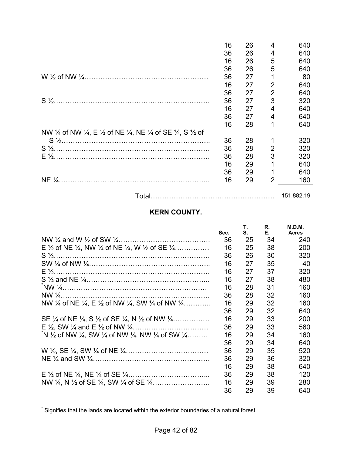|                                                                                                                                        | 16 | 26 | 4              | 640        |
|----------------------------------------------------------------------------------------------------------------------------------------|----|----|----------------|------------|
|                                                                                                                                        | 36 | 26 | 4              | 640        |
|                                                                                                                                        | 16 | 26 | 5              | 640        |
|                                                                                                                                        | 36 | 26 | 5              | 640        |
|                                                                                                                                        | 36 | 27 |                | 80         |
|                                                                                                                                        | 16 | 27 | 2              | 640        |
|                                                                                                                                        | 36 | 27 | $\overline{2}$ | 640        |
|                                                                                                                                        | 36 | 27 | 3              | 320        |
|                                                                                                                                        | 16 | 27 | 4              | 640        |
|                                                                                                                                        | 36 | 27 | 4              | 640        |
|                                                                                                                                        | 16 | 28 | 1              | 640        |
| NW $\frac{1}{4}$ of NW $\frac{1}{4}$ , E $\frac{1}{2}$ of NE $\frac{1}{4}$ , NE $\frac{1}{4}$ of SE $\frac{1}{4}$ , S $\frac{1}{2}$ of |    |    |                |            |
|                                                                                                                                        | 36 | 28 |                | 320        |
|                                                                                                                                        | 36 | 28 | 2              | 320        |
|                                                                                                                                        | 36 | 28 | 3              | 320        |
|                                                                                                                                        | 16 | 29 |                | 640        |
|                                                                                                                                        | 36 | 29 |                | 640        |
|                                                                                                                                        | 16 | 29 | $\overline{2}$ | 160        |
|                                                                                                                                        |    |    |                |            |
|                                                                                                                                        |    |    |                | 151,882.19 |

# **KERN COUNTY.**

|                                                                                                                     | Sec. | Τ.<br>S. | R.<br>Е. | M.D.M.<br><b>Acres</b> |
|---------------------------------------------------------------------------------------------------------------------|------|----------|----------|------------------------|
|                                                                                                                     | 36   | 25       | 34       | 240                    |
| E $\frac{1}{2}$ of NE $\frac{1}{4}$ , NW $\frac{1}{4}$ of NE $\frac{1}{4}$ , W $\frac{1}{2}$ of SE $\frac{1}{4}$    | 16   | 25       | 38       | 200                    |
|                                                                                                                     | 36   | 26       | 30       | 320                    |
|                                                                                                                     | 16   | 27       | 35       | 40                     |
|                                                                                                                     | 16   | 27       | 37       | 320                    |
|                                                                                                                     | 16   | 27       | 38       | 480                    |
|                                                                                                                     | 16   | 28       | 31       | 160                    |
|                                                                                                                     | 36   | 28       | 32       | 160                    |
| NW $\frac{1}{4}$ of NE $\frac{1}{4}$ , E $\frac{1}{2}$ of NW $\frac{1}{4}$ , SW $\frac{1}{4}$ of NW $\frac{1}{4}$ , | 16   | 29       | 32       | 160                    |
|                                                                                                                     | 36   | 29       | 32       | 640                    |
| SE $\frac{1}{4}$ of NE $\frac{1}{4}$ , S $\frac{1}{2}$ of SE $\frac{1}{4}$ , N $\frac{1}{2}$ of NW $\frac{1}{4}$    | 16   | 29       | 33       | 200                    |
|                                                                                                                     | 36   | 29       | 33       | 560                    |
| N 1/2 of NW 1/4, SW 1/4 of NW 1/4, NW 1/4 of SW 1/4                                                                 | 16   | 29       | 34       | 160                    |
|                                                                                                                     | 36   | 29       | 34       | 640                    |
|                                                                                                                     | 36   | 29       | 35       | 520                    |
|                                                                                                                     | 36   | 29       | 36       | 320                    |
|                                                                                                                     | 16   | 29       | 38       | 640                    |
|                                                                                                                     | 36   | 29       | 38       | 120                    |
|                                                                                                                     | 16   | 29       | 39       | 280                    |
|                                                                                                                     | 36   | 29       | 39       | 640                    |

 \* Signifies that the lands are located within the exterior boundaries of a natural forest.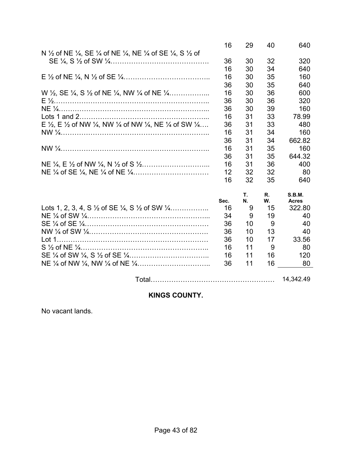|                                                                                                                                     | 16   | 29 | 40 | 640           |
|-------------------------------------------------------------------------------------------------------------------------------------|------|----|----|---------------|
| N 1/2 of NE 1/4, SE 1/4 of NE 1/4, NE 1/4 of SE 1/4, S 1/2 of                                                                       |      |    |    |               |
|                                                                                                                                     | 36   | 30 | 32 | 320           |
|                                                                                                                                     | 16   | 30 | 34 | 640           |
|                                                                                                                                     | 16   | 30 | 35 | 160           |
|                                                                                                                                     | 36   | 30 | 35 | 640           |
| W $\frac{1}{2}$ , SE $\frac{1}{4}$ , S $\frac{1}{2}$ of NE $\frac{1}{4}$ , NW $\frac{1}{4}$ of NE $\frac{1}{4}$                     | 16   | 30 | 36 | 600           |
|                                                                                                                                     | 36   | 30 | 36 | 320           |
|                                                                                                                                     | 36   | 30 | 39 | 160           |
|                                                                                                                                     | 16   | 31 | 33 | 78.99         |
| E $\frac{1}{2}$ , E $\frac{1}{2}$ of NW $\frac{1}{4}$ , NW $\frac{1}{4}$ of NW $\frac{1}{4}$ , NE $\frac{1}{4}$ of SW $\frac{1}{4}$ | 36   | 31 | 33 | 480           |
|                                                                                                                                     | 16   | 31 | 34 | 160           |
|                                                                                                                                     | 36   | 31 | 34 | 662.82        |
|                                                                                                                                     | 16   | 31 | 35 | 160           |
|                                                                                                                                     | 36   | 31 | 35 | 644.32        |
|                                                                                                                                     | 16   | 31 | 36 | 400           |
|                                                                                                                                     | 12   | 32 | 32 | 80            |
|                                                                                                                                     | 16   | 32 | 35 | 640           |
|                                                                                                                                     |      | Т. | R. | <b>S.B.M.</b> |
|                                                                                                                                     | Sec. | Ν. | W. | <b>Acres</b>  |
| Lots 1, 2, 3, 4, S $\frac{1}{2}$ of SE $\frac{1}{4}$ , S $\frac{1}{2}$ of SW $\frac{1}{4}$                                          | 16   | 9  | 15 | 322.80        |
|                                                                                                                                     | 34   | 9  | 19 | 40            |
|                                                                                                                                     | 36   | 10 | 9  | 40            |
|                                                                                                                                     | 36   | 10 | 13 | 40            |
|                                                                                                                                     | 36   | 10 | 17 | 33.56         |
|                                                                                                                                     | 16   | 11 | 9  | 80            |
|                                                                                                                                     | 16   | 11 | 16 | 120           |
|                                                                                                                                     | 36   | 11 | 16 | 80            |
|                                                                                                                                     |      |    |    | 14,342.49     |
|                                                                                                                                     |      |    |    |               |

# **KINGS COUNTY.**

No vacant lands.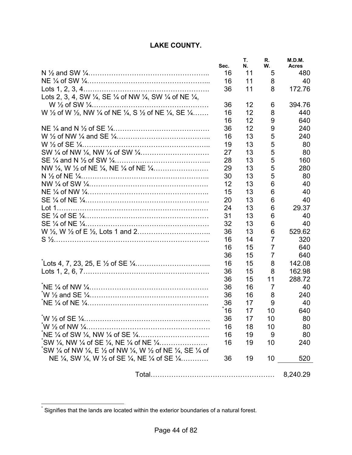### **LAKE COUNTY.**

|                                                                                                                    | Sec. | Τ.<br>N. | R.<br>W.       | M.D.M.<br><b>Acres</b> |
|--------------------------------------------------------------------------------------------------------------------|------|----------|----------------|------------------------|
|                                                                                                                    | 16   | 11       | 5              | 480                    |
|                                                                                                                    | 16   | 11       | 8              | 40                     |
|                                                                                                                    | 36   | 11       | 8              | 172.76                 |
| Lots 2, 3, 4, SW $\frac{1}{4}$ , SE $\frac{1}{4}$ of NW $\frac{1}{4}$ , SW $\frac{1}{4}$ of NE $\frac{1}{4}$ ,     |      |          |                |                        |
|                                                                                                                    | 36   | 12       | 6              | 394.76                 |
| W 1/2 of W 1/2, NW 1/4 of NE 1/4, S 1/2 of NE 1/4, SE 1/4                                                          | 16   | 12       | 8              | 440                    |
|                                                                                                                    | 16   | 12       | 9              | 640                    |
|                                                                                                                    | 36   | 12       | 9              | 240                    |
|                                                                                                                    | 16   | 13       | 5              | 240                    |
|                                                                                                                    | 19   | 13       | 5              | 80                     |
|                                                                                                                    | 27   | 13       | 5              | 80                     |
|                                                                                                                    | 28   | 13       | 5              | 160                    |
|                                                                                                                    | 29   | 13       | 5              | 280                    |
|                                                                                                                    | 30   | 13       | 5              | 80                     |
|                                                                                                                    | 12   | 13       | 6              | 40                     |
|                                                                                                                    | 15   | 13       | 6              | 40                     |
|                                                                                                                    | 20   | 13       | 6              | 40                     |
|                                                                                                                    | 24   | 13       | 6              | 29.37                  |
|                                                                                                                    | 31   | 13       | 6              | 40                     |
|                                                                                                                    | 32   | 13       | 6              | 40                     |
|                                                                                                                    | 36   | 13       | 6              | 529.62                 |
|                                                                                                                    | 16   | 14       | $\overline{7}$ | 320                    |
|                                                                                                                    | 16   | 15       | $\overline{7}$ | 640                    |
|                                                                                                                    | 36   | 15       | 7              | 640                    |
|                                                                                                                    |      |          | 8              |                        |
|                                                                                                                    | 16   | 15       |                | 142.08                 |
|                                                                                                                    | 36   | 15       | 8              | 162.98                 |
|                                                                                                                    | 36   | 15       | 11             | 288.72                 |
|                                                                                                                    | 36   | 16       | $\overline{7}$ | 40                     |
|                                                                                                                    | 36   | 16       | 8              | 240                    |
|                                                                                                                    | 36   | 17       | 9              | 40                     |
|                                                                                                                    | 16   | 17       | 10             | 640                    |
|                                                                                                                    | 36   | 17       | 10             | 80                     |
|                                                                                                                    | 16   | 18       | 10             | 80                     |
|                                                                                                                    | 16   | 19       | 9              | 80                     |
| $\degree$ SW ¼ of NW ¼, E ½ of NW ¼, W ½ of NE ¼, SE ¼ of                                                          | 16   | 19       | 10             | 240                    |
| NE $\frac{1}{4}$ , SW $\frac{1}{4}$ , W $\frac{1}{2}$ of SE $\frac{1}{4}$ , NE $\frac{1}{4}$ of SE $\frac{1}{4}$ , | 36   | 19       | 10             | 520                    |
|                                                                                                                    |      |          |                | 8,240.29               |

 \* Signifies that the lands are located within the exterior boundaries of a natural forest.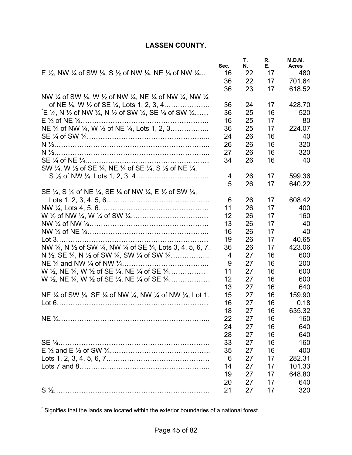### **LASSEN COUNTY.**

|                                                                                                                                       | Sec. | Τ.<br>N. | R.<br>Е. | M.D.M.<br><b>Acres</b> |
|---------------------------------------------------------------------------------------------------------------------------------------|------|----------|----------|------------------------|
| E $\frac{1}{2}$ , NW $\frac{1}{4}$ of SW $\frac{1}{4}$ , S $\frac{1}{2}$ of NW $\frac{1}{4}$ , NE $\frac{1}{4}$ of NW $\frac{1}{4}$   | 16   | 22       | 17       | 480                    |
|                                                                                                                                       | 36   | 22       | 17       | 701.64                 |
|                                                                                                                                       | 36   | 23       | 17       | 618.52                 |
| NW 1/4 of SW 1/4, W 1/2 of NW 1/4, NE 1/4 of NW 1/4, NW 1/4                                                                           |      |          |          |                        |
| of NE $\frac{1}{4}$ , W $\frac{1}{2}$ of SE $\frac{1}{4}$ , Lots 1, 2, 3, 4                                                           | 36   | 24       | 17       | 428.70                 |
| $E \frac{1}{2}$ , N $\frac{1}{2}$ of NW $\frac{1}{4}$ , N $\frac{1}{2}$ of SW $\frac{1}{4}$ , SE $\frac{1}{4}$ of SW $\frac{1}{4}$    | 36   | 25       | 16       | 520                    |
|                                                                                                                                       | 16   | 25       | 17       | 80                     |
| NE 1/4 of NW 1/4, W 1/2 of NE 1/4, Lots 1, 2, 3                                                                                       | 36   | 25       | 17       | 224.07                 |
|                                                                                                                                       | 24   | 26       | 16       | 40                     |
|                                                                                                                                       | 26   | 26       | 16       | 320                    |
|                                                                                                                                       | 27   | 26       | 16       | 320                    |
|                                                                                                                                       | 34   | 26       | 16       | 40                     |
| SW 1/4, W 1/2 of SE 1/4, NE 1/4 of SE 1/4, S 1/2 of NE 1/4,                                                                           |      |          |          |                        |
|                                                                                                                                       | 4    | 26       | 17       | 599.36                 |
|                                                                                                                                       | 5    | 26       | 17       | 640.22                 |
| SE $\frac{1}{4}$ , S $\frac{1}{2}$ of NE $\frac{1}{4}$ , SE $\frac{1}{4}$ of NW $\frac{1}{4}$ , E $\frac{1}{2}$ of SW $\frac{1}{4}$ , |      |          |          |                        |
|                                                                                                                                       | 6    | 26       | 17       | 608.42                 |
|                                                                                                                                       | 11   | 26       | 17       | 400                    |
|                                                                                                                                       | 12   | 26       | 17       | 160                    |
|                                                                                                                                       | 13   | 26       | 17       | 40                     |
|                                                                                                                                       | 16   | 26       | 17       | 40                     |
|                                                                                                                                       | 19   | 26       | 17       | 40.65                  |
| NW 1/4, N 1/2 of SW 1/4, NW 1/4 of SE 1/4, Lots 3, 4, 5, 6, 7.                                                                        | 36   | 26       | 17       | 423.06                 |
| N $\frac{1}{2}$ , SE $\frac{1}{4}$ , N $\frac{1}{2}$ of SW $\frac{1}{4}$ , SW $\frac{1}{4}$ of SW $\frac{1}{4}$                       | 4    | 27       | 16       | 600                    |
|                                                                                                                                       | 9    | 27       | 16       | 200                    |
| W $\frac{1}{2}$ , NE $\frac{1}{4}$ , W $\frac{1}{2}$ of SE $\frac{1}{4}$ , NE $\frac{1}{4}$ of SE $\frac{1}{4}$                       | 11   | 27       | 16       | 600                    |
| W $\frac{1}{2}$ , NE $\frac{1}{4}$ , W $\frac{1}{2}$ of SE $\frac{1}{4}$ , NE $\frac{1}{4}$ of SE $\frac{1}{4}$                       | 12   | 27       | 16       | 600                    |
|                                                                                                                                       | 13   | 27       | 16       | 640                    |
| NE $\frac{1}{4}$ of SW $\frac{1}{4}$ , SE $\frac{1}{4}$ of NW $\frac{1}{4}$ , NW $\frac{1}{4}$ of NW $\frac{1}{4}$ , Lot 1.           | 15   | 27       | 16       | 159.90                 |
|                                                                                                                                       | 16   | 27       | 16       | 0.18                   |
|                                                                                                                                       | 18   | 27       | 16       | 635.32                 |
|                                                                                                                                       | 22   | 27       | 16       | 160                    |
|                                                                                                                                       | 24   | 27       | 16       | 640                    |
|                                                                                                                                       | 28   | 27       | 16       |                        |
|                                                                                                                                       |      | 27       | 16       | 640                    |
|                                                                                                                                       | 33   |          |          | 160                    |
|                                                                                                                                       | 35   | 27       | 16       | 400                    |
|                                                                                                                                       | 6    | 27       | 17       | 282.31                 |
|                                                                                                                                       | 14   | 27       | 17       | 101.33                 |
|                                                                                                                                       | 19   | 27       | 17       | 648.80                 |
|                                                                                                                                       | 20   | 27       | 17       | 640                    |
|                                                                                                                                       | 21   | 27       | 17       | 320                    |

 \* Signifies that the lands are located within the exterior boundaries of a national forest.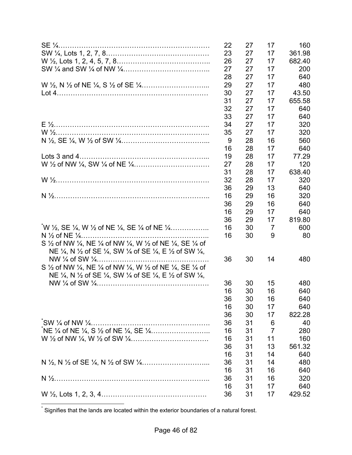|                                                                                                                                        | 22 | 27 | 17             | 160    |
|----------------------------------------------------------------------------------------------------------------------------------------|----|----|----------------|--------|
|                                                                                                                                        | 23 | 27 | 17             | 361.98 |
|                                                                                                                                        | 26 | 27 | 17             | 682.40 |
|                                                                                                                                        | 27 | 27 | 17             | 200    |
|                                                                                                                                        | 28 | 27 | 17             | 640    |
|                                                                                                                                        | 29 | 27 | 17             | 480    |
|                                                                                                                                        | 30 | 27 | 17             | 43.50  |
|                                                                                                                                        | 31 | 27 | 17             | 655.58 |
|                                                                                                                                        | 32 | 27 | 17             | 640    |
|                                                                                                                                        | 33 | 27 | 17             | 640    |
|                                                                                                                                        | 34 | 27 | 17             | 320    |
|                                                                                                                                        | 35 | 27 | 17             | 320    |
|                                                                                                                                        |    | 28 | 16             | 560    |
|                                                                                                                                        | 9  |    |                |        |
|                                                                                                                                        | 16 | 28 | 17             | 640    |
|                                                                                                                                        | 19 | 28 | 17             | 77.29  |
|                                                                                                                                        | 27 | 28 | 17             | 120    |
|                                                                                                                                        | 31 | 28 | 17             | 638.40 |
|                                                                                                                                        | 32 | 28 | 17             | 320    |
|                                                                                                                                        | 36 | 29 | 13             | 640    |
|                                                                                                                                        | 16 | 29 | 16             | 320    |
|                                                                                                                                        | 36 | 29 | 16             | 640    |
|                                                                                                                                        | 16 | 29 | 17             | 640    |
|                                                                                                                                        | 36 | 29 | 17             | 819.80 |
| W $\frac{1}{2}$ , SE $\frac{1}{4}$ , W $\frac{1}{2}$ of NE $\frac{1}{4}$ , SE $\frac{1}{4}$ of NE $\frac{1}{4}$                        | 16 | 30 | 7              | 600    |
| N $\frac{1}{2}$ of NE $\frac{1}{4}$                                                                                                    | 16 | 30 | 9              | 80     |
| S $\frac{1}{2}$ of NW $\frac{1}{4}$ , NE $\frac{1}{4}$ of NW $\frac{1}{4}$ , W $\frac{1}{2}$ of NE $\frac{1}{4}$ , SE $\frac{1}{4}$ of |    |    |                |        |
| NE 1/4, N 1/2 of SE 1/4, SW 1/4 of SE 1/4, E 1/2 of SW 1/4,                                                                            |    |    |                |        |
|                                                                                                                                        | 36 | 30 | 14             | 480    |
| S $\frac{1}{2}$ of NW $\frac{1}{4}$ , NE $\frac{1}{4}$ of NW $\frac{1}{4}$ , W $\frac{1}{2}$ of NE $\frac{1}{4}$ , SE $\frac{1}{4}$ of |    |    |                |        |
| NE 1/4, N 1/2 of SE 1/4, SW 1/4 of SE 1/4, E 1/2 of SW 1/4,                                                                            |    |    |                |        |
|                                                                                                                                        | 36 | 30 | 15             | 480    |
|                                                                                                                                        | 16 | 30 | 16             | 640    |
|                                                                                                                                        | 36 | 30 | 16             | 640    |
|                                                                                                                                        | 16 | 30 | 17             | 640    |
|                                                                                                                                        | 36 | 30 | 17             | 822.28 |
|                                                                                                                                        | 36 | 31 | 6              | 40     |
|                                                                                                                                        | 16 | 31 | $\overline{7}$ | 280    |
|                                                                                                                                        | 16 | 31 | 11             | 160    |
|                                                                                                                                        | 36 | 31 | 13             | 561.32 |
|                                                                                                                                        | 16 | 31 | 14             | 640    |
|                                                                                                                                        | 36 | 31 |                |        |
|                                                                                                                                        | 16 |    | 14             | 480    |
|                                                                                                                                        |    | 31 | 16             | 640    |
|                                                                                                                                        | 36 | 31 | 16             | 320    |
|                                                                                                                                        | 16 | 31 | 17             | 640    |
|                                                                                                                                        | 36 | 31 | 17             | 429.52 |

\* Signifies that the lands are located within the exterior boundaries of a natural forest.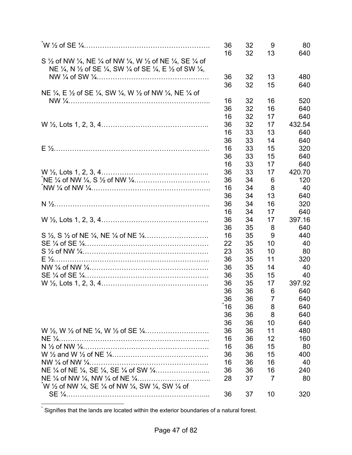|                                                                                                                                                                                                                                                                                 | 36<br>16 | 32<br>32 | 9<br>13 | 80<br>640 |
|---------------------------------------------------------------------------------------------------------------------------------------------------------------------------------------------------------------------------------------------------------------------------------|----------|----------|---------|-----------|
| S $\frac{1}{2}$ of NW $\frac{1}{4}$ , NE $\frac{1}{4}$ of NW $\frac{1}{4}$ , W $\frac{1}{2}$ of NE $\frac{1}{4}$ , SE $\frac{1}{4}$ of<br>NE $\frac{1}{4}$ , N $\frac{1}{2}$ of SE $\frac{1}{4}$ , SW $\frac{1}{4}$ of SE $\frac{1}{4}$ , E $\frac{1}{2}$ of SW $\frac{1}{4}$ , |          |          |         |           |
|                                                                                                                                                                                                                                                                                 | 36       | 32       | 13      | 480       |
| NE $\frac{1}{4}$ , E $\frac{1}{2}$ of SE $\frac{1}{4}$ , SW $\frac{1}{4}$ , W $\frac{1}{2}$ of NW $\frac{1}{4}$ , NE $\frac{1}{4}$ of                                                                                                                                           | 36       | 32       | 15      | 640       |
|                                                                                                                                                                                                                                                                                 | 16       | 32       | 16      | 520       |
|                                                                                                                                                                                                                                                                                 | 36       | 32       | 16      | 640       |
|                                                                                                                                                                                                                                                                                 | 16       | 32       | 17      | 640       |
|                                                                                                                                                                                                                                                                                 | 36       | 32       | 17      | 432.54    |
|                                                                                                                                                                                                                                                                                 | 16       | 33       | 13      | 640       |
|                                                                                                                                                                                                                                                                                 | 36       | 33       | 14      | 640       |
|                                                                                                                                                                                                                                                                                 | 16       | 33       | 15      | 320       |
|                                                                                                                                                                                                                                                                                 | 36       | 33       | 15      | 640       |
|                                                                                                                                                                                                                                                                                 | 16       | 33       | 17      | 640       |
|                                                                                                                                                                                                                                                                                 | 36       | 33       | 17      | 420.70    |
|                                                                                                                                                                                                                                                                                 | 36       | 34       | 6       | 120       |
|                                                                                                                                                                                                                                                                                 | 16       | 34       | 8       | 40        |
|                                                                                                                                                                                                                                                                                 | 36       | 34       | 13      | 640       |
|                                                                                                                                                                                                                                                                                 | 36       | 34       | 16      | 320       |
|                                                                                                                                                                                                                                                                                 | 16       | 34       | 17      |           |
|                                                                                                                                                                                                                                                                                 |          |          |         | 640       |
|                                                                                                                                                                                                                                                                                 | 36       | 34       | 17      | 397.16    |
|                                                                                                                                                                                                                                                                                 | 36       | 35       | 8       | 640       |
|                                                                                                                                                                                                                                                                                 | 16       | 35       | 9       | 440       |
|                                                                                                                                                                                                                                                                                 | 22       | 35       | 10      | 40        |
|                                                                                                                                                                                                                                                                                 | 23       | 35       | 10      | 80        |
|                                                                                                                                                                                                                                                                                 | 36       | 35       | 11      | 320       |
|                                                                                                                                                                                                                                                                                 | 36       | 35       | 14      | 40        |
|                                                                                                                                                                                                                                                                                 | 36       | 35       | 15      | 40        |
|                                                                                                                                                                                                                                                                                 | 36       | 35       | 17      | 397.92    |
|                                                                                                                                                                                                                                                                                 | 36       | 36       | 6       | 640       |
|                                                                                                                                                                                                                                                                                 | 36       | 36       | 7       | 640       |
|                                                                                                                                                                                                                                                                                 | 16       | 36       | 8       | 640       |
|                                                                                                                                                                                                                                                                                 | 36       | 36       | 8       | 640       |
|                                                                                                                                                                                                                                                                                 | 36       | 36       | 10      | 640       |
|                                                                                                                                                                                                                                                                                 | 36       | 36       | 11      | 480       |
|                                                                                                                                                                                                                                                                                 | 16       | 36       | 12      | 160       |
|                                                                                                                                                                                                                                                                                 | 16       | 36       | 15      | 80        |
|                                                                                                                                                                                                                                                                                 | 36       | 36       | 15      | 400       |
|                                                                                                                                                                                                                                                                                 | 16       | 36       | 16      | 40        |
|                                                                                                                                                                                                                                                                                 | 36       | 36       | 16      | 240       |
|                                                                                                                                                                                                                                                                                 | 28       | 37       | 7       | 80        |
| W $\frac{1}{2}$ of NW $\frac{1}{4}$ , SE $\frac{1}{4}$ of NW $\frac{1}{4}$ , SW $\frac{1}{4}$ , SW $\frac{1}{4}$ of                                                                                                                                                             |          |          |         |           |
|                                                                                                                                                                                                                                                                                 | 36       | 37       | 10      | 320       |

 \* Signifies that the lands are located within the exterior boundaries of a natural forest.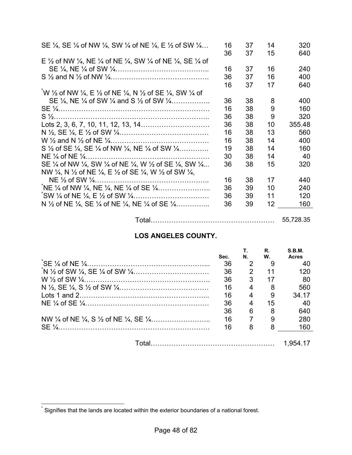| SE $\frac{1}{4}$ , SE $\frac{1}{4}$ of NW $\frac{1}{4}$ , SW $\frac{1}{4}$ of NE $\frac{1}{4}$ , E $\frac{1}{2}$ of SW $\frac{1}{4}$ | 16<br>36 | 37<br>37 | 14<br>15 | 320<br>640 |
|--------------------------------------------------------------------------------------------------------------------------------------|----------|----------|----------|------------|
| E 1/2 of NW 1/4, NE 1/4 of NE 1/4, SW 1/4 of NE 1/4, SE 1/4 of                                                                       |          |          |          |            |
|                                                                                                                                      | 16       | 37       | 16       | 240        |
|                                                                                                                                      | 36       | 37       | 16       | 400        |
|                                                                                                                                      | 16       | 37       | 17       | 640        |
| W 1/2 of NW 1/4, E 1/2 of NE 1/4, N 1/2 of SE 1/4, SW 1/4 of                                                                         |          |          |          |            |
| SE $\frac{1}{4}$ , NE $\frac{1}{4}$ of SW $\frac{1}{4}$ and S $\frac{1}{2}$ of SW $\frac{1}{4}$                                      | 36       | 38       | 8        | 400        |
|                                                                                                                                      | 16       | 38       | 9        | 160        |
|                                                                                                                                      | 36       | 38       | 9        | 320        |
|                                                                                                                                      | 36       | 38       | 10       | 355.48     |
|                                                                                                                                      | 16       | 38       | 13       | 560        |
|                                                                                                                                      | 16       | 38       | 14       | 400        |
| S $\frac{1}{2}$ of SE $\frac{1}{4}$ , SE $\frac{1}{4}$ of NW $\frac{1}{4}$ , NE $\frac{1}{4}$ of SW $\frac{1}{4}$ ,                  | 19       | 38       | 14       | 160        |
|                                                                                                                                      | 30       | 38       | 14       | 40         |
| SE 1/4 of NW 1/4, SW 1/4 of NE 1/4, W 1/2 of SE 1/4, SW 1/4                                                                          | 36       | 38       | 15       | 320        |
| NW $\frac{1}{4}$ , N $\frac{1}{2}$ of NE $\frac{1}{4}$ , E $\frac{1}{2}$ of SE $\frac{1}{4}$ , W $\frac{1}{2}$ of SW $\frac{1}{4}$ , |          |          |          |            |
|                                                                                                                                      | 16       | 38       | 17       | 440        |
|                                                                                                                                      | 36       | 39       | 10       | 240        |
|                                                                                                                                      | 36       | 39       | 11       | 120        |
| N $\frac{1}{2}$ of NE $\frac{1}{4}$ , SE $\frac{1}{4}$ of NE $\frac{1}{4}$ , NE $\frac{1}{4}$ of SE $\frac{1}{4}$                    | 36       | 39       | 12       | 160        |
|                                                                                                                                      |          |          |          |            |

| 55.728.35 |
|-----------|
|-----------|

### **LOS ANGELES COUNTY.**

| Sec. | N.          | R.<br>W. | S.B.M.<br><b>Acres</b> |
|------|-------------|----------|------------------------|
| 36   |             | 9        | 40                     |
| 36   | 2           | 11       | 120                    |
| 36   | 3           | 17       | -80                    |
| 16   | 4           | - 8      | 560                    |
| 16   | 4           | 9        | 34.17                  |
| 36   | 4           | 15       | 40                     |
| 36   | 6           | 8        | 640                    |
| 16   | $7^{\circ}$ | 9        | 280                    |
| 16   | 8           |          | 160                    |
|      |             |          | 1.954.17               |

 \* Signifies that the lands are located within the exterior boundaries of a national forest.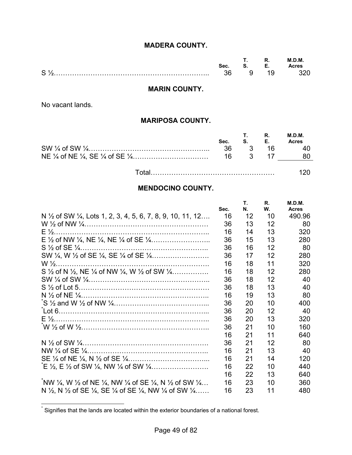### **MADERA COUNTY.**

|   |      | . . | .   | ת.C<br>M |
|---|------|-----|-----|----------|
|   | sеc. | u.  | . . | cres     |
| S |      |     |     |          |

#### **MARIN COUNTY.**

No vacant lands.

#### **MARIPOSA COUNTY.**

| Sec. | $S.$ E. | $R_{\cdot}$ | M.D.M.<br><b>Acres</b> |
|------|---------|-------------|------------------------|
|      |         | 36 3 16     | 40                     |
|      | 16 3 17 |             | 80                     |
|      |         |             |                        |

#### **MENDOCINO COUNTY.**

|                                                                                                                                     | Sec. | Т.<br>N. | R.<br>W. | M.D.M.<br><b>Acres</b> |
|-------------------------------------------------------------------------------------------------------------------------------------|------|----------|----------|------------------------|
| N 1/2 of SW 1/4, Lots 1, 2, 3, 4, 5, 6, 7, 8, 9, 10, 11, 12                                                                         | 16   | 12       | 10       | 490.96                 |
|                                                                                                                                     | 36   | 13       | 12       | 80                     |
|                                                                                                                                     | 16   | 14       | 13       | 320                    |
|                                                                                                                                     | 36   | 15       | 13       | 280                    |
|                                                                                                                                     | 36   | 16       | 12       | 80                     |
|                                                                                                                                     | 36   | 17       | 12       | 280                    |
|                                                                                                                                     | 16   | 18       | 11       | 320                    |
| S $\frac{1}{2}$ of N $\frac{1}{2}$ , NE $\frac{1}{4}$ of NW $\frac{1}{4}$ , W $\frac{1}{2}$ of SW $\frac{1}{4}$                     | 16   | 18       | 12       | 280                    |
|                                                                                                                                     | 36   | 18       | 12       | 40                     |
|                                                                                                                                     | 36   | 18       | 13       | 40                     |
|                                                                                                                                     | 16   | 19       | 13       | 80                     |
|                                                                                                                                     | 36   | 20       | 10       | 400                    |
|                                                                                                                                     | 36   | 20       | 12       | 40                     |
|                                                                                                                                     | 36   | 20       | 13       | 320                    |
|                                                                                                                                     | 36   | 21       | 10       | 160                    |
|                                                                                                                                     | 16   | 21       | 11       | 640                    |
|                                                                                                                                     | 36   | 21       | 12       | 80                     |
|                                                                                                                                     | 16   | 21       | 13       | 40                     |
|                                                                                                                                     | 16   | 21       | 14       | 120                    |
|                                                                                                                                     | 16   | 22       | 10       | 440                    |
|                                                                                                                                     | 16   | 22       | 13       | 640                    |
| NW $\frac{1}{4}$ , W $\frac{1}{2}$ of NE $\frac{1}{4}$ , NW $\frac{1}{4}$ of SE $\frac{1}{4}$ , N $\frac{1}{2}$ of SW $\frac{1}{4}$ | 16   | 23       | 10       | 360                    |
| N $\frac{1}{2}$ , N $\frac{1}{2}$ of SE $\frac{1}{4}$ , SE $\frac{1}{4}$ of SE $\frac{1}{4}$ , NW $\frac{1}{4}$ of SW $\frac{1}{4}$ | 16   | 23       | 11       | 480                    |

 \* Signifies that the lands are located within the exterior boundaries of a national forest.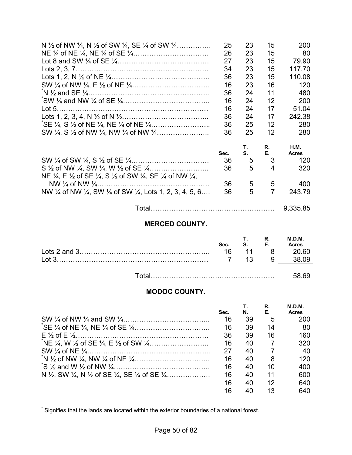| N $\frac{1}{2}$ of NW $\frac{1}{4}$ , N $\frac{1}{2}$ of SW $\frac{1}{4}$ , SE $\frac{1}{4}$ of SW $\frac{1}{4}$                      | 25   | 23 | 15 | 200          |
|---------------------------------------------------------------------------------------------------------------------------------------|------|----|----|--------------|
|                                                                                                                                       | 26   | 23 | 15 | 80           |
|                                                                                                                                       | 27   | 23 | 15 | 79.90        |
|                                                                                                                                       | 34   | 23 | 15 | 117.70       |
|                                                                                                                                       | 36   | 23 | 15 | 110.08       |
|                                                                                                                                       | 16   | 23 | 16 | 120          |
|                                                                                                                                       | 36   | 24 | 11 | 480          |
|                                                                                                                                       | 16   | 24 | 12 | 200          |
|                                                                                                                                       | 16   | 24 | 17 | 51.04        |
|                                                                                                                                       | 36   | 24 | 17 | 242.38       |
|                                                                                                                                       | 36   | 25 | 12 | 280          |
|                                                                                                                                       | 36   | 25 | 12 | 280          |
|                                                                                                                                       |      | Τ. | R. | <b>H.M.</b>  |
|                                                                                                                                       | Sec. | S. | Е. | <b>Acres</b> |
|                                                                                                                                       | 36   | 5  | 3  | 120          |
|                                                                                                                                       | 36   | 5  | 4  | 320          |
| NE $\frac{1}{4}$ , E $\frac{1}{2}$ of SE $\frac{1}{4}$ , S $\frac{1}{2}$ of SW $\frac{1}{4}$ , SE $\frac{1}{4}$ of NW $\frac{1}{4}$ , |      |    |    |              |
|                                                                                                                                       | 36   | 5  | 5  | 400          |
| NW 1/4 of NW 1/4, SW 1/4 of SW 1/4, Lots 1, 2, 3, 4, 5, 6                                                                             | 36   | 5  | 7  | 243.79       |
|                                                                                                                                       |      |    |    |              |

Total……………………………………………… 9,335.85

#### **MERCED COUNTY.**

| Sec. | R.<br>S. E. | <b>M.D.M.</b><br><b>Acres</b> |
|------|-------------|-------------------------------|
| - 16 |             | 11 8 20.60                    |
|      | 7 13 9      |                               |
|      |             | 58 RQ                         |

### **MODOC COUNTY.**

|                                                                                                                   | Sec. | N. | R.<br>Е. | M.D.M.<br><b>Acres</b> |
|-------------------------------------------------------------------------------------------------------------------|------|----|----------|------------------------|
|                                                                                                                   | 16   | 39 | 5        | 200                    |
|                                                                                                                   | 16   | 39 | 14       | 80                     |
|                                                                                                                   | 36   | 39 | 16       | 160                    |
|                                                                                                                   | 16   | 40 | 7        | 320                    |
|                                                                                                                   | 27   | 40 |          | 40                     |
|                                                                                                                   | 16   | 40 | 8        | 120                    |
|                                                                                                                   | 16   | 40 | 10       | 400                    |
| N $\frac{1}{2}$ , SW $\frac{1}{4}$ , N $\frac{1}{2}$ of SE $\frac{1}{4}$ , SE $\frac{1}{4}$ of SE $\frac{1}{4}$ , | 16   | 40 | 11       | 600                    |
|                                                                                                                   | 16   | 40 | 12       | 640                    |
|                                                                                                                   | 16   | 40 | 13       | 640                    |

 \* Signifies that the lands are located within the exterior boundaries of a national forest.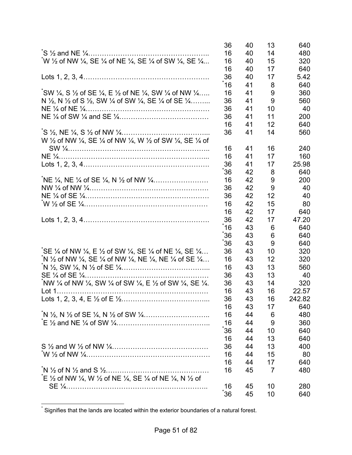|                                                                                                                                      | 36   | 40 | 13 | 640    |
|--------------------------------------------------------------------------------------------------------------------------------------|------|----|----|--------|
|                                                                                                                                      | 16   | 40 | 14 | 480    |
| W 1/2 of NW 1/4, SE 1/4 of NE 1/4, SE 1/4 of SW 1/4, SE 1/4                                                                          | 16   | 40 | 15 | 320    |
|                                                                                                                                      | 16   | 40 | 17 | 640    |
|                                                                                                                                      | 36   | 40 | 17 | 5.42   |
|                                                                                                                                      | ້16  | 41 | 8  | 640    |
| $\sqrt[3]{5}$ W ¼, S ½ of SE ¼, E ½ of NE ¼, SW ¼ of NW ¼                                                                            | 16   | 41 | 9  | 360    |
| N $\frac{1}{2}$ , N $\frac{1}{2}$ of S $\frac{1}{2}$ , SW $\frac{1}{4}$ of SW $\frac{1}{4}$ , SE $\frac{1}{4}$ of SE $\frac{1}{4}$   | 36   | 41 | 9  | 560    |
|                                                                                                                                      | 36   | 41 | 10 | 40     |
|                                                                                                                                      | 36   | 41 | 11 | 200    |
|                                                                                                                                      | 16   | 41 | 12 | 640    |
|                                                                                                                                      | 36   | 41 | 14 | 560    |
| W 1/2 of NW 1/4, SE 1/4 of NW 1/4, W 1/2 of SW 1/4, SE 1/4 of                                                                        |      |    |    |        |
|                                                                                                                                      | 16   | 41 | 16 | 240    |
|                                                                                                                                      | 16   | 41 | 17 | 160    |
|                                                                                                                                      | 36   | 41 | 17 | 25.98  |
|                                                                                                                                      | ໌ 36 | 42 | 8  | 640    |
|                                                                                                                                      | 16   | 42 | 9  | 200    |
|                                                                                                                                      | 36   | 42 | 9  | 40     |
|                                                                                                                                      | 36   | 42 | 12 | 40     |
|                                                                                                                                      | 16   | 42 | 15 | 80     |
|                                                                                                                                      | 16   | 42 | 17 | 640    |
|                                                                                                                                      | 36   | 42 | 17 | 47.20  |
|                                                                                                                                      | 16   | 43 | 6  | 640    |
|                                                                                                                                      | 36   | 43 | 6  | 640    |
|                                                                                                                                      | 36   | 43 | 9  | 640    |
| SE 1/4 of NW 1/4, E 1/2 of SW 1/4, SE 1/4 of NE 1/4, SE 1/4                                                                          | 36   | 43 | 10 | 320    |
| N $\frac{1}{2}$ of NW $\frac{1}{4}$ , SE $\frac{1}{4}$ of NW $\frac{1}{4}$ , NE $\frac{1}{4}$ , NE $\frac{1}{4}$ of SE $\frac{1}{4}$ | 16   | 43 | 12 | 320    |
|                                                                                                                                      | 16   | 43 | 13 | 560    |
|                                                                                                                                      | 36   | 43 | 13 | 40     |
| NW 1/4 of NW 1/4, SW 1/4 of SW 1/4, E 1/2 of SW 1/4, SE 1/4.                                                                         | 36   | 43 | 14 | 320    |
|                                                                                                                                      | 16   | 43 | 16 | 22.57  |
|                                                                                                                                      | 36   | 43 | 16 | 242.82 |
|                                                                                                                                      | 16   | 43 | 17 | 640    |
|                                                                                                                                      | 16   | 44 | 6  | 480    |
|                                                                                                                                      | 16   | 44 | 9  | 360    |
|                                                                                                                                      | ້36  | 44 | 10 | 640    |
|                                                                                                                                      | 16   | 44 | 13 | 640    |
|                                                                                                                                      | 36   | 44 | 13 | 400    |
|                                                                                                                                      | 16   | 44 | 15 | 80     |
|                                                                                                                                      | 16   | 44 | 17 | 640    |
|                                                                                                                                      | 16   | 45 | 7  | 480    |
| $E$ 1/2 of NW 1/4, W 1/2 of NE 1/4, SE 1/4 of NE 1/4, N 1/2 of                                                                       |      |    |    |        |
|                                                                                                                                      | 16   | 45 | 10 | 280    |
|                                                                                                                                      | 36   | 45 | 10 | 640    |

 \* Signifies that the lands are located within the exterior boundaries of a natural forest.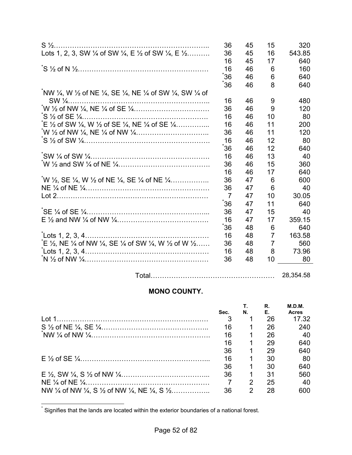| $S\frac{1}{2}$                                                                                                                     | 36             | 45 | 15             | 320    |
|------------------------------------------------------------------------------------------------------------------------------------|----------------|----|----------------|--------|
| Lots 1, 2, 3, SW $\frac{1}{4}$ of SW $\frac{1}{4}$ , E $\frac{1}{2}$ of SW $\frac{1}{4}$ , E $\frac{1}{2}$                         | 36             | 45 | 16             | 543.85 |
|                                                                                                                                    | 16             | 45 | 17             | 640    |
|                                                                                                                                    | 16             | 46 | 6              | 160    |
|                                                                                                                                    | ້36            | 46 | 6              | 640    |
|                                                                                                                                    | 36             | 46 | 8              | 640    |
| NW 1⁄4, W 1⁄2 of NE 1⁄4, SE 1⁄4, NE 1⁄4 of SW 1⁄4, SW 1⁄4 of                                                                       |                |    |                |        |
|                                                                                                                                    | 16             | 46 | 9              | 480    |
|                                                                                                                                    | 36             | 46 | 9              | 120    |
|                                                                                                                                    | 16             | 46 | 10             | 80     |
| $E \frac{1}{2}$ of SW $\frac{1}{4}$ , W $\frac{1}{2}$ of SE $\frac{1}{4}$ , NE $\frac{1}{4}$ of SE $\frac{1}{4}$                   | 16             | 46 | 11             | 200    |
|                                                                                                                                    | 36             | 46 | 11             | 120    |
|                                                                                                                                    | 16             | 46 | 12             | 80     |
|                                                                                                                                    | 36             | 46 | 12             | 640    |
|                                                                                                                                    | 16             | 46 | 13             | 40     |
|                                                                                                                                    | 36             | 46 | 15             | 360    |
|                                                                                                                                    | 16             | 46 | 17             | 640    |
| W $\frac{1}{2}$ , SE $\frac{1}{4}$ , W $\frac{1}{2}$ of NE $\frac{1}{4}$ , SE $\frac{1}{4}$ of NE $\frac{1}{4}$                    | 36             | 47 | 6              | 600    |
|                                                                                                                                    | 36             | 47 | 6              | 40     |
|                                                                                                                                    | $\overline{7}$ | 47 | 10             | 30.05  |
|                                                                                                                                    | ჽ 36           | 47 | 11             | 640    |
|                                                                                                                                    | 36             | 47 | 15             | 40     |
|                                                                                                                                    | 16             | 47 | 17             | 359.15 |
|                                                                                                                                    | 36             | 48 | 6              | 640    |
|                                                                                                                                    | 16             | 48 | $\overline{7}$ | 163.58 |
| $E \frac{1}{2}$ , NE $\frac{1}{4}$ of NW $\frac{1}{4}$ , SE $\frac{1}{4}$ of SW $\frac{1}{4}$ , W $\frac{1}{2}$ of W $\frac{1}{2}$ | 36             | 48 | $\overline{7}$ | 560    |
| $\text{Lots } 1, 2, 3, 4 \dots 1$                                                                                                  | 16             | 48 | 8              | 73.96  |
|                                                                                                                                    | 36             | 48 | 10             | 80     |
|                                                                                                                                    |                |    |                |        |

Total……………………………………………… 28,354.58

# **MONO COUNTY.**

|                                                                                                                   | Sec. | N. | R.<br>E., | M.D.M.<br><b>Acres</b> |
|-------------------------------------------------------------------------------------------------------------------|------|----|-----------|------------------------|
|                                                                                                                   |      |    | 26        | 17.32                  |
|                                                                                                                   | 16   |    | 26        | 240                    |
|                                                                                                                   | 16   |    | 26        | 40                     |
|                                                                                                                   | 16   |    | 29        | 640                    |
|                                                                                                                   | 36   |    | 29        | 640                    |
|                                                                                                                   | 16   |    | 30        | 80                     |
|                                                                                                                   | 36   |    | 30        | 640                    |
|                                                                                                                   | 36   |    | 31        | 560                    |
|                                                                                                                   |      | 2  | 25        | 40                     |
| NW $\frac{1}{4}$ of NW $\frac{1}{4}$ , S $\frac{1}{2}$ of NW $\frac{1}{4}$ , NE $\frac{1}{4}$ , S $\frac{1}{2}$ , | 36   | 2  | 28        | 600                    |

 \* Signifies that the lands are located within the exterior boundaries of a national forest.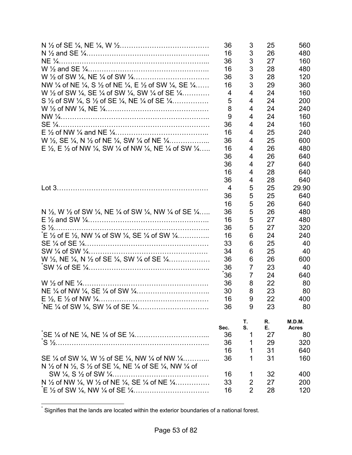|                                                                                                                                       | 36<br>16       | 3<br>3         | 25<br>26 | 560<br>480             |
|---------------------------------------------------------------------------------------------------------------------------------------|----------------|----------------|----------|------------------------|
|                                                                                                                                       | 36             | 3              | 27       |                        |
|                                                                                                                                       |                | 3              |          | 160                    |
|                                                                                                                                       | 16             |                | 28       | 480                    |
|                                                                                                                                       | 36             | 3              | 28       | 120                    |
| NW $\frac{1}{4}$ of NE $\frac{1}{4}$ , S $\frac{1}{2}$ of NE $\frac{1}{4}$ , E $\frac{1}{2}$ of SW $\frac{1}{4}$ , SE $\frac{1}{4}$   | 16             | 3              | 29       | 360                    |
| W 1/2 of SW 1/4, SE 1/4 of SW 1/4, SW 1/4 of SE 1/4                                                                                   | 4              | 4              | 24       | 160                    |
| S $\frac{1}{2}$ of SW $\frac{1}{4}$ , S $\frac{1}{2}$ of SE $\frac{1}{4}$ , NE $\frac{1}{4}$ of SE $\frac{1}{4}$                      | 5              | 4              | 24       | 200                    |
|                                                                                                                                       | 8              | 4              | 24       | 240                    |
|                                                                                                                                       | 9              | 4              | 24       | 160                    |
|                                                                                                                                       | 36             | 4              | 24       | 160                    |
|                                                                                                                                       | 16             | 4              | 25       | 240                    |
| W $\frac{1}{2}$ , SE $\frac{1}{4}$ , N $\frac{1}{2}$ of NE $\frac{1}{4}$ , SW $\frac{1}{4}$ of NE $\frac{1}{4}$                       | 36             | 4              | 25       | 600                    |
| E $\frac{1}{2}$ , E $\frac{1}{2}$ of NW $\frac{1}{4}$ , SW $\frac{1}{4}$ of NW $\frac{1}{4}$ , NE $\frac{1}{4}$ of SW $\frac{1}{4}$   | 16             | 4              | 26       | 480                    |
|                                                                                                                                       | 36             | 4              | 26       | 640                    |
|                                                                                                                                       | 36             | 4              | 27       | 640                    |
|                                                                                                                                       | 16             | 4              | 28       | 640                    |
|                                                                                                                                       | 36             | 4              | 28       | 640                    |
|                                                                                                                                       | $\overline{4}$ | 5              | 25       | 29.90                  |
|                                                                                                                                       | 36             | 5              | 25       | 640                    |
|                                                                                                                                       | 16             | 5              | 26       | 640                    |
| N $\frac{1}{2}$ , W $\frac{1}{2}$ of SW $\frac{1}{4}$ , NE $\frac{1}{4}$ of SW $\frac{1}{4}$ , NW $\frac{1}{4}$ of SE $\frac{1}{4}$   | 36             | 5              | 26       | 480                    |
|                                                                                                                                       | 16             | 5              | 27       | 480                    |
|                                                                                                                                       | 36             | 5              | 27       | 320                    |
| $E \frac{1}{2}$ of E $\frac{1}{2}$ , NW $\frac{1}{4}$ of SW $\frac{1}{4}$ , SE $\frac{1}{4}$ of SW $\frac{1}{4}$                      | 16             | 6              | 24       | 240                    |
|                                                                                                                                       | 33             | 6              | 25       | 40                     |
|                                                                                                                                       | 34             | 6              | 25       | 40                     |
| W 1/2, NE 1/4, N 1/2 of SE 1/4, SW 1/4 of SE 1/4                                                                                      | 36             | 6              | 26       | 600                    |
|                                                                                                                                       | 36             | 7              | 23       | 40                     |
|                                                                                                                                       | 36             | 7              | 24       | 640                    |
|                                                                                                                                       | 36             | 8              | 22       | 80                     |
|                                                                                                                                       | 30             |                | 23       |                        |
|                                                                                                                                       |                | 8              |          | 80                     |
|                                                                                                                                       | 16             | 9              | 22       | 400                    |
|                                                                                                                                       | 36             | 9              | 23       | 80                     |
|                                                                                                                                       | Sec.           | Т.<br>S.       | R.<br>Е. | M.D.M.<br><b>Acres</b> |
|                                                                                                                                       | 36             | 1              | 27       | 80                     |
|                                                                                                                                       | 36             | 1              | 29       | 320                    |
|                                                                                                                                       | 16             | 1              | 31       | 640                    |
| SE $\frac{1}{4}$ of SW $\frac{1}{4}$ , W $\frac{1}{2}$ of SE $\frac{1}{4}$ , NW $\frac{1}{4}$ of NW $\frac{1}{4}$                     | 36             | 1              | 31       | 160                    |
| N $\frac{1}{2}$ of N $\frac{1}{2}$ , S $\frac{1}{2}$ of SE $\frac{1}{4}$ , NE $\frac{1}{4}$ of SE $\frac{1}{4}$ , NW $\frac{1}{4}$ of |                |                |          |                        |
|                                                                                                                                       | 16             | 1              | 32       | 400                    |
| N 1/2 of NW 1/4, W 1/2 of NE 1/4, SE 1/4 of NE 1/4                                                                                    | 33             | 2              | 27       | 200                    |
|                                                                                                                                       | 16             | $\overline{2}$ | 28       | 120                    |

 \* Signifies that the lands are located within the exterior boundaries of a national forest.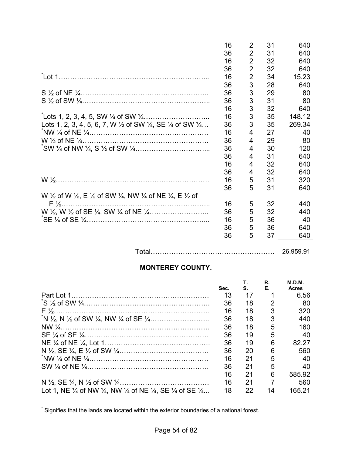|                                                                                                                                      | 16 | 2              | 31 | 640    |
|--------------------------------------------------------------------------------------------------------------------------------------|----|----------------|----|--------|
|                                                                                                                                      | 36 | $\overline{2}$ | 31 | 640    |
|                                                                                                                                      | 16 | $\overline{2}$ | 32 | 640    |
|                                                                                                                                      | 36 | $\overline{2}$ | 32 | 640    |
|                                                                                                                                      | 16 | $\overline{2}$ | 34 | 15.23  |
|                                                                                                                                      | 36 | 3              | 28 | 640    |
|                                                                                                                                      | 36 | 3              | 29 | 80     |
|                                                                                                                                      | 36 | 3              | 31 | 80     |
|                                                                                                                                      | 16 | 3              | 32 | 640    |
|                                                                                                                                      | 16 | 3              | 35 | 148.12 |
| Lots 1, 2, 3, 4, 5, 6, 7, W $\frac{1}{2}$ of SW $\frac{1}{4}$ , SE $\frac{1}{4}$ of SW $\frac{1}{4}$                                 | 36 | 3              | 35 | 269.34 |
|                                                                                                                                      | 16 | 4              | 27 | 40     |
|                                                                                                                                      | 36 | 4              | 29 | 80     |
|                                                                                                                                      | 36 | 4              | 30 | 120    |
|                                                                                                                                      | 36 | 4              | 31 | 640    |
|                                                                                                                                      | 16 | 4              | 32 | 640    |
|                                                                                                                                      | 36 | 4              | 32 | 640    |
|                                                                                                                                      | 16 | 5              | 31 | 320    |
|                                                                                                                                      | 36 | 5              | 31 | 640    |
| W $\frac{1}{2}$ of W $\frac{1}{2}$ , E $\frac{1}{2}$ of SW $\frac{1}{4}$ , NW $\frac{1}{4}$ of NE $\frac{1}{4}$ , E $\frac{1}{2}$ of |    |                |    |        |
| $E\frac{1}{2}$                                                                                                                       | 16 | 5              | 32 | 440    |
|                                                                                                                                      | 36 | 5              | 32 | 440    |
|                                                                                                                                      | 16 | 5              | 36 | 40     |
|                                                                                                                                      | 36 | 5              | 36 | 640    |
|                                                                                                                                      | 36 | 5              | 37 | 640    |

Total……………………………………………… 26,959.91

# **MONTEREY COUNTY.**

|                                                                                                                           |      | Т.  | R. | M.D.M.       |
|---------------------------------------------------------------------------------------------------------------------------|------|-----|----|--------------|
|                                                                                                                           | Sec. | S.  | Е. | <b>Acres</b> |
|                                                                                                                           | 13   | 17  |    | 6.56         |
|                                                                                                                           | 36   | 18  | 2  | 80           |
|                                                                                                                           | 16   | 18  | 3  | 320          |
|                                                                                                                           | 36   | 18  | 3  | 440          |
|                                                                                                                           | 36   | 18  | 5  | 160          |
|                                                                                                                           | 36   | 19  | 5  | 40           |
|                                                                                                                           | 36   | 19  | 6  | 82.27        |
|                                                                                                                           | 36   | 20  | 6  | 560          |
|                                                                                                                           | 16   | 21  | 5  | 40           |
|                                                                                                                           | 36   | -21 | 5  | 40           |
|                                                                                                                           | 16   | 21  | 6  | 585.92       |
|                                                                                                                           | 16   | 21  | 7  | 560          |
| Lot 1, NE $\frac{1}{4}$ of NW $\frac{1}{4}$ , NW $\frac{1}{4}$ of NE $\frac{1}{4}$ , SE $\frac{1}{4}$ of SE $\frac{1}{4}$ | 18   | 22  | 14 | 165 21       |
|                                                                                                                           |      |     |    |              |

 \* Signifies that the lands are located within the exterior boundaries of a national forest.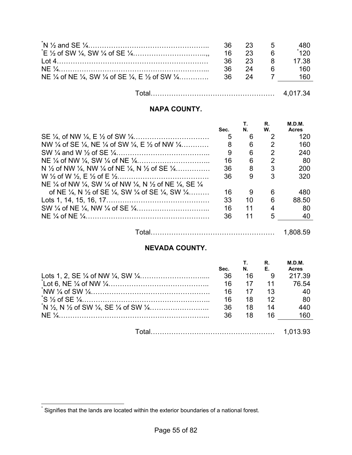|                                   | 36. | 23 5 |          | 480    |
|-----------------------------------|-----|------|----------|--------|
|                                   | 16  | 23   | <b>6</b> | $*120$ |
|                                   | 36  | 23 8 |          | 17.38  |
|                                   | 36  | 24   | 6        | 160    |
|                                   |     |      |          | 160-   |
|                                   |     |      |          |        |
| Total………………………………………………… 4.017.34 |     |      |          |        |

## **NAPA COUNTY.**

|                                                                                                                       | Sec. | N. | R.<br>W.       | M.D.M.<br><b>Acres</b> |
|-----------------------------------------------------------------------------------------------------------------------|------|----|----------------|------------------------|
|                                                                                                                       | 5    | 6  | $\mathcal{P}$  | 120                    |
| NW $\frac{1}{4}$ of SE $\frac{1}{4}$ , NE $\frac{1}{4}$ of SW $\frac{1}{4}$ , E $\frac{1}{2}$ of NW $\frac{1}{4}$     | 8    | 6  | $\mathcal{P}$  | 160                    |
|                                                                                                                       | 9    | 6  | $\overline{2}$ | 240                    |
|                                                                                                                       | 16   | 6  | 2              | -80                    |
| N $\frac{1}{2}$ of NW $\frac{1}{4}$ , NW $\frac{1}{4}$ of NE $\frac{1}{4}$ , N $\frac{1}{2}$ of SE $\frac{1}{4}$      | 36   | 8  | 3              | 200                    |
|                                                                                                                       | 36   | 9  | 3              | 320                    |
| NE 1/4 of NW 1/4, SW 1/4 of NW 1/4, N 1/2 of NE 1/4, SE 1/4                                                           |      |    |                |                        |
| of NE $\frac{1}{4}$ , N $\frac{1}{2}$ of SE $\frac{1}{4}$ , SW $\frac{1}{4}$ of SE $\frac{1}{4}$ , SW $\frac{1}{4}$ , | 16   | 9  | 6              | 480                    |
|                                                                                                                       | 33   | 10 | 6              | 88.50                  |
|                                                                                                                       | 16   | 11 | 4              | 80                     |
|                                                                                                                       | 36   | 11 | 5              | 40                     |
|                                                                                                                       |      |    |                |                        |

Total……………………………………………… 1,808.59

**R.** 

**M.D.M.** 

#### **NEVADA COUNTY.**

| Sec. | N. | R.<br>Е. | M.D.M.<br><b>Acres</b> |
|------|----|----------|------------------------|
| 36   | 16 | - 9      | 217.39                 |
| 16   | 17 | 11       | 76.54                  |
| 16   | 17 | 13       | 40                     |
| 16   | 18 | 12       | 80                     |
| 36   | 18 | 14       | 440                    |
| 36   | 18 | 16       | 160                    |
|      |    |          |                        |
|      |    |          |                        |

 \* Signifies that the lands are located within the exterior boundaries of a national forest.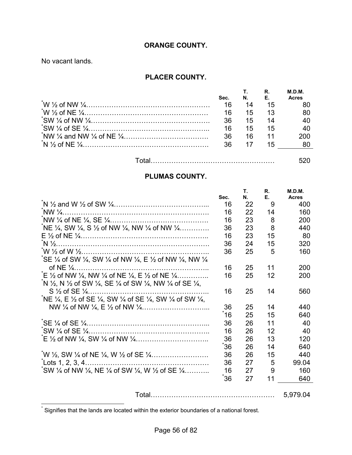#### **ORANGE COUNTY.**

No vacant lands.

 $\overline{a}$ 

#### **PLACER COUNTY.**

| Sec. |     | N. E.           | M.D.M.<br><b>Acres</b> |
|------|-----|-----------------|------------------------|
| 16   | 14  | 15              |                        |
| 16   | 15  |                 |                        |
| 36   | 15  | 14              |                        |
| 16   | 15  | 15              | 40                     |
| 36   | 16. | $\overline{11}$ | 200                    |
| 36.  | 17  | 15              |                        |

Total……………………………………………… 520

### **PLUMAS COUNTY.**

|                                                                                                                                        |      | Τ. | R. | M.D.M.       |
|----------------------------------------------------------------------------------------------------------------------------------------|------|----|----|--------------|
|                                                                                                                                        | Sec. | N. | Е. | <b>Acres</b> |
|                                                                                                                                        | 16   | 22 | 9  | 400          |
|                                                                                                                                        | 16   | 22 | 14 | 160          |
|                                                                                                                                        | 16   | 23 | 8  | 200          |
| $N \to \frac{1}{4}$ , SW $\frac{1}{4}$ , S $\frac{1}{2}$ of NW $\frac{1}{4}$ , NW $\frac{1}{4}$ of NW $\frac{1}{4}$                    | 36   | 23 | 8  | 440          |
|                                                                                                                                        | 16   | 23 | 15 | 80           |
|                                                                                                                                        | 36   | 24 | 15 | 320          |
|                                                                                                                                        | 36   | 25 | 5  | 160          |
| SE 1/4 of SW 1/4, SW 1/4 of NW 1/4, E 1/2 of NW 1/4, NW 1/4                                                                            |      |    |    |              |
|                                                                                                                                        | 16   | 25 | 11 | 200          |
| $E \frac{1}{2}$ of NW $\frac{1}{4}$ , NW $\frac{1}{4}$ of NE $\frac{1}{4}$ , E $\frac{1}{2}$ of NE $\frac{1}{4}$                       | 16   | 25 | 12 | 200          |
| N $\frac{1}{2}$ , N $\frac{1}{2}$ of SW $\frac{1}{4}$ , SE $\frac{1}{4}$ of SW $\frac{1}{4}$ , NW $\frac{1}{4}$ of SE $\frac{1}{4}$ ,  |      |    |    |              |
|                                                                                                                                        | 16   | 25 | 14 | 560          |
| NE $\frac{1}{4}$ , E $\frac{1}{2}$ of SE $\frac{1}{4}$ , SW $\frac{1}{4}$ of SE $\frac{1}{4}$ , SW $\frac{1}{4}$ of SW $\frac{1}{4}$ , |      |    |    |              |
|                                                                                                                                        | 36   | 25 | 14 | 440          |
|                                                                                                                                        | 16   | 25 | 15 | 640          |
|                                                                                                                                        | 36   | 26 | 11 | 40           |
|                                                                                                                                        | 16   | 26 | 12 | 40           |
|                                                                                                                                        | 36   | 26 | 13 | 120          |
|                                                                                                                                        | ້36  | 26 | 14 | 640          |
|                                                                                                                                        | 36   | 26 | 15 | 440          |
|                                                                                                                                        | 36   | 27 | 5  | 99.04        |
| $\gamma$ SW 1/4 of NW 1/4, NE 1/4 of SW 1/4, W 1/2 of SE 1/4                                                                           | 16   | 27 | 9  | 160          |
|                                                                                                                                        | ້36  | 27 | 11 | 640          |
|                                                                                                                                        |      |    |    |              |
|                                                                                                                                        |      |    |    | 5,979.04     |

\* Signifies that the lands are located within the exterior boundaries of a national forest.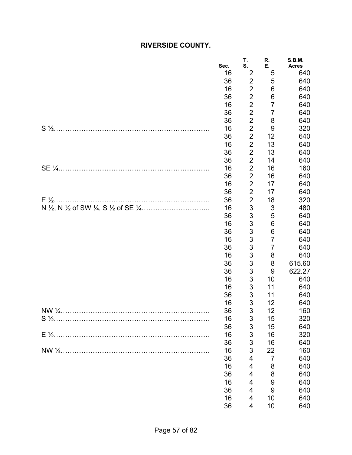# **RIVERSIDE COUNTY.**

| $\overline{2}$<br>16<br>5<br>640<br>$\overline{\mathbf{c}}$<br>36<br>5<br>640<br>$\overline{c}$<br>$\,6$<br>16<br>640<br>$\overline{2}$<br>36<br>6<br>640<br>$\overline{c}$<br>$\overline{7}$<br>16<br>640<br>$\overline{2}$<br>7<br>36<br>640<br>$\overline{c}$<br>8<br>36<br>640<br>$\overline{2}$<br>16<br>9<br>320<br>$\overline{2}$<br>12<br>36<br>640<br>$\overline{2}$<br>13<br>16<br>640<br>$\overline{2}$<br>13<br>36<br>640<br>$\overline{\mathbf{c}}$<br>36<br>14<br>640<br>$\overline{2}$<br>16<br>16<br>160<br>$\overline{2}$<br>16<br>36<br>640<br>$\overline{c}$<br>16<br>17<br>640<br>$\overline{2}$<br>36<br>17<br>640<br>$\overline{c}$<br>18<br>36<br>320<br>3<br>16<br>3<br>480<br>3<br>5<br>36<br>640<br>3<br>6<br>16<br>640<br>3<br>6<br>36<br>640<br>3<br>$\overline{7}$<br>16<br>640<br>3<br>$\overline{7}$<br>36<br>640<br>3<br>16<br>8<br>640<br>3<br>8<br>615.60<br>36<br>3<br>9<br>36<br>622.27<br>3<br>16<br>10<br>640<br>3<br>11<br>16<br>640<br>3<br>11<br>36<br>640<br>3<br>12<br>16<br>640<br>3<br>12<br>36<br>160<br>16<br>15<br>320<br>3<br>$\mathsf 3$<br>15<br>36<br>640<br>3<br>16<br>16<br>320<br>$\ensuremath{\mathsf{3}}$<br>16<br>36<br>640<br>3<br>22<br>16<br>160<br>$\overline{7}$<br>36<br>4<br>640<br>16<br>8<br>640<br>4<br>8<br>36<br>640<br>4<br>9<br>16<br>640<br>4<br>36<br>$9$<br>640<br>4<br>16<br>10<br>640<br>4 | Sec. | T.<br>S. | R.<br>Ε. | <b>S.B.M.</b><br><b>Acres</b> |
|-------------------------------------------------------------------------------------------------------------------------------------------------------------------------------------------------------------------------------------------------------------------------------------------------------------------------------------------------------------------------------------------------------------------------------------------------------------------------------------------------------------------------------------------------------------------------------------------------------------------------------------------------------------------------------------------------------------------------------------------------------------------------------------------------------------------------------------------------------------------------------------------------------------------------------------------------------------------------------------------------------------------------------------------------------------------------------------------------------------------------------------------------------------------------------------------------------------------------------------------------------------------------------------------------------------------------------------------------------------------------|------|----------|----------|-------------------------------|
|                                                                                                                                                                                                                                                                                                                                                                                                                                                                                                                                                                                                                                                                                                                                                                                                                                                                                                                                                                                                                                                                                                                                                                                                                                                                                                                                                                         |      |          |          |                               |
|                                                                                                                                                                                                                                                                                                                                                                                                                                                                                                                                                                                                                                                                                                                                                                                                                                                                                                                                                                                                                                                                                                                                                                                                                                                                                                                                                                         |      |          |          |                               |
|                                                                                                                                                                                                                                                                                                                                                                                                                                                                                                                                                                                                                                                                                                                                                                                                                                                                                                                                                                                                                                                                                                                                                                                                                                                                                                                                                                         |      |          |          |                               |
|                                                                                                                                                                                                                                                                                                                                                                                                                                                                                                                                                                                                                                                                                                                                                                                                                                                                                                                                                                                                                                                                                                                                                                                                                                                                                                                                                                         |      |          |          |                               |
|                                                                                                                                                                                                                                                                                                                                                                                                                                                                                                                                                                                                                                                                                                                                                                                                                                                                                                                                                                                                                                                                                                                                                                                                                                                                                                                                                                         |      |          |          |                               |
|                                                                                                                                                                                                                                                                                                                                                                                                                                                                                                                                                                                                                                                                                                                                                                                                                                                                                                                                                                                                                                                                                                                                                                                                                                                                                                                                                                         |      |          |          |                               |
|                                                                                                                                                                                                                                                                                                                                                                                                                                                                                                                                                                                                                                                                                                                                                                                                                                                                                                                                                                                                                                                                                                                                                                                                                                                                                                                                                                         |      |          |          |                               |
|                                                                                                                                                                                                                                                                                                                                                                                                                                                                                                                                                                                                                                                                                                                                                                                                                                                                                                                                                                                                                                                                                                                                                                                                                                                                                                                                                                         |      |          |          |                               |
|                                                                                                                                                                                                                                                                                                                                                                                                                                                                                                                                                                                                                                                                                                                                                                                                                                                                                                                                                                                                                                                                                                                                                                                                                                                                                                                                                                         |      |          |          |                               |
|                                                                                                                                                                                                                                                                                                                                                                                                                                                                                                                                                                                                                                                                                                                                                                                                                                                                                                                                                                                                                                                                                                                                                                                                                                                                                                                                                                         |      |          |          |                               |
|                                                                                                                                                                                                                                                                                                                                                                                                                                                                                                                                                                                                                                                                                                                                                                                                                                                                                                                                                                                                                                                                                                                                                                                                                                                                                                                                                                         |      |          |          |                               |
|                                                                                                                                                                                                                                                                                                                                                                                                                                                                                                                                                                                                                                                                                                                                                                                                                                                                                                                                                                                                                                                                                                                                                                                                                                                                                                                                                                         |      |          |          |                               |
|                                                                                                                                                                                                                                                                                                                                                                                                                                                                                                                                                                                                                                                                                                                                                                                                                                                                                                                                                                                                                                                                                                                                                                                                                                                                                                                                                                         |      |          |          |                               |
|                                                                                                                                                                                                                                                                                                                                                                                                                                                                                                                                                                                                                                                                                                                                                                                                                                                                                                                                                                                                                                                                                                                                                                                                                                                                                                                                                                         |      |          |          |                               |
|                                                                                                                                                                                                                                                                                                                                                                                                                                                                                                                                                                                                                                                                                                                                                                                                                                                                                                                                                                                                                                                                                                                                                                                                                                                                                                                                                                         |      |          |          |                               |
|                                                                                                                                                                                                                                                                                                                                                                                                                                                                                                                                                                                                                                                                                                                                                                                                                                                                                                                                                                                                                                                                                                                                                                                                                                                                                                                                                                         |      |          |          |                               |
|                                                                                                                                                                                                                                                                                                                                                                                                                                                                                                                                                                                                                                                                                                                                                                                                                                                                                                                                                                                                                                                                                                                                                                                                                                                                                                                                                                         |      |          |          |                               |
|                                                                                                                                                                                                                                                                                                                                                                                                                                                                                                                                                                                                                                                                                                                                                                                                                                                                                                                                                                                                                                                                                                                                                                                                                                                                                                                                                                         |      |          |          |                               |
|                                                                                                                                                                                                                                                                                                                                                                                                                                                                                                                                                                                                                                                                                                                                                                                                                                                                                                                                                                                                                                                                                                                                                                                                                                                                                                                                                                         |      |          |          |                               |
|                                                                                                                                                                                                                                                                                                                                                                                                                                                                                                                                                                                                                                                                                                                                                                                                                                                                                                                                                                                                                                                                                                                                                                                                                                                                                                                                                                         |      |          |          |                               |
|                                                                                                                                                                                                                                                                                                                                                                                                                                                                                                                                                                                                                                                                                                                                                                                                                                                                                                                                                                                                                                                                                                                                                                                                                                                                                                                                                                         |      |          |          |                               |
|                                                                                                                                                                                                                                                                                                                                                                                                                                                                                                                                                                                                                                                                                                                                                                                                                                                                                                                                                                                                                                                                                                                                                                                                                                                                                                                                                                         |      |          |          |                               |
|                                                                                                                                                                                                                                                                                                                                                                                                                                                                                                                                                                                                                                                                                                                                                                                                                                                                                                                                                                                                                                                                                                                                                                                                                                                                                                                                                                         |      |          |          |                               |
|                                                                                                                                                                                                                                                                                                                                                                                                                                                                                                                                                                                                                                                                                                                                                                                                                                                                                                                                                                                                                                                                                                                                                                                                                                                                                                                                                                         |      |          |          |                               |
|                                                                                                                                                                                                                                                                                                                                                                                                                                                                                                                                                                                                                                                                                                                                                                                                                                                                                                                                                                                                                                                                                                                                                                                                                                                                                                                                                                         |      |          |          |                               |
|                                                                                                                                                                                                                                                                                                                                                                                                                                                                                                                                                                                                                                                                                                                                                                                                                                                                                                                                                                                                                                                                                                                                                                                                                                                                                                                                                                         |      |          |          |                               |
|                                                                                                                                                                                                                                                                                                                                                                                                                                                                                                                                                                                                                                                                                                                                                                                                                                                                                                                                                                                                                                                                                                                                                                                                                                                                                                                                                                         |      |          |          |                               |
|                                                                                                                                                                                                                                                                                                                                                                                                                                                                                                                                                                                                                                                                                                                                                                                                                                                                                                                                                                                                                                                                                                                                                                                                                                                                                                                                                                         |      |          |          |                               |
|                                                                                                                                                                                                                                                                                                                                                                                                                                                                                                                                                                                                                                                                                                                                                                                                                                                                                                                                                                                                                                                                                                                                                                                                                                                                                                                                                                         |      |          |          |                               |
|                                                                                                                                                                                                                                                                                                                                                                                                                                                                                                                                                                                                                                                                                                                                                                                                                                                                                                                                                                                                                                                                                                                                                                                                                                                                                                                                                                         |      |          |          |                               |
|                                                                                                                                                                                                                                                                                                                                                                                                                                                                                                                                                                                                                                                                                                                                                                                                                                                                                                                                                                                                                                                                                                                                                                                                                                                                                                                                                                         |      |          |          |                               |
|                                                                                                                                                                                                                                                                                                                                                                                                                                                                                                                                                                                                                                                                                                                                                                                                                                                                                                                                                                                                                                                                                                                                                                                                                                                                                                                                                                         |      |          |          |                               |
|                                                                                                                                                                                                                                                                                                                                                                                                                                                                                                                                                                                                                                                                                                                                                                                                                                                                                                                                                                                                                                                                                                                                                                                                                                                                                                                                                                         |      |          |          |                               |
|                                                                                                                                                                                                                                                                                                                                                                                                                                                                                                                                                                                                                                                                                                                                                                                                                                                                                                                                                                                                                                                                                                                                                                                                                                                                                                                                                                         |      |          |          |                               |
|                                                                                                                                                                                                                                                                                                                                                                                                                                                                                                                                                                                                                                                                                                                                                                                                                                                                                                                                                                                                                                                                                                                                                                                                                                                                                                                                                                         |      |          |          |                               |
|                                                                                                                                                                                                                                                                                                                                                                                                                                                                                                                                                                                                                                                                                                                                                                                                                                                                                                                                                                                                                                                                                                                                                                                                                                                                                                                                                                         |      |          |          |                               |
|                                                                                                                                                                                                                                                                                                                                                                                                                                                                                                                                                                                                                                                                                                                                                                                                                                                                                                                                                                                                                                                                                                                                                                                                                                                                                                                                                                         |      |          |          |                               |
|                                                                                                                                                                                                                                                                                                                                                                                                                                                                                                                                                                                                                                                                                                                                                                                                                                                                                                                                                                                                                                                                                                                                                                                                                                                                                                                                                                         |      |          |          |                               |
|                                                                                                                                                                                                                                                                                                                                                                                                                                                                                                                                                                                                                                                                                                                                                                                                                                                                                                                                                                                                                                                                                                                                                                                                                                                                                                                                                                         |      |          |          |                               |
|                                                                                                                                                                                                                                                                                                                                                                                                                                                                                                                                                                                                                                                                                                                                                                                                                                                                                                                                                                                                                                                                                                                                                                                                                                                                                                                                                                         |      |          |          |                               |
|                                                                                                                                                                                                                                                                                                                                                                                                                                                                                                                                                                                                                                                                                                                                                                                                                                                                                                                                                                                                                                                                                                                                                                                                                                                                                                                                                                         |      |          |          |                               |
|                                                                                                                                                                                                                                                                                                                                                                                                                                                                                                                                                                                                                                                                                                                                                                                                                                                                                                                                                                                                                                                                                                                                                                                                                                                                                                                                                                         |      |          |          |                               |
|                                                                                                                                                                                                                                                                                                                                                                                                                                                                                                                                                                                                                                                                                                                                                                                                                                                                                                                                                                                                                                                                                                                                                                                                                                                                                                                                                                         | 36   | 4        | 10       | 640                           |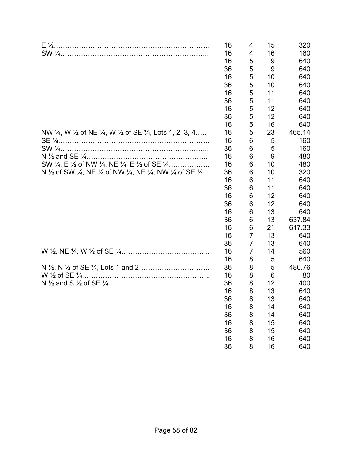|                                                                                                                                      | 16 | 4              | 15 | 320    |
|--------------------------------------------------------------------------------------------------------------------------------------|----|----------------|----|--------|
|                                                                                                                                      | 16 | 4              | 16 | 160    |
|                                                                                                                                      | 16 | 5              | 9  | 640    |
|                                                                                                                                      | 36 | 5              | 9  | 640    |
|                                                                                                                                      | 16 | 5              | 10 | 640    |
|                                                                                                                                      | 36 | 5              | 10 | 640    |
|                                                                                                                                      | 16 | 5              | 11 | 640    |
|                                                                                                                                      | 36 | 5              | 11 | 640    |
|                                                                                                                                      | 16 | 5              | 12 | 640    |
|                                                                                                                                      | 36 | 5              | 12 | 640    |
|                                                                                                                                      | 16 | 5              | 16 | 640    |
| NW 1/4, W 1/2 of NE 1/4, W 1/2 of SE 1/4, Lots 1, 2, 3, 4                                                                            | 16 | 5              | 23 | 465.14 |
|                                                                                                                                      | 16 | 6              | 5  | 160    |
|                                                                                                                                      | 36 | 6              | 5  | 160    |
|                                                                                                                                      | 16 | 6              | 9  | 480    |
| SW $\frac{1}{4}$ , E $\frac{1}{2}$ of NW $\frac{1}{4}$ , NE $\frac{1}{4}$ , E $\frac{1}{2}$ of SE $\frac{1}{4}$                      | 16 | 6              | 10 | 480    |
| N $\frac{1}{2}$ of SW $\frac{1}{4}$ , NE $\frac{1}{4}$ of NW $\frac{1}{4}$ , NE $\frac{1}{4}$ , NW $\frac{1}{4}$ of SE $\frac{1}{4}$ | 36 | 6              | 10 | 320    |
|                                                                                                                                      | 16 | 6              | 11 | 640    |
|                                                                                                                                      | 36 | 6              | 11 | 640    |
|                                                                                                                                      | 16 | 6              | 12 | 640    |
|                                                                                                                                      | 36 | 6              | 12 | 640    |
|                                                                                                                                      | 16 | 6              | 13 | 640    |
|                                                                                                                                      | 36 | 6              | 13 | 637.84 |
|                                                                                                                                      | 16 | 6              | 21 | 617.33 |
|                                                                                                                                      | 16 | $\overline{7}$ | 13 | 640    |
|                                                                                                                                      | 36 | $\overline{7}$ | 13 | 640    |
|                                                                                                                                      | 16 | $\overline{7}$ | 14 | 560    |
|                                                                                                                                      | 16 | 8              | 5  | 640    |
|                                                                                                                                      | 36 | 8              | 5  | 480.76 |
|                                                                                                                                      | 16 | 8              | 6  | 80     |
|                                                                                                                                      | 36 | 8              | 12 | 400    |
|                                                                                                                                      | 16 | 8              | 13 | 640    |
|                                                                                                                                      | 36 | 8              | 13 | 640    |
|                                                                                                                                      | 16 | 8              | 14 | 640    |
|                                                                                                                                      | 36 | 8              | 14 | 640    |
|                                                                                                                                      | 16 | 8              | 15 | 640    |
|                                                                                                                                      | 36 | 8              | 15 | 640    |
|                                                                                                                                      | 16 | 8              | 16 | 640    |
|                                                                                                                                      | 36 | 8              | 16 | 640    |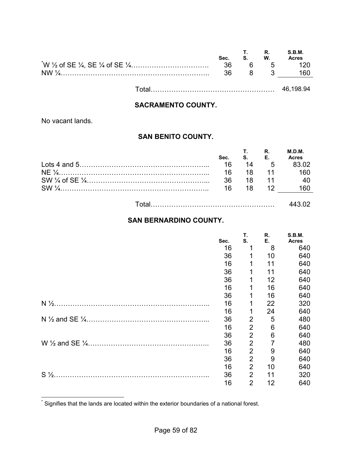| Sec. | S. W. | <b>T.</b> R.   | S.B.M.<br><b>Acres</b> |
|------|-------|----------------|------------------------|
| - 36 |       | 5 <sub>5</sub> |                        |
| 36.  |       | $\mathbf{R}$   | 160                    |
|      |       |                |                        |

#### **SACRAMENTO COUNTY.**

No vacant lands.

### **SAN BENITO COUNTY.**

|                                           | Sec. | T R<br><b>S.</b> E. |      | M.D.M.<br><b>Acres</b> |
|-------------------------------------------|------|---------------------|------|------------------------|
| $\text{Lots } 4 \text{ and } 5 \dots 100$ | 16   |                     | 14 5 | <b>R3 02</b>           |
|                                           |      |                     |      | 16 18 11 160           |
|                                           |      | 36 18 11            |      | 40                     |
|                                           |      | 16 18 12            |      | I60.                   |
|                                           |      |                     |      |                        |

|--|--|

# **SAN BERNARDINO COUNTY.**

|                | Sec. | Т.<br>S.       | R.<br>Е. | <b>S.B.M.</b><br><b>Acres</b> |
|----------------|------|----------------|----------|-------------------------------|
|                | 16   |                | 8        | 640                           |
|                | 36   |                | 10       | 640                           |
|                | 16   |                | 11       | 640                           |
|                | 36   |                | 11       | 640                           |
|                | 36   | 1              | 12       | 640                           |
|                | 16   | 1              | 16       | 640                           |
|                | 36   | 1              | 16       | 640                           |
|                | 16   | 1              | 22       | 320                           |
|                | 16   | 1              | 24       | 640                           |
|                | 36   | 2              | 5        | 480                           |
|                | 16   | 2              | 6        | 640                           |
|                | 36   | $\overline{2}$ | 6        | 640                           |
|                | 36   | 2              |          | 480                           |
|                | 16   | $\overline{2}$ | 9        | 640                           |
|                | 36   | $\overline{2}$ | 9        | 640                           |
|                | 16   | $\overline{2}$ | 10       | 640                           |
| $S\frac{1}{2}$ | 36   | $\overline{2}$ | 11       | 320                           |
|                | 16   | $\overline{2}$ | 12       | 640                           |

 \* Signifies that the lands are located within the exterior boundaries of a national forest.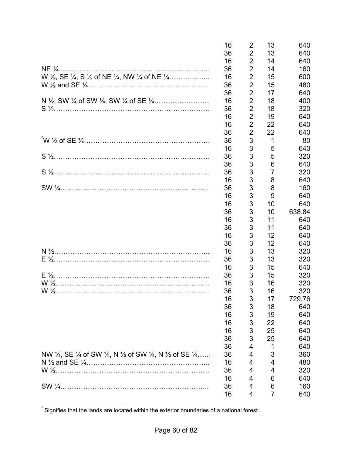|                                                            | 16 | $\overline{2}$ | 13             | 640    |
|------------------------------------------------------------|----|----------------|----------------|--------|
|                                                            | 36 | $\overline{2}$ | 13             | 640    |
|                                                            | 16 | $\overline{2}$ | 14             | 640    |
|                                                            | 36 | $\overline{2}$ | 14             | 160    |
| W 1/2, SE 1/4, S 1/2 of NE 1/4, NW 1/4 of NE 1/4           | 16 | $\overline{2}$ | 15             | 600    |
|                                                            | 36 | $\overline{2}$ | 15             | 480    |
|                                                            | 36 | $\overline{2}$ | 17             | 640    |
|                                                            | 16 | $\overline{2}$ | 18             | 400    |
|                                                            | 36 | $\overline{2}$ | 18             | 320    |
|                                                            | 16 | $\overline{2}$ | 19             | 640    |
|                                                            | 16 | $\overline{2}$ | 22             | 640    |
|                                                            | 36 | $\overline{2}$ | 22             | 640    |
|                                                            | 36 | 3              | 1              | 80     |
|                                                            | 16 | 3              | 5              | 640    |
|                                                            | 36 | 3              | 5              | 320    |
|                                                            | 36 | 3              | 6              | 640    |
|                                                            | 36 | 3              | $\overline{7}$ | 320    |
|                                                            | 16 | 3              | 8              | 640    |
| $SW \frac{1}{4}$                                           | 36 | 3              | 8              | 160    |
|                                                            | 16 | 3              | 9              | 640    |
|                                                            | 16 | 3              | 10             | 640    |
|                                                            | 36 | 3              | 10             | 638.84 |
|                                                            | 16 | 3              | 11             | 640    |
|                                                            | 36 | 3              | 11             | 640    |
|                                                            | 16 | 3              | 12             | 640    |
|                                                            | 36 | 3              | 12             | 640    |
|                                                            | 16 | 3              | 13             | 320    |
|                                                            | 36 | 3              | 13             | 320    |
|                                                            | 16 | 3              | 15             | 640    |
|                                                            | 36 | 3              | 15             | 320    |
|                                                            | 16 | 3              | 16             | 320    |
|                                                            | 36 | 3              | 16             | 320    |
|                                                            | 16 | 3              | 17             | 729.76 |
|                                                            | 36 | 3              | 18             | 640    |
|                                                            | 16 | 3              | 19             | 640    |
|                                                            | 16 | 3              | 22             | 640    |
|                                                            | 16 | 3              | 25             | 640    |
|                                                            | 36 | 3              | 25             | 640    |
|                                                            | 36 | 4              | 1              | 640    |
| NW 1/4, SE 1/4 of SW 1/4, N 1/2 of SW 1/4, N 1/2 of SE 1/4 | 36 | 4              | 3              | 360    |
|                                                            | 16 | 4              | 4              | 480    |
|                                                            | 36 | 4              | 4              | 320    |
|                                                            | 16 | 4              | 6              | 640    |
|                                                            | 36 | 4              | 6              | 160    |
|                                                            | 16 | 4              | 7              | 640    |

 \* Signifies that the lands are located within the exterior boundaries of a national forest.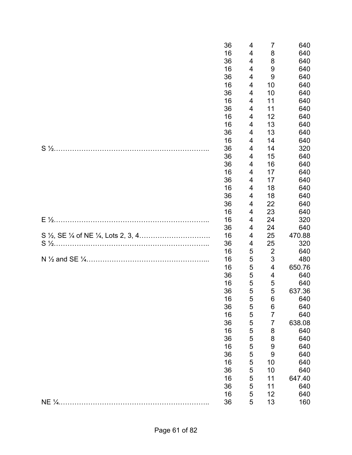|        | 36<br>16 | 4<br>4      | 7<br>8                    | 640<br>640 |
|--------|----------|-------------|---------------------------|------------|
|        | 36       | 4           | 8                         | 640        |
|        | 16       | 4           | 9                         | 640        |
|        | 36       | 4           | 9                         | 640        |
|        | 16       | 4           | 10                        | 640        |
|        | 36       | 4           | 10                        | 640        |
|        | 16       | 4           | 11                        | 640        |
|        | 36       | 4           | 11                        | 640        |
|        | 16       | 4           | 12                        | 640        |
|        | 16       | 4           | 13                        | 640        |
|        | 36       | 4           | 13                        | 640        |
|        | 16       | 4           | 14                        | 640        |
|        | 36       | 4           | 14                        | 320        |
|        | 36       | 4           | 15                        | 640        |
|        | 36       | 4           | 16                        | 640        |
|        | 16       | 4           | 17                        | 640        |
|        | 36       | 4           | 17                        | 640        |
|        | 16       | 4           | 18                        | 640        |
|        | 36       | 4           | 18                        | 640        |
|        | 36       | 4           | 22                        | 640        |
|        | 16       | 4           | 23                        | 640        |
|        | 16       | 4           | 24                        | 320        |
|        | 36       | 4           | 24                        | 640        |
|        | 16       | 4           | 25                        | 470.88     |
|        | 36       | 4           | 25                        | 320        |
|        | 16       | 5           | $\overline{2}$            | 640        |
|        | 16       | 5           | $\ensuremath{\mathsf{3}}$ | 480        |
|        | 16       | $\mathbf 5$ | 4                         | 650.76     |
|        | 36       | 5           | 4                         | 640        |
|        | 16       | 5           | 5                         | 640        |
|        | 36       | 5           | 5                         | 637.36     |
|        | 16       | 5           | 6                         | 640        |
|        | 36       | 5           | 6                         | 640        |
|        | 16       | 5           | $\overline{7}$            | 640        |
|        | 36       | 5           | 7                         | 638.08     |
|        | 16       | 5           | 8                         | 640        |
|        | 36       | 5           | 8                         | 640        |
|        | 16       | 5           | 9                         | 640        |
|        | 36       | 5           | 9                         | 640        |
|        | 16       | 5           | 10                        | 640        |
|        | 36       | 5           | 10                        | 640        |
|        | 16       | 5           | 11                        | 647.40     |
|        | 36       | 5           | 11                        | 640        |
|        | 16       | 5           | 12                        | 640        |
| NE 1/4 | 36       | 5           | 13                        | 160        |
|        |          |             |                           |            |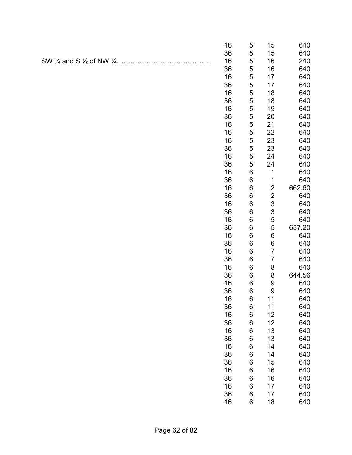|                                                          | 16       | 5                | 15                      | 640        |
|----------------------------------------------------------|----------|------------------|-------------------------|------------|
|                                                          | 36       | 5                | 15                      | 640        |
| SW $\frac{1}{4}$ and S $\frac{1}{2}$ of NW $\frac{1}{4}$ | 16       | 5                | 16                      | 240        |
|                                                          | 36       | 5                | 16                      | 640        |
|                                                          | 16       | 5                | 17                      | 640        |
|                                                          | 36       | 5                | 17                      | 640        |
|                                                          | 16       | 5                | 18                      | 640        |
|                                                          | 36       | 5                | 18                      | 640        |
|                                                          | 16       | 5                | 19                      | 640        |
|                                                          | 36       | 5                | 20                      | 640        |
|                                                          | 16       | 5                | 21                      | 640        |
|                                                          | 16       | 5                | 22                      | 640        |
|                                                          | 16       | 5                | 23                      | 640        |
|                                                          | 36       | 5                | 23                      | 640        |
|                                                          | 16       | 5                | 24                      | 640        |
|                                                          | 36       | 5                | 24                      | 640        |
|                                                          | 16       | $\boldsymbol{6}$ | 1                       | 640        |
|                                                          | 36       | $\,6$            | 1                       | 640        |
|                                                          | 16       | $\,6$            | $\overline{c}$          | 662.60     |
|                                                          | 36       | $\boldsymbol{6}$ | $\overline{\mathbf{c}}$ | 640        |
|                                                          | 16       | $\boldsymbol{6}$ | 3                       | 640        |
|                                                          | 36       | 6                | 3                       | 640        |
|                                                          | 16       | 6                | 5                       | 640        |
|                                                          | 36       | $\boldsymbol{6}$ | 5                       | 637.20     |
|                                                          | 16       | $\,6$            | $\,6$                   | 640        |
|                                                          | 36       | $\,6$            | $\,6$                   | 640        |
|                                                          | 16       | $\,6$            | $\overline{7}$          | 640        |
|                                                          | 36       | 6                | $\overline{7}$          | 640        |
|                                                          | 16       | 6                | 8                       | 640        |
|                                                          | 36       | $\,6$            | 8                       | 644.56     |
|                                                          | 16       | $\,6$            | 9                       | 640        |
|                                                          | 36       | $\,6$            | 9                       | 640        |
|                                                          | 16       | 6                | 11                      | 640        |
|                                                          | 36       | 6                | 11                      | 640        |
|                                                          | 16       | $\,6$            | 12                      | 640        |
|                                                          | 36       | 6                | 12                      | 640        |
|                                                          | 16       | 6                | 13                      | 640        |
|                                                          | 36       | $\,6$            | 13                      | 640        |
|                                                          | 16       | $\,6$            | 14                      | 640        |
|                                                          | 36       | $\,6$<br>$\,6$   | 14                      | 640        |
|                                                          | 36       |                  | 15                      | 640        |
|                                                          | 16       | $\,6$<br>6       | 16                      | 640        |
|                                                          | 36<br>16 |                  | 16                      | 640        |
|                                                          |          | 6                | 17<br>17                | 640        |
|                                                          | 36<br>16 | $\,6$<br>$\,6$   | 18                      | 640<br>640 |
|                                                          |          |                  |                         |            |
|                                                          |          |                  |                         |            |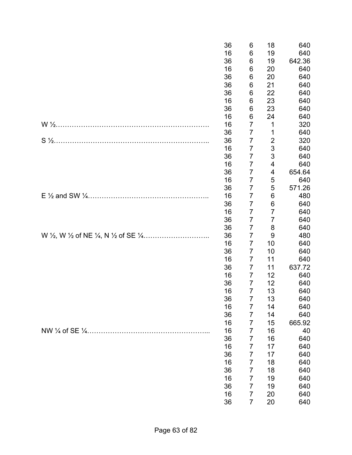| 36 | 6              | 18             | 640    |
|----|----------------|----------------|--------|
| 16 | 6              | 19             | 640    |
| 36 | 6              | 19             | 642.36 |
| 16 | 6              | 20             | 640    |
| 36 | 6              | 20             | 640    |
| 36 | 6              | 21             | 640    |
| 36 | 6              | 22             | 640    |
| 16 | 6              | 23             | 640    |
| 36 | 6              | 23             | 640    |
| 16 | 6              | 24             | 640    |
| 16 | 7              | 1              | 320    |
| 36 | 7              | 1              | 640    |
| 36 | $\overline{7}$ | $\overline{2}$ | 320    |
| 16 | $\overline{7}$ | 3              | 640    |
| 36 | 7              | 3              | 640    |
| 16 | 7              | 4              | 640    |
| 36 | 7              | 4              | 654.64 |
| 16 | 7              | 5              | 640    |
| 36 | $\overline{7}$ | 5              | 571.26 |
| 16 | $\overline{7}$ | 6              | 480    |
| 36 | 7              | 6              | 640    |
| 16 | 7              | 7              | 640    |
| 36 | 7              | $\overline{7}$ | 640    |
| 36 | 7              | 8              | 640    |
| 36 | 7              | 9              | 480    |
| 16 | 7              | 10             | 640    |
| 36 | 7              | 10             | 640    |
| 16 | 7              | 11             | 640    |
| 36 | 7              | 11             | 637.72 |
| 16 | $\overline{7}$ | 12             | 640    |
| 36 | 7              | 12             | 640    |
| 16 | $\overline{7}$ | 13             | 640    |
| 36 | 7              | 13             | 640    |
| 16 | 7              | 14             | 640    |
| 36 | 7              | 14             | 640    |
| 16 | $\overline{7}$ | 15             | 665.92 |
| 16 | $\overline{7}$ | 16             | 40     |
| 36 | 7              | 16             | 640    |
| 16 | $\overline{7}$ | 17             | 640    |
| 36 | 7              | 17             | 640    |
| 16 | 7              | 18             | 640    |
| 36 | 7              | 18             | 640    |
| 16 | 7              | 19             | 640    |
| 36 | 7              | 19             | 640    |
| 16 | 7              | 20             | 640    |
| 36 | $\overline{7}$ | 20             |        |
|    |                |                | 640    |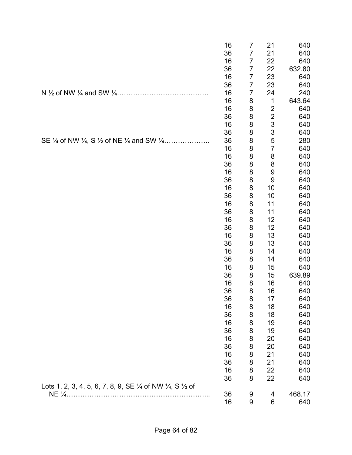|                                                                                           | 16       | 7              | 21                      | 640        |
|-------------------------------------------------------------------------------------------|----------|----------------|-------------------------|------------|
|                                                                                           | 36       | $\overline{7}$ | 21                      | 640        |
|                                                                                           | 16       | $\overline{7}$ | 22                      | 640        |
|                                                                                           | 36       | 7              | 22                      | 632.80     |
|                                                                                           | 16       | $\overline{7}$ | 23                      | 640        |
|                                                                                           | 36       | $\overline{7}$ | 23                      | 640        |
|                                                                                           | 16       | $\overline{7}$ | 24                      | 240        |
|                                                                                           | 16       | 8              | 1                       | 643.64     |
|                                                                                           | 16       | 8              | $\overline{\mathbf{c}}$ | 640        |
|                                                                                           | 36       | 8              | $\overline{c}$          | 640        |
|                                                                                           | 16       | 8              | 3                       | 640        |
|                                                                                           | 36       | 8              | 3                       | 640        |
| SE 1/4 of NW 1/4, S 1/2 of NE 1/4 and SW 1/4                                              | 36       | 8              | 5                       | 280        |
|                                                                                           | 16       | 8              | $\overline{7}$          | 640        |
|                                                                                           | 16       | 8              | 8                       | 640        |
|                                                                                           | 36       | 8              | 8                       | 640        |
|                                                                                           | 16       | 8              | 9                       | 640        |
|                                                                                           | 36       | 8              | 9                       | 640        |
|                                                                                           | 16       | 8              | 10                      | 640        |
|                                                                                           | 36       | 8              | 10                      | 640        |
|                                                                                           | 16       | 8              | 11                      | 640        |
|                                                                                           | 36       | 8              | 11                      | 640        |
|                                                                                           | 16       | 8              | 12                      | 640        |
|                                                                                           | 36       | 8              | 12                      | 640        |
|                                                                                           | 16       | 8              | 13                      | 640        |
|                                                                                           | 36       | 8              | 13                      | 640        |
|                                                                                           | 16       | 8              | 14                      | 640        |
|                                                                                           | 36       | 8              | 14                      | 640        |
|                                                                                           | 16       | 8              | 15                      | 640        |
|                                                                                           | 36       | 8              | 15                      | 639.89     |
|                                                                                           | 16       | 8              | 16                      | 640        |
|                                                                                           | 36       | 8              | 16                      | 640        |
|                                                                                           | 36       | 8              | 17                      | 640        |
|                                                                                           | 16       | 8              | 18                      | 640        |
|                                                                                           | 36<br>16 | 8<br>8         | 18<br>19                | 640<br>640 |
|                                                                                           | 36       | 8              | 19                      | 640        |
|                                                                                           | 16       | 8              | 20                      | 640        |
|                                                                                           | 36       | 8              | 20                      | 640        |
|                                                                                           | 16       |                | 21                      | 640        |
|                                                                                           | 36       | 8<br>8         | 21                      | 640        |
|                                                                                           | 16       | 8              | 22                      | 640        |
|                                                                                           | 36       | 8              | 22                      | 640        |
|                                                                                           |          |                |                         |            |
| Lots 1, 2, 3, 4, 5, 6, 7, 8, 9, SE $\frac{1}{4}$ of NW $\frac{1}{4}$ , S $\frac{1}{2}$ of | 36       | 9              |                         | 468.17     |
|                                                                                           | 16       | 9              | 4<br>6                  | 640        |
|                                                                                           |          |                |                         |            |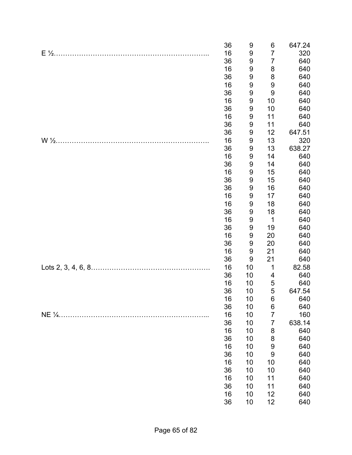|                  | 36<br>16<br>36<br>16 | 9<br>9<br>9<br>9 | 6<br>$\overline{7}$<br>7<br>8 | 647.24<br>320<br>640<br>640 |
|------------------|----------------------|------------------|-------------------------------|-----------------------------|
|                  | 36                   | 9                | 8                             | 640                         |
|                  | 16<br>36             | 9<br>9           | 9<br>9                        | 640<br>640                  |
|                  | 16                   | 9                | 10                            | 640                         |
|                  | 36                   | 9                | 10                            | 640                         |
|                  | 16                   | 9                | 11                            | 640                         |
|                  | 36                   | 9                | 11                            | 640                         |
|                  | 36                   | 9                | 12                            | 647.51                      |
| $W\frac{1}{2}$ . | 16                   | 9                | 13                            | 320                         |
|                  | 36                   | 9                | 13                            | 638.27                      |
|                  | 16<br>36             | 9<br>9           | 14<br>14                      | 640<br>640                  |
|                  | 16                   | 9                | 15                            | 640                         |
|                  | 36                   | 9                | 15                            | 640                         |
|                  | 36                   | 9                | 16                            | 640                         |
|                  | 16                   | 9                | 17                            | 640                         |
|                  | 16                   | 9                | 18                            | 640                         |
|                  | 36                   | 9                | 18                            | 640                         |
|                  | 16                   | 9                | $\mathbf 1$                   | 640                         |
|                  | 36<br>16             | 9<br>9           | 19<br>20                      | 640<br>640                  |
|                  | 36                   | 9                | 20                            | 640                         |
|                  | 16                   | 9                | 21                            | 640                         |
|                  | 36                   | 9                | 21                            | 640                         |
|                  | 16                   | 10               | $\mathbf 1$                   | 82.58                       |
|                  | 36                   | 10               | 4                             | 640                         |
|                  | 16                   | 10               | 5                             | 640                         |
|                  | 36                   | 10               | 5                             | 647.54                      |
|                  | 16<br>36             | 10<br>10         | 6<br>6                        | 640<br>640                  |
|                  | 16                   | 10               | $\overline{7}$                | 160                         |
|                  | 36                   | 10               | 7                             | 638.14                      |
|                  | 16                   | 10               | 8                             | 640                         |
|                  | 36                   | 10               | 8                             | 640                         |
|                  | 16                   | 10               | 9                             | 640                         |
|                  | 36                   | 10               | 9                             | 640                         |
|                  | 16<br>36             | 10               | 10<br>10                      | 640                         |
|                  | 16                   | 10<br>10         | 11                            | 640<br>640                  |
|                  | 36                   | 10               | 11                            | 640                         |
|                  | 16                   | 10               | 12                            | 640                         |
|                  | 36                   | 10               | 12                            | 640                         |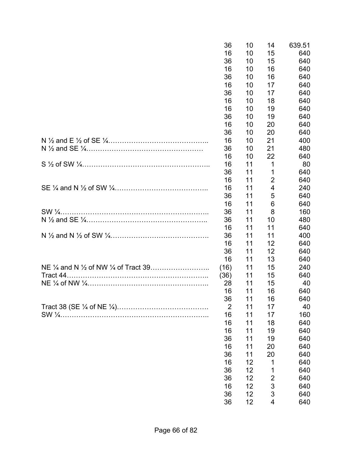|                                                                      | 36             | 10 | 14             | 639.51 |
|----------------------------------------------------------------------|----------------|----|----------------|--------|
|                                                                      | 16             | 10 | 15             | 640    |
|                                                                      | 36             | 10 | 15             | 640    |
|                                                                      | 16             | 10 | 16             | 640    |
|                                                                      | 36             | 10 | 16             | 640    |
|                                                                      | 16             | 10 | 17             | 640    |
|                                                                      | 36             | 10 | 17             | 640    |
|                                                                      | 16             | 10 | 18             | 640    |
|                                                                      | 16             | 10 | 19             | 640    |
|                                                                      | 36             | 10 | 19             | 640    |
|                                                                      | 16             | 10 | 20             | 640    |
|                                                                      | 36             | 10 | 20             | 640    |
|                                                                      | 16             | 10 | 21             | 400    |
|                                                                      | 36             | 10 | 21             | 480    |
|                                                                      | 16             | 10 | 22             | 640    |
|                                                                      | 16             | 11 | 1              | 80     |
|                                                                      | 36             | 11 | 1              | 640    |
|                                                                      | 16             | 11 | 2              | 640    |
|                                                                      | 16             | 11 | 4              | 240    |
|                                                                      | 36             | 11 | 5              | 640    |
|                                                                      | 16             | 11 | 6              | 640    |
|                                                                      | 36             | 11 | 8              | 160    |
|                                                                      | 36             | 11 | 10             | 480    |
|                                                                      | 16             | 11 | 11             | 640    |
|                                                                      | 36             | 11 | 11             | 400    |
|                                                                      | 16             | 11 | 12             | 640    |
|                                                                      | 36             | 11 | 12             | 640    |
|                                                                      | 16             | 11 | 13             | 640    |
| NE $\frac{1}{4}$ and N $\frac{1}{2}$ of NW $\frac{1}{4}$ of Tract 39 | (16)           | 11 | 15             | 240    |
|                                                                      | (36)           | 11 | 15             | 640    |
|                                                                      | 28             | 11 | 15             | 40     |
|                                                                      | 16             | 11 | 16             | 640    |
|                                                                      | 36             | 11 | 16             | 640    |
|                                                                      | $\overline{2}$ | 11 | 17             | 40     |
|                                                                      | 16             | 11 | 17             | 160    |
|                                                                      | 16             | 11 | 18             | 640    |
|                                                                      | 16             | 11 | 19             | 640    |
|                                                                      | 36             | 11 | 19             | 640    |
|                                                                      | 16             | 11 | 20             | 640    |
|                                                                      | 36             | 11 | 20             | 640    |
|                                                                      | 16             | 12 | 1              | 640    |
|                                                                      | 36             | 12 | 1              | 640    |
|                                                                      | 36             | 12 | $\overline{c}$ | 640    |
|                                                                      | 16             | 12 | 3              | 640    |
|                                                                      | 36             | 12 | 3              | 640    |
|                                                                      | 36             | 12 | 4              | 640    |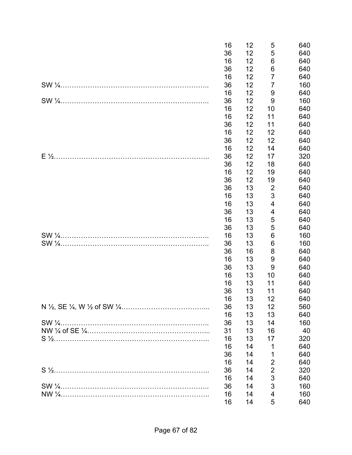| 16 | 12 | 5              | 640 |
|----|----|----------------|-----|
| 36 | 12 | 5              | 640 |
| 16 | 12 | 6              | 640 |
| 36 | 12 | 6              | 640 |
| 16 | 12 | 7              | 640 |
| 36 | 12 | $\overline{7}$ | 160 |
| 16 | 12 | 9              | 640 |
| 36 | 12 | 9              | 160 |
| 16 | 12 | 10             | 640 |
| 16 | 12 | 11             | 640 |
| 36 | 12 | 11             | 640 |
| 16 | 12 | 12             | 640 |
| 36 | 12 | 12             | 640 |
| 16 | 12 | 14             | 640 |
| 36 | 12 | 17             | 320 |
| 36 | 12 | 18             | 640 |
| 16 | 12 | 19             | 640 |
| 36 | 12 | 19             | 640 |
| 36 | 13 | $\overline{2}$ | 640 |
| 16 | 13 | $\mathfrak{S}$ | 640 |
| 16 | 13 | 4              | 640 |
| 36 | 13 | 4              | 640 |
| 16 | 13 | 5              | 640 |
| 36 | 13 | 5              | 640 |
| 16 | 13 | 6              | 160 |
| 36 | 13 | $\,6$          | 160 |
| 36 | 16 | 8              | 640 |
| 16 | 13 | 9              | 640 |
| 36 | 13 | 9              | 640 |
| 16 | 13 | 10             | 640 |
| 16 | 13 | 11             | 640 |
| 36 | 13 | 11             | 640 |
| 16 | 13 | 12             | 640 |
| 36 | 13 | 12             | 560 |
| 16 | 13 | 13             | 640 |
| 36 | 13 | 14             | 160 |
| 31 | 13 | 16             | 40  |
| 16 | 13 | 17             | 320 |
| 16 | 14 | 1              | 640 |
| 36 | 14 | 1              | 640 |
| 16 | 14 | $\overline{2}$ | 640 |
| 36 | 14 | $\overline{2}$ | 320 |
| 16 | 14 | 3              | 640 |
| 36 | 14 | 3              | 160 |
| 16 | 14 | 4              | 160 |
| 16 | 14 | 5              | 640 |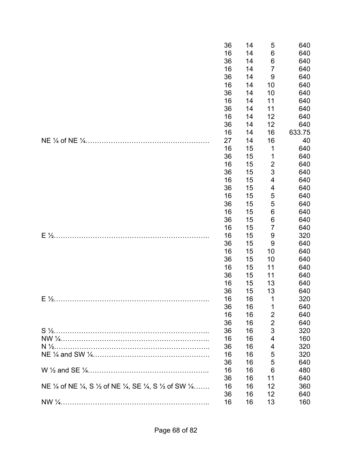|                                                            | 36 | 14 | 5                | 640    |
|------------------------------------------------------------|----|----|------------------|--------|
|                                                            | 16 | 14 | 6                | 640    |
|                                                            | 36 | 14 | 6                | 640    |
|                                                            | 16 | 14 | $\overline{7}$   | 640    |
|                                                            | 36 | 14 | $\boldsymbol{9}$ | 640    |
|                                                            | 16 | 14 | 10               | 640    |
|                                                            | 36 | 14 | 10               | 640    |
|                                                            | 16 | 14 | 11               | 640    |
|                                                            | 36 | 14 | 11               | 640    |
|                                                            | 16 | 14 | 12               | 640    |
|                                                            | 36 | 14 | 12               | 640    |
|                                                            | 16 | 14 | 16               | 633.75 |
|                                                            | 27 | 14 | 16               | 40     |
|                                                            | 16 | 15 | $\mathbf 1$      | 640    |
|                                                            | 36 | 15 | 1                | 640    |
|                                                            | 16 | 15 | $\overline{2}$   | 640    |
|                                                            | 36 | 15 | 3                | 640    |
|                                                            | 16 | 15 | 4                | 640    |
|                                                            | 36 | 15 | 4                | 640    |
|                                                            | 16 | 15 | 5                | 640    |
|                                                            | 36 | 15 | 5                | 640    |
|                                                            | 16 | 15 | 6                | 640    |
|                                                            | 36 | 15 | 6                | 640    |
|                                                            | 16 | 15 | $\overline{7}$   | 640    |
| $E\frac{1}{2}$ .                                           | 16 | 15 | 9                | 320    |
|                                                            | 36 | 15 | 9                | 640    |
|                                                            | 16 | 15 | 10               | 640    |
|                                                            | 36 | 15 | 10               | 640    |
|                                                            | 16 | 15 | 11               | 640    |
|                                                            | 36 | 15 | 11               | 640    |
|                                                            | 16 | 15 | 13               | 640    |
|                                                            | 36 | 15 | 13               | 640    |
|                                                            | 16 | 16 | 1                | 320    |
|                                                            | 36 | 16 | 1                | 640    |
|                                                            | 16 | 16 | $\overline{2}$   | 640    |
|                                                            | 36 | 16 | $\overline{2}$   | 640    |
|                                                            | 36 | 16 | 3                | 320    |
|                                                            | 16 | 16 | 4                | 160    |
|                                                            | 36 | 16 | 4                | 320    |
|                                                            | 16 | 16 | 5                | 320    |
|                                                            | 36 | 16 | 5                | 640    |
|                                                            | 16 | 16 | 6                | 480    |
|                                                            | 36 | 16 | 11               | 640    |
| NE 1/4 of NE 1/4, S 1/2 of NE 1/4, SE 1/4, S 1/2 of SW 1/4 | 16 | 16 | 12               | 360    |
|                                                            | 36 | 16 | 12               | 640    |
|                                                            | 16 | 16 | 13               | 160    |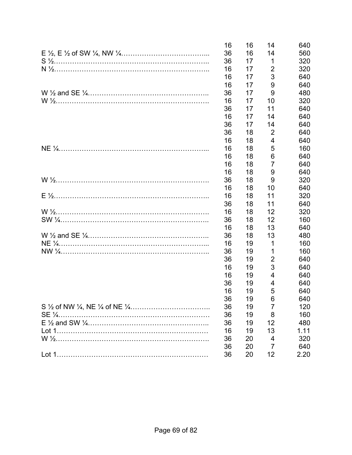| 16 | 16 | 14             | 640  |
|----|----|----------------|------|
| 36 | 16 | 14             | 560  |
| 36 | 17 | 1              | 320  |
| 16 | 17 | 2              | 320  |
| 16 | 17 | 3              | 640  |
| 16 | 17 | 9              | 640  |
| 36 | 17 | 9              | 480  |
| 16 | 17 | 10             | 320  |
| 36 | 17 | 11             | 640  |
| 16 | 17 | 14             | 640  |
| 36 | 17 | 14             | 640  |
| 36 | 18 | $\overline{2}$ | 640  |
| 16 | 18 | $\overline{4}$ | 640  |
| 16 | 18 | 5              | 160  |
| 16 | 18 | 6              | 640  |
| 16 | 18 | 7              | 640  |
| 16 | 18 | 9              | 640  |
| 36 | 18 | 9              | 320  |
| 16 | 18 | 10             | 640  |
| 16 | 18 | 11             | 320  |
| 36 | 18 | 11             | 640  |
| 16 | 18 | 12             | 320  |
| 36 | 18 | 12             | 160  |
| 16 | 18 | 13             | 640  |
| 36 | 18 | 13             | 480  |
| 16 | 19 | 1              | 160  |
| 36 | 19 | 1              | 160  |
| 36 | 19 | $\overline{2}$ | 640  |
| 16 | 19 | 3              | 640  |
| 16 | 19 | 4              | 640  |
| 36 | 19 | 4              | 640  |
| 16 | 19 | 5              | 640  |
| 36 | 19 | 6              | 640  |
| 36 | 19 | 7              | 120  |
| 36 | 19 | 8              | 160  |
| 36 | 19 | 12             | 480  |
| 16 | 19 | 13             | 1.11 |
| 36 | 20 | 4              | 320  |
| 36 | 20 | 7              | 640  |
| 36 | 20 | 12             | 2.20 |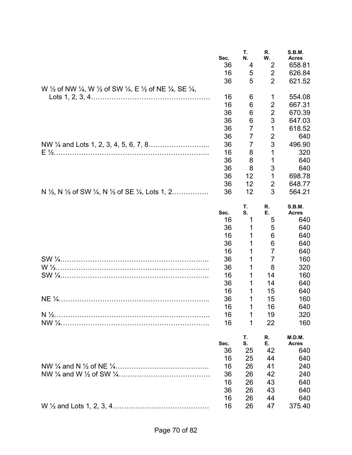|                                                                                                         | Sec.<br>36<br>16 | Т.<br>N.<br>4<br>5  | R.<br>W.<br>2<br>$\overline{2}$  | <b>S.B.M.</b><br><b>Acres</b><br>658.81<br>626.84 |
|---------------------------------------------------------------------------------------------------------|------------------|---------------------|----------------------------------|---------------------------------------------------|
| W 1/2 of NW 1/4, W 1/2 of SW 1/4, E 1/2 of NE 1/4, SE 1/4,                                              | 36               | 5                   | $\overline{2}$                   | 621.52                                            |
|                                                                                                         | 16               | 6                   | 1                                | 554.08                                            |
|                                                                                                         | 16               | 6                   | 2                                | 667.31                                            |
|                                                                                                         | 36               | 6                   | $\overline{2}$                   | 670.39                                            |
|                                                                                                         | 36               | 6<br>$\overline{7}$ | 3                                | 647.03                                            |
|                                                                                                         | 36<br>36         | 7                   | 1<br>$\overline{2}$              | 618.52<br>640                                     |
|                                                                                                         | 36               | 7                   | 3                                | 496.90                                            |
|                                                                                                         | 16               | 8                   | 1                                | 320                                               |
|                                                                                                         | 36               | 8                   | 1                                | 640                                               |
|                                                                                                         | 36               | 8<br>12             | 3<br>1                           | 640                                               |
|                                                                                                         | 36<br>36         | 12                  | 2                                | 698.78<br>648.77                                  |
| N $\frac{1}{2}$ , N $\frac{1}{2}$ of SW $\frac{1}{4}$ , N $\frac{1}{2}$ of SE $\frac{1}{4}$ , Lots 1, 2 | 36               | 12                  | 3                                | 564.21                                            |
|                                                                                                         |                  | Т.                  | R.                               | S.B.M.                                            |
|                                                                                                         | Sec.<br>16       | S.<br>1             | Е.<br>5                          | <b>Acres</b><br>640                               |
|                                                                                                         | 36               | 1                   | 5                                | 640                                               |
|                                                                                                         | 16               | 1                   | 6                                | 640                                               |
|                                                                                                         | 36               | 1                   | 6                                | 640                                               |
|                                                                                                         | 16<br>36         | 1<br>1              | $\overline{7}$<br>$\overline{7}$ | 640<br>160                                        |
|                                                                                                         | 36               | 1                   | 8                                | 320                                               |
|                                                                                                         | 16               |                     | 14                               | 160                                               |
|                                                                                                         | 36               | 1                   | 14                               | 640                                               |
|                                                                                                         | 16               | 1                   | 15                               | 640                                               |
|                                                                                                         | 36<br>16         | 1<br>1              | 15<br>16                         | 160<br>640                                        |
|                                                                                                         | 16               | 1                   | 19                               | 320                                               |
|                                                                                                         | 16               | 1                   | 22                               | 160                                               |
|                                                                                                         | Sec.             | Т.<br>S.            | R.<br>Е.                         | M.D.M.<br><b>Acres</b>                            |
|                                                                                                         | 36               | 25                  | 42                               | 640                                               |
|                                                                                                         | 16               | 25                  | 44                               | 640                                               |
|                                                                                                         | 16               | 26                  | 41                               | 240                                               |
|                                                                                                         | 36               | 26                  | 42                               | 240                                               |
|                                                                                                         | 16<br>36         | 26<br>26            | 43<br>43                         | 640<br>640                                        |
|                                                                                                         | 16               | 26                  | 44                               | 640                                               |
|                                                                                                         | 16               | 26                  | 47                               | 375.40                                            |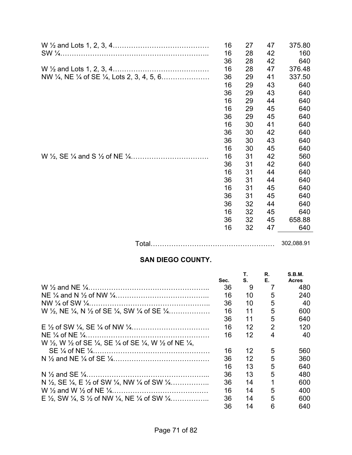|        | 16 | 27 | 47 | 375.80     |
|--------|----|----|----|------------|
|        | 16 | 28 | 42 | 160        |
|        | 36 | 28 | 42 | 640        |
|        | 16 | 28 | 47 | 376.48     |
|        | 36 | 29 | 41 | 337.50     |
|        | 16 | 29 | 43 | 640        |
|        | 36 | 29 | 43 | 640        |
|        | 16 | 29 | 44 | 640        |
|        | 16 | 29 | 45 | 640        |
|        | 36 | 29 | 45 | 640        |
|        | 16 | 30 | 41 | 640        |
|        | 36 | 30 | 42 | 640        |
|        | 36 | 30 | 43 | 640        |
|        | 16 | 30 | 45 | 640        |
|        | 16 | 31 | 42 | 560        |
|        | 36 | 31 | 42 | 640        |
|        | 16 | 31 | 44 | 640        |
|        | 36 | 31 | 44 | 640        |
|        | 16 | 31 | 45 | 640        |
|        | 36 | 31 | 45 | 640        |
|        | 36 | 32 | 44 | 640        |
|        | 16 | 32 | 45 | 640        |
|        | 36 | 32 | 45 | 658.88     |
|        | 16 | 32 | 47 | 640        |
|        |    |    |    |            |
| Total. |    |    |    | 302,088.91 |

# **SAN DIEGO COUNTY.**

|                                                                                                                   | Sec. | S. | Е. | S.B.M.<br><b>Acres</b> |
|-------------------------------------------------------------------------------------------------------------------|------|----|----|------------------------|
|                                                                                                                   | 36   | 9  |    | 480                    |
|                                                                                                                   | 16   | 10 | 5  | 240                    |
|                                                                                                                   | 36   | 10 | 5  | 40                     |
| W $\frac{1}{2}$ , NE $\frac{1}{4}$ , N $\frac{1}{2}$ of SE $\frac{1}{4}$ , SW $\frac{1}{4}$ of SE $\frac{1}{4}$   | 16   | 11 | 5  | 600                    |
|                                                                                                                   | 36   | 11 | 5  | 640                    |
|                                                                                                                   | 16   | 12 | 2  | 120                    |
|                                                                                                                   | 16   | 12 | 4  | 40                     |
| W 1/2, W 1/2 of SE 1/4, SE 1/4 of SE 1/4, W 1/2 of NE 1/4,                                                        |      |    |    |                        |
|                                                                                                                   | 16   | 12 | 5  | 560                    |
|                                                                                                                   | 36   | 12 | 5  | 360                    |
|                                                                                                                   | 16   | 13 | 5  | 640                    |
|                                                                                                                   | 36   | 13 | 5  | 480                    |
| N $\frac{1}{2}$ , SE $\frac{1}{4}$ , E $\frac{1}{2}$ of SW $\frac{1}{4}$ , NW $\frac{1}{4}$ of SW $\frac{1}{4}$ , | 36   | 14 | 1  | 600                    |
|                                                                                                                   | 16   | 14 | 5  | 400                    |
| E $\frac{1}{2}$ , SW $\frac{1}{4}$ , S $\frac{1}{2}$ of NW $\frac{1}{4}$ , NE $\frac{1}{4}$ of SW $\frac{1}{4}$ , | 36   | 14 | 5  | 600                    |
|                                                                                                                   | 36   | 14 | 6  | 640                    |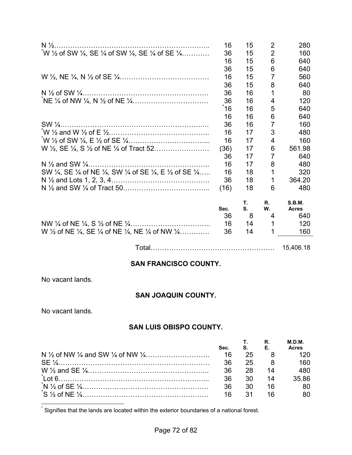|                                                             | 16   | 15 | $\overline{2}$ | 280          |
|-------------------------------------------------------------|------|----|----------------|--------------|
| $^{*}W$ 1/2 of SW 1/4, SE 1/4 of SW 1/4, SE 1/4 of SE 1/4   | 36   | 15 | $\overline{2}$ | 160          |
|                                                             | 16   | 15 | 6              | 640          |
|                                                             | 36   | 15 | 6              | 640          |
|                                                             | 16   | 15 | 7              | 560          |
|                                                             | 36   | 15 | 8              | 640          |
|                                                             | 36   | 16 | 1              | 80           |
|                                                             | 36   | 16 | 4              | 120          |
|                                                             | 16   | 16 | 5              | 640          |
|                                                             | 16   | 16 | 6              | 640          |
|                                                             | 36   | 16 | $\overline{7}$ | 160          |
|                                                             | 16   | 17 | 3              | 480          |
|                                                             | 16   | 17 | 4              | 160          |
|                                                             | (36) | 17 | 6              | 561.98       |
|                                                             | 36   | 17 | 7              | 640          |
|                                                             | 16   | 17 | 8              | 480          |
| SW 1/4, SE 1/4 of NE 1/4, SW 1/4 of SE 1/4, E 1/2 of SE 1/4 | 16   | 18 | 1              | 320          |
|                                                             | 36   | 18 | 1              | 364.20       |
|                                                             | (16) | 18 | 6              | 480          |
|                                                             |      | Т. | R.             | S.B.M.       |
|                                                             | Sec. | S. | W.             | <b>Acres</b> |
|                                                             | 36   | 8  | 4              | 640          |
|                                                             | 16   | 14 |                | 120          |
| W 1/2 of NE 1/4, SE 1/4 of NE 1/4, NE 1/4 of NW 1/4         | 36   | 14 |                | 160          |
|                                                             |      |    |                |              |

Total……………………………………………… 15,406.18

# **SAN FRANCISCO COUNTY.**

No vacant lands.

# **SAN JOAQUIN COUNTY.**

No vacant lands.

# **SAN LUIS OBISPO COUNTY.**

|      |          | R.                      | M.D.M.<br><b>Acres</b> |
|------|----------|-------------------------|------------------------|
| Sec. | $S_1$ E. |                         |                        |
|      | 25       |                         |                        |
| 36   | 25       | $\overline{\mathbf{R}}$ | 160.                   |
| 36   | -28      | 14                      | 480.                   |
| 36   | $-30$    | $\overline{14}$         | 35.86                  |
| -36  | -30      | 16                      |                        |
| 16   | - 31     |                         |                        |

\* Signifies that the lands are located within the exterior boundaries of a national forest.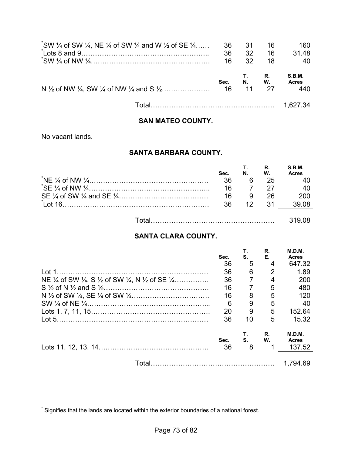| $\degree$ SW 1/4 of SW 1/4, NE 1/4 of SW 1/4 and W 1/2 of SE 1/4 | 36<br>36<br>16 | .31<br>32<br>32 | 16<br>16<br>18    | 160<br>31.48<br>-40           |
|------------------------------------------------------------------|----------------|-----------------|-------------------|-------------------------------|
|                                                                  | Sec.           | 11              | R.<br>N. W.<br>27 | S.B.M.<br><b>Acres</b><br>440 |
|                                                                  |                |                 |                   |                               |

#### **SAN MATEO COUNTY.**

No vacant lands.

#### **SANTA BARBARA COUNTY.**

| Sec. | N.       | <b>T.</b> R.<br>W. | S.B.M.<br><b>Acres</b> |
|------|----------|--------------------|------------------------|
| -36  | <b>6</b> | -25                |                        |
| 16   |          | - 27               |                        |
| 16   |          | - 26               | -200                   |
| 36.  |          | 12 31              |                        |
|      |          |                    |                        |

|--|

## **SANTA CLARA COUNTY.**

|                                                                                                                  | Sec.       | Τ.<br>S.       | R.<br>Е. | M.D.M.<br><b>Acres</b>                  |
|------------------------------------------------------------------------------------------------------------------|------------|----------------|----------|-----------------------------------------|
|                                                                                                                  | 36         | 5              | 4        | 647.32                                  |
|                                                                                                                  | 36         | 6              | 2        | 1.89                                    |
| NE $\frac{1}{4}$ of SW $\frac{1}{4}$ , S $\frac{1}{2}$ of SW $\frac{1}{4}$ , N $\frac{1}{2}$ of SE $\frac{1}{4}$ | 36         | $\overline{7}$ | 4        | 200                                     |
|                                                                                                                  | 16         | $\overline{7}$ | 5        | 480                                     |
|                                                                                                                  | 16         | 8              | 5        | 120                                     |
|                                                                                                                  | 6          | 9              | 5        | 40                                      |
|                                                                                                                  | 20         | 9              | 5        | 152.64                                  |
|                                                                                                                  | 36         | 10             | 5        | 15.32                                   |
|                                                                                                                  | Sec.<br>36 | Т.<br>S.<br>8  | R.<br>W. | <b>M.D.M.</b><br><b>Acres</b><br>137.52 |
|                                                                                                                  |            |                |          | 1.794.69                                |

 \* Signifies that the lands are located within the exterior boundaries of a national forest.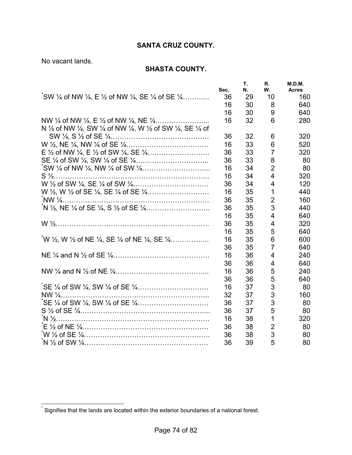# **SANTA CRUZ COUNTY.**

No vacant lands.

## **SHASTA COUNTY.**

|                                                                                                                               | Sec. | Т.<br>N. | R.<br>W.       | M.D.M.<br><b>Acres</b> |
|-------------------------------------------------------------------------------------------------------------------------------|------|----------|----------------|------------------------|
| $\sqrt{\ }$ SW $\frac{1}{4}$ of NW $\frac{1}{4}$ , E $\frac{1}{2}$ of NW $\frac{1}{4}$ , SE $\frac{1}{4}$ of SE $\frac{1}{4}$ | 36   | 29       | 10             | 160                    |
|                                                                                                                               | 16   | 30       | 8              | 640                    |
|                                                                                                                               | 16   | 30       | 9              | 640                    |
|                                                                                                                               | 16   | 32       | 6              | 280                    |
| N 1/2 of NW 1/4, SW 1/4 of NW 1/4, W 1/2 of SW 1/4, SE 1/4 of                                                                 |      |          |                |                        |
|                                                                                                                               | 36   | 32       | 6              | 320                    |
|                                                                                                                               | 16   | 33       | 6              | 520                    |
|                                                                                                                               | 36   | 33       | $\overline{7}$ | 320                    |
|                                                                                                                               | 36   | 33       | 8              | 80                     |
|                                                                                                                               | 16   | 34       | $\overline{2}$ | 80                     |
|                                                                                                                               | 16   | 34       | 4              | 320                    |
|                                                                                                                               | 36   | 34       | $\overline{4}$ | 120                    |
|                                                                                                                               | 16   | 35       | 1              | 440                    |
|                                                                                                                               | 36   | 35       | $\overline{2}$ | 160                    |
|                                                                                                                               | 36   | 35       | 3              | 440                    |
|                                                                                                                               | 16   | 35       | 4              | 640                    |
|                                                                                                                               | 36   | 35       | 4              | 320                    |
|                                                                                                                               | 16   | 35       | 5              | 640                    |
| $W\$ {2}, W $\frac{1}{2}$ of NE $\frac{1}{4}$ , SE $\frac{1}{4}$ of NE $\frac{1}{4}$ , SE $\frac{1}{4}$                       | 16   | 35       | 6              | 600                    |
|                                                                                                                               | 36   | 35       | $\overline{7}$ | 640                    |
|                                                                                                                               | 16   | 36       | 4              | 240                    |
|                                                                                                                               | 36   | 36       | 4              | 640                    |
|                                                                                                                               | 16   | 36       | 5              | 240                    |
|                                                                                                                               | 36   | 36       | 5              | 640                    |
|                                                                                                                               | 16   | 37       | 3              | 80                     |
|                                                                                                                               | 32   | 37       | 3              | 160                    |
|                                                                                                                               | 36   | 37       | 3              | 80                     |
|                                                                                                                               | 36   | 37       | 5              | 80                     |
|                                                                                                                               | 16   | 38       | $\mathbf{1}$   | 320                    |
|                                                                                                                               | 36   | 38       | $\overline{2}$ | 80                     |
|                                                                                                                               | 36   | 38       | 3              | 80                     |
|                                                                                                                               | 36   | 39       | 5              | 80                     |

 \* Signifies that the lands are located within the exterior boundaries of a national forest.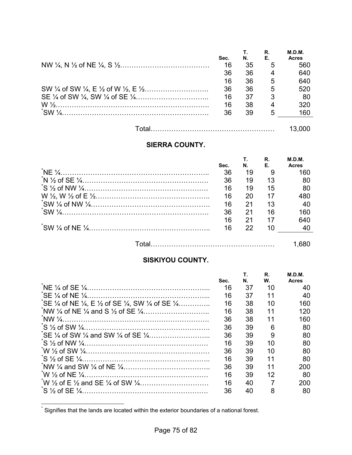| Sec. | N. | R.<br>Е. | M.D.M.<br><b>Acres</b> |
|------|----|----------|------------------------|
| 16   | 35 | 5        | 560                    |
| 36   | 36 | 4        | 640                    |
| 16   | 36 | 5        | 640                    |
| 36   | 36 | 5        | 520                    |
| 16   | 37 | 3        | 80                     |
| 16   | 38 | 4        | 320                    |
| 36   | 39 | 5        | 160                    |
|      |    |          |                        |

|--|--|

# **SIERRA COUNTY.**

|                                                                                                                                                                                                                                                                                                                       |      |                             | R. | M.D.M. |
|-----------------------------------------------------------------------------------------------------------------------------------------------------------------------------------------------------------------------------------------------------------------------------------------------------------------------|------|-----------------------------|----|--------|
|                                                                                                                                                                                                                                                                                                                       | Sec. | $N_{\rm H}$ and $N_{\rm H}$ | E. | Acres  |
| $N_{\rm E}$ $\frac{1}{2}$ $\frac{1}{2}$ $\frac{1}{2}$ $\frac{1}{2}$ $\frac{1}{2}$ $\frac{1}{2}$ $\frac{1}{2}$ $\frac{1}{2}$ $\frac{1}{2}$ $\frac{1}{2}$ $\frac{1}{2}$ $\frac{1}{2}$ $\frac{1}{2}$ $\frac{1}{2}$ $\frac{1}{2}$ $\frac{1}{2}$ $\frac{1}{2}$ $\frac{1}{2}$ $\frac{1}{2}$ $\frac{1}{2}$ $\frac{1}{2}$ $\$ | 36   | 19                          |    | 160    |
|                                                                                                                                                                                                                                                                                                                       | 36   | 19                          | 13 | 80     |
|                                                                                                                                                                                                                                                                                                                       | 16   | 19                          | 15 | 80     |
|                                                                                                                                                                                                                                                                                                                       | 16   | 20                          | 17 | 480    |
|                                                                                                                                                                                                                                                                                                                       | 16   | 21                          | 13 | 40     |
| $\cdot$ SW $\frac{1}{4}$ .                                                                                                                                                                                                                                                                                            | 36   | 21                          | 16 | 160    |
|                                                                                                                                                                                                                                                                                                                       | 16   | 21                          | 17 | 640    |
|                                                                                                                                                                                                                                                                                                                       | 16   | 22                          | 10 | 40     |
|                                                                                                                                                                                                                                                                                                                       |      |                             |    |        |
|                                                                                                                                                                                                                                                                                                                       |      |                             |    |        |

## **SISKIYOU COUNTY.**

|                                                                                                                   |      |    | R. | M.D.M.       |
|-------------------------------------------------------------------------------------------------------------------|------|----|----|--------------|
|                                                                                                                   | Sec. | Ν. | W. | <b>Acres</b> |
|                                                                                                                   | 16   | 37 | 10 | 40           |
|                                                                                                                   | 16   | 37 | 11 | 40           |
| SE $\frac{1}{4}$ of NE $\frac{1}{4}$ , E $\frac{1}{2}$ of SE $\frac{1}{4}$ , SW $\frac{1}{4}$ of SE $\frac{1}{4}$ | 16   | 38 | 10 | 160          |
|                                                                                                                   | 16   | 38 | 11 | 120          |
|                                                                                                                   | 36   | 38 | 11 | 160          |
|                                                                                                                   | 36   | 39 | 6  | 80           |
|                                                                                                                   | 36   | 39 | 9  | 80           |
|                                                                                                                   | 16   | 39 | 10 | 80           |
|                                                                                                                   | 36   | 39 | 10 | 80           |
|                                                                                                                   | 16   | 39 | 11 | 80           |
|                                                                                                                   | 36   | 39 | 11 | 200          |
|                                                                                                                   | 16   | 39 | 12 | 80           |
|                                                                                                                   | 16   | 40 |    | 200          |
|                                                                                                                   | 36   | 40 | 8  | 80           |

 \* Signifies that the lands are located within the exterior boundaries of a national forest.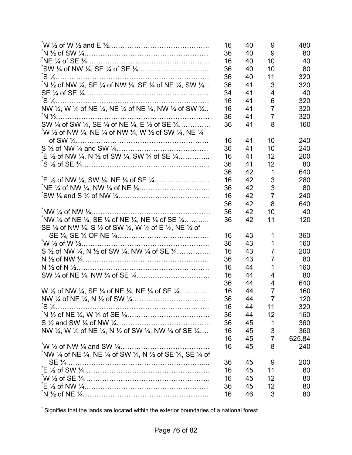|                                                                                                                   | 16<br>36 | 40<br>40 | 9<br>9         | 480<br>80 |
|-------------------------------------------------------------------------------------------------------------------|----------|----------|----------------|-----------|
|                                                                                                                   | 16       | 40       | 10             | 40        |
|                                                                                                                   | 36       | 40       | 10             | 80        |
|                                                                                                                   | 36       | 40       | 11             | 320       |
| N 1/2 of NW 1/4, SE 1/4 of NW 1/4, SE 1/4 of NE 1/4, SW 1/4                                                       | 36       | 41       | 3              | 320       |
|                                                                                                                   | 34       | 41       | 4              | 40        |
|                                                                                                                   | 16       | 41       | 6              | 320       |
| NW 1/4, W 1/2 of NE 1/4, NE 1/4 of NE 1/4, NW 1/4 of SW 1/4                                                       | 16       | 41       | $\overline{7}$ | 320       |
|                                                                                                                   | 36       | 41       | $\overline{7}$ | 320       |
| SW 1/4 of SW 1/4, SE 1/4 of NE 1/4, E 1/2 of SE 1/4                                                               | 36       | 41       | 8              | 160       |
| W 1/2 of NW 1/4, NE 1/4 of NW 1/4, W 1/2 of SW 1/4, NE 1/4                                                        |          |          |                |           |
|                                                                                                                   | 16       | 41       | 10             | 240       |
|                                                                                                                   | 36       | 41       | 10             | 240       |
| $E\$ /2 of NW $\frac{1}{4}$ , N $\frac{1}{2}$ of SW $\frac{1}{4}$ , SW $\frac{1}{4}$ of SE $\frac{1}{4}$          | 16       | 41       | 12             | 200       |
|                                                                                                                   | 36       | 41       | 12             | 80        |
|                                                                                                                   | 36       | 42       | 1              | 640       |
|                                                                                                                   | 16       | 42       | 3              | 280       |
|                                                                                                                   | 36       | 42       | 3              | 80        |
|                                                                                                                   | 16       | 42       | $\overline{7}$ | 240       |
|                                                                                                                   | 36       | 42       | 8              | 640       |
|                                                                                                                   | 36       | 42       | 10             | 40        |
| NW 1/4 of NE 1/4, SE 1/4 of NE 1/4, NE 1/4 of SE 1/4                                                              | 36       | 42       | 11             | 120       |
| SE 1/4 of NW 1/4, S 1/2 of SW 1/4, W 1/2 of E 1/2, NE 1/4 of                                                      |          |          |                |           |
|                                                                                                                   | 16       | 43       | 1              | 360       |
|                                                                                                                   | 36       | 43       | 1              | 160       |
| S $\frac{1}{2}$ of NW $\frac{1}{4}$ , N $\frac{1}{2}$ of SW $\frac{1}{4}$ , NW $\frac{1}{4}$ of SE $\frac{1}{4}$  | 16       | 43       | $\overline{7}$ | 200       |
|                                                                                                                   | 36       | 43       | 7              | 80        |
|                                                                                                                   | 16       | 44       | 1              | 160       |
|                                                                                                                   | 16       | 44       | 4              | 80        |
|                                                                                                                   | 36       | 44       | 4              | 640       |
| W $\frac{1}{2}$ of NW $\frac{1}{4}$ , SE $\frac{1}{4}$ of NE $\frac{1}{4}$ , NE $\frac{1}{4}$ of SE $\frac{1}{4}$ | 16       | 44       | $\overline{7}$ | 160       |
|                                                                                                                   | 36       | 44       | $\overline{7}$ | 120       |
|                                                                                                                   | 16       | 44       | 11             | 320       |
|                                                                                                                   | 36       | 44       | 12             | 160       |
|                                                                                                                   | 36       | 45       | 1              | 360       |
| NW 1/4, W 1/2 of NE 1/4, N 1/2 of SW 1/4, NW 1/4 of SE 1/4                                                        | 16       | 45       | 3              | 360       |
|                                                                                                                   | 16       | 45       | 7              | 625.84    |
|                                                                                                                   | 16       | 45       | 8              | 240       |
| NW 1/4 of NE 1/4, NE 1/4 of SW 1/4, N 1/2 of SE 1/4, SE 1/4 of                                                    |          |          |                |           |
|                                                                                                                   | 36       | 45       | 9              | 200       |
|                                                                                                                   | 16       | 45       | 11             | 80        |
|                                                                                                                   | 16       | 45       | 12             | 80        |
|                                                                                                                   | 36       | 45       | 12             | 80        |
|                                                                                                                   | 16       | 46       | 3              | 80        |

\* Signifies that the lands are located within the exterior boundaries of a national forest.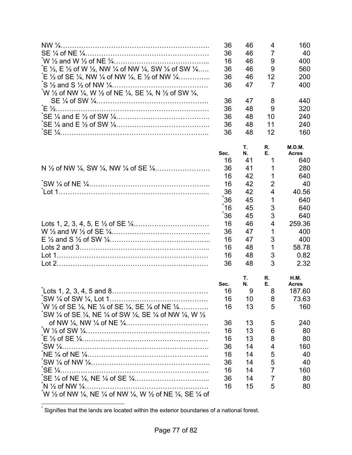|                                                                                                                                      | 36   | 46 | 4              | 160          |
|--------------------------------------------------------------------------------------------------------------------------------------|------|----|----------------|--------------|
|                                                                                                                                      | 36   | 46 | $\overline{7}$ | 40           |
|                                                                                                                                      | 16   | 46 | 9              | 400          |
| $E \frac{1}{2}$ , E $\frac{1}{2}$ of W $\frac{1}{2}$ , NW $\frac{1}{4}$ of NW $\frac{1}{4}$ , SW $\frac{1}{4}$ of SW $\frac{1}{4}$   | 36   | 46 | 9              | 560          |
| $E \frac{1}{2}$ of SE $\frac{1}{4}$ , NW $\frac{1}{4}$ of NW $\frac{1}{4}$ , E $\frac{1}{2}$ of NW $\frac{1}{4}$                     | 36   | 46 | 12             | 200          |
|                                                                                                                                      | 36   | 47 | $\overline{7}$ | 400          |
| W $\frac{1}{2}$ of NW $\frac{1}{4}$ , W $\frac{1}{2}$ of NE $\frac{1}{4}$ , SE $\frac{1}{4}$ , N $\frac{1}{2}$ of SW $\frac{1}{4}$ , |      |    |                |              |
|                                                                                                                                      | 36   | 47 | 8              | 440          |
|                                                                                                                                      | 36   | 48 | 9              | 320          |
|                                                                                                                                      | 36   | 48 | 10             | 240          |
|                                                                                                                                      | 36   | 48 | 11             | 240          |
|                                                                                                                                      | 36   | 48 | 12             | 160          |
|                                                                                                                                      |      | Τ. | R.             | M.D.M.       |
|                                                                                                                                      | Sec. | N. | Е.             | <b>Acres</b> |
|                                                                                                                                      | 16   | 41 | 1              | 640          |
|                                                                                                                                      | 36   | 41 | 1              | 280          |
|                                                                                                                                      | 16   | 42 | 1              | 640          |
|                                                                                                                                      | 16   | 42 | $\overline{2}$ | 40           |
|                                                                                                                                      | 36   | 42 | 4              | 40.56        |
|                                                                                                                                      | 36   | 45 | 1              | 640          |
|                                                                                                                                      | 16   | 45 | 3              | 640          |
|                                                                                                                                      | 36   | 45 | 3              | 640          |
|                                                                                                                                      | 16   | 46 | $\overline{4}$ | 259.36       |
|                                                                                                                                      | 36   | 47 | 1              | 400          |
|                                                                                                                                      | 16   | 47 | 3              | 400          |
|                                                                                                                                      | 16   | 48 | 1              | 58.78        |
|                                                                                                                                      | 16   | 48 | 3              | 0.82         |
|                                                                                                                                      | 36   | 48 | 3              | 2.32         |
|                                                                                                                                      |      | Τ. | R.             | <b>H.M.</b>  |
|                                                                                                                                      | Sec. | Ν. | Е.             | <b>Acres</b> |
|                                                                                                                                      | 16   | 9  | 8              | 187.60       |
|                                                                                                                                      | 16   | 10 | 8              | 73.63        |
| W $\frac{1}{2}$ of SE $\frac{1}{4}$ , NE $\frac{1}{4}$ of SE $\frac{1}{4}$ , SE $\frac{1}{4}$ of NE $\frac{1}{4}$                    | 16   | 13 | 5              | 160          |
| $\degree$ SW 1/4 of SE 1/4, NE 1/4 of SW 1/4, SE 1/4 of NW 1/4, W 1/2                                                                |      |    |                |              |
|                                                                                                                                      | 36   | 13 | 5              | 240          |
|                                                                                                                                      | 16   | 13 | 6              | 80           |
|                                                                                                                                      | 16   | 13 | 8              | 80           |
|                                                                                                                                      | 36   | 14 | 4              | 160          |
|                                                                                                                                      | 16   | 14 | 5              | 40           |
|                                                                                                                                      | 36   | 14 | 5              | 40           |
|                                                                                                                                      | 16   | 14 | $\overline{7}$ | 160          |
|                                                                                                                                      | 36   | 14 | 7              | 80           |
|                                                                                                                                      | 16   | 15 | 5              | 80           |
| W 1/2 of NW 1/4, NE 1/4 of NW 1/4, W 1/2 of NE 1/4, SE 1/4 of                                                                        |      |    |                |              |

 \* Signifies that the lands are located within the exterior boundaries of a national forest.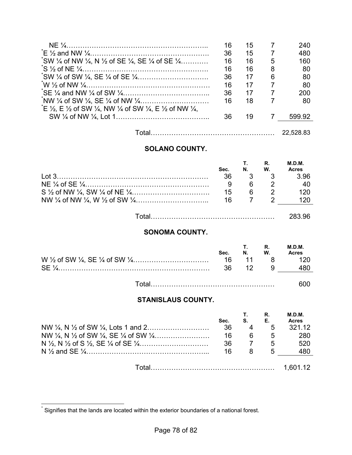|                                                                                                                                            | 16 | 15 |                | 240    |
|--------------------------------------------------------------------------------------------------------------------------------------------|----|----|----------------|--------|
|                                                                                                                                            | 36 | 15 | $\overline{7}$ | 480    |
| $\degree$ SW 1/4 of NW 1/4, N 1/2 of SE 1/4, SE 1/4 of SE 1/4                                                                              | 16 | 16 | 5              | 160    |
|                                                                                                                                            | 16 | 16 | 8              | 80     |
|                                                                                                                                            | 36 | 17 | 6              | 80     |
|                                                                                                                                            | 16 | 17 | 7              | 80     |
|                                                                                                                                            | 36 | 17 | 7              | 200    |
|                                                                                                                                            | 16 | 18 | 7              | 80     |
| $E \nleq \frac{1}{2}$ . E $\frac{1}{2}$ of SW $\frac{1}{4}$ , NW $\frac{1}{4}$ of SW $\frac{1}{4}$ , E $\frac{1}{2}$ of NW $\frac{1}{4}$ , |    |    |                |        |
|                                                                                                                                            | 36 | 19 |                | 599.92 |
|                                                                                                                                            |    |    |                |        |

Total……………………………………………… 22,528.83

# **SOLANO COUNTY.**

|                          | Sec. | N.       | R.<br>W.       | M.D.M.<br><b>Acres</b> |
|--------------------------|------|----------|----------------|------------------------|
|                          | 36   |          |                | -3.96                  |
|                          |      |          |                | - 40                   |
|                          | 15   | <b>6</b> | $\overline{2}$ | <b>120</b>             |
|                          | 16   |          |                | 120                    |
| Total………………………………………………… |      |          |                | 283.96                 |

# **SONOMA COUNTY.**

| Sec. | T.<br>N. W. | $R_{\cdot}$ | <b>M.D.M.</b><br><b>Acres</b> |
|------|-------------|-------------|-------------------------------|
|      |             |             | 16 11 8 120                   |
|      | 12          | - 9         |                               |
|      |             |             | ---                           |

Total……………………………………………… 600

## **STANISLAUS COUNTY.**

| Sec. | S.  | R.<br>Е.       | M.D.M.<br><b>Acres</b> |
|------|-----|----------------|------------------------|
| 36   |     | 5              | 321.12                 |
| 16   | - 6 | 5              | 280                    |
| 36   |     | 5 <sup>5</sup> | 520                    |
| 16   |     | 5              | 480                    |
|      |     |                |                        |
|      |     |                | 1,601.12               |

 $\overline{a}$ 

<sup>\*</sup> Signifies that the lands are located within the exterior boundaries of a national forest.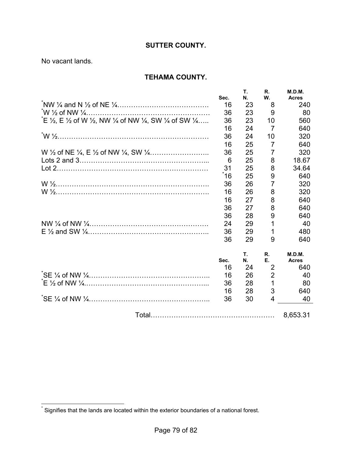## **SUTTER COUNTY.**

No vacant lands.

## **TEHAMA COUNTY.**

|                                                                                                                                           | Sec. | Т.<br>N. | R.<br>W.       | M.D.M.<br><b>Acres</b> |
|-------------------------------------------------------------------------------------------------------------------------------------------|------|----------|----------------|------------------------|
|                                                                                                                                           | 16   | 23       | 8              | 240                    |
|                                                                                                                                           | 36   | 23       | 9              | 80                     |
| $E \ncong \frac{1}{2}$ , E $\frac{1}{2}$ of W $\frac{1}{2}$ , NW $\frac{1}{4}$ of NW $\frac{1}{4}$ , SW $\frac{1}{4}$ of SW $\frac{1}{4}$ | 36   | 23       | 10             | 560                    |
|                                                                                                                                           | 16   | 24       | 7              | 640                    |
|                                                                                                                                           | 36   | 24       | 10             | 320                    |
|                                                                                                                                           | 16   | 25       | $\overline{7}$ | 640                    |
|                                                                                                                                           | 36   | 25       | $\overline{7}$ | 320                    |
|                                                                                                                                           | 6    | 25       | 8              | 18.67                  |
|                                                                                                                                           | 31   | 25       | 8              | 34.64                  |
|                                                                                                                                           | ຳ6   | 25       | 9              | 640                    |
|                                                                                                                                           | 36   | 26       | 7              | 320                    |
|                                                                                                                                           | 16   | 26       | 8              | 320                    |
|                                                                                                                                           | 16   | 27       | 8              | 640                    |
|                                                                                                                                           | 36   | 27       | 8              | 640                    |
|                                                                                                                                           | 36   | 28       | 9              | 640                    |
|                                                                                                                                           | 24   | 29       | 1              | 40                     |
|                                                                                                                                           | 36   | 29       | 1              | 480                    |
|                                                                                                                                           | 36   | 29       | 9              | 640                    |
|                                                                                                                                           |      | Τ.       | R.             | M.D.M.                 |
|                                                                                                                                           | Sec. | N.       | Е.             | <b>Acres</b>           |
|                                                                                                                                           | 16   | 24       | $\overline{2}$ | 640                    |
|                                                                                                                                           | 16   | 26       | $\overline{2}$ | 40                     |
|                                                                                                                                           | 36   | 28       | 1              | 80                     |
|                                                                                                                                           | 16   | 28       | 3              | 640                    |
|                                                                                                                                           | 36   | 30       | 4              | 40                     |
|                                                                                                                                           |      |          |                | 8,653.31               |

 \* Signifies that the lands are located within the exterior boundaries of a national forest.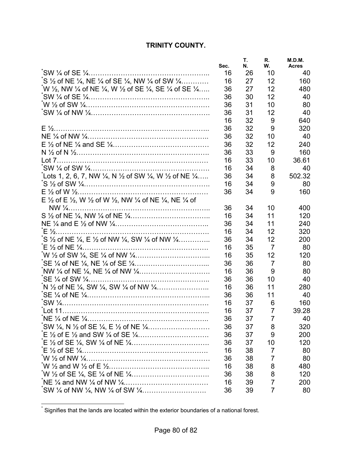# **TRINITY COUNTY.**

| 16<br>26<br>10<br>40<br>$\zeta$ $\frac{1}{2}$ of NE $\frac{1}{4}$ , NE $\frac{1}{4}$ of SE $\frac{1}{4}$ , NW $\frac{1}{4}$ of SW $\frac{1}{4}$<br>12<br>16<br>27<br>160<br>12<br>W ½, NW ¼ of NE ¼, W ½ of SE ¼, SE ¼ of SE ¼<br>27<br>36<br>480<br>12<br>36<br>30<br>40<br>10<br>36<br>31<br>80<br>31<br>12<br>40<br>36<br>16<br>32<br>9<br>640<br>9<br>36<br>32<br>320<br>36<br>32<br>10<br>40<br>12<br>36<br>32<br>240<br>33<br>36<br>9<br>160<br>16<br>33<br>10<br>36.61<br>16<br>34<br>8<br>40<br>Lots 1, 2, 6, 7, NW ¼, N ½ of SW ¼, W ½ of NE ¼…<br>8<br>502.32<br>36<br>34<br>9<br>16<br>34<br>80<br>36<br>9<br>160<br>34<br>E 1/2 of E 1/2, W 1/2 of W 1/2, NW 1/4 of NE 1/4, NE 1/4 of<br>36<br>10<br>34<br>400<br>11<br>16<br>34<br>120<br>11<br>36<br>34<br>240<br>12<br>320<br>16<br>34<br>$\sim$ S $\frac{1}{2}$ of NE $\frac{1}{4}$ , E $\frac{1}{2}$ of NW $\frac{1}{4}$ , SW $\frac{1}{4}$ of NW $\frac{1}{4}$<br>12<br>36<br>34<br>200<br>$\overline{7}$<br>16<br>35<br>80<br>12<br>16<br>35<br>120<br>7<br>80<br>36<br>36<br>9<br>16<br>36<br>80<br>36<br>36<br>10<br>40<br>11<br>16<br>280<br>36<br>36<br>36<br>11<br>40<br>16<br>37<br>6<br>160<br>$\overline{7}$<br>37<br>16<br>39.28<br>36<br>37<br>7<br>40<br>36<br>37<br>320<br>8<br>36<br>37<br>9<br>200<br>37<br>36<br>10<br>120<br>16<br>38<br>$\overline{7}$<br>80<br>36<br>38<br>7<br>80<br>8<br>16<br>38<br>480<br>36<br>38<br>8<br>120 | Sec. | Τ.<br>Ν. | R.<br>W. | M.D.M.<br><b>Acres</b> |
|-------------------------------------------------------------------------------------------------------------------------------------------------------------------------------------------------------------------------------------------------------------------------------------------------------------------------------------------------------------------------------------------------------------------------------------------------------------------------------------------------------------------------------------------------------------------------------------------------------------------------------------------------------------------------------------------------------------------------------------------------------------------------------------------------------------------------------------------------------------------------------------------------------------------------------------------------------------------------------------------------------------------------------------------------------------------------------------------------------------------------------------------------------------------------------------------------------------------------------------------------------------------------------------------------------------------------------------------------------------------------------------------------------------------------|------|----------|----------|------------------------|
|                                                                                                                                                                                                                                                                                                                                                                                                                                                                                                                                                                                                                                                                                                                                                                                                                                                                                                                                                                                                                                                                                                                                                                                                                                                                                                                                                                                                                         |      |          |          |                        |
|                                                                                                                                                                                                                                                                                                                                                                                                                                                                                                                                                                                                                                                                                                                                                                                                                                                                                                                                                                                                                                                                                                                                                                                                                                                                                                                                                                                                                         |      |          |          |                        |
|                                                                                                                                                                                                                                                                                                                                                                                                                                                                                                                                                                                                                                                                                                                                                                                                                                                                                                                                                                                                                                                                                                                                                                                                                                                                                                                                                                                                                         |      |          |          |                        |
|                                                                                                                                                                                                                                                                                                                                                                                                                                                                                                                                                                                                                                                                                                                                                                                                                                                                                                                                                                                                                                                                                                                                                                                                                                                                                                                                                                                                                         |      |          |          |                        |
|                                                                                                                                                                                                                                                                                                                                                                                                                                                                                                                                                                                                                                                                                                                                                                                                                                                                                                                                                                                                                                                                                                                                                                                                                                                                                                                                                                                                                         |      |          |          |                        |
|                                                                                                                                                                                                                                                                                                                                                                                                                                                                                                                                                                                                                                                                                                                                                                                                                                                                                                                                                                                                                                                                                                                                                                                                                                                                                                                                                                                                                         |      |          |          |                        |
|                                                                                                                                                                                                                                                                                                                                                                                                                                                                                                                                                                                                                                                                                                                                                                                                                                                                                                                                                                                                                                                                                                                                                                                                                                                                                                                                                                                                                         |      |          |          |                        |
|                                                                                                                                                                                                                                                                                                                                                                                                                                                                                                                                                                                                                                                                                                                                                                                                                                                                                                                                                                                                                                                                                                                                                                                                                                                                                                                                                                                                                         |      |          |          |                        |
|                                                                                                                                                                                                                                                                                                                                                                                                                                                                                                                                                                                                                                                                                                                                                                                                                                                                                                                                                                                                                                                                                                                                                                                                                                                                                                                                                                                                                         |      |          |          |                        |
|                                                                                                                                                                                                                                                                                                                                                                                                                                                                                                                                                                                                                                                                                                                                                                                                                                                                                                                                                                                                                                                                                                                                                                                                                                                                                                                                                                                                                         |      |          |          |                        |
|                                                                                                                                                                                                                                                                                                                                                                                                                                                                                                                                                                                                                                                                                                                                                                                                                                                                                                                                                                                                                                                                                                                                                                                                                                                                                                                                                                                                                         |      |          |          |                        |
|                                                                                                                                                                                                                                                                                                                                                                                                                                                                                                                                                                                                                                                                                                                                                                                                                                                                                                                                                                                                                                                                                                                                                                                                                                                                                                                                                                                                                         |      |          |          |                        |
|                                                                                                                                                                                                                                                                                                                                                                                                                                                                                                                                                                                                                                                                                                                                                                                                                                                                                                                                                                                                                                                                                                                                                                                                                                                                                                                                                                                                                         |      |          |          |                        |
|                                                                                                                                                                                                                                                                                                                                                                                                                                                                                                                                                                                                                                                                                                                                                                                                                                                                                                                                                                                                                                                                                                                                                                                                                                                                                                                                                                                                                         |      |          |          |                        |
|                                                                                                                                                                                                                                                                                                                                                                                                                                                                                                                                                                                                                                                                                                                                                                                                                                                                                                                                                                                                                                                                                                                                                                                                                                                                                                                                                                                                                         |      |          |          |                        |
|                                                                                                                                                                                                                                                                                                                                                                                                                                                                                                                                                                                                                                                                                                                                                                                                                                                                                                                                                                                                                                                                                                                                                                                                                                                                                                                                                                                                                         |      |          |          |                        |
|                                                                                                                                                                                                                                                                                                                                                                                                                                                                                                                                                                                                                                                                                                                                                                                                                                                                                                                                                                                                                                                                                                                                                                                                                                                                                                                                                                                                                         |      |          |          |                        |
|                                                                                                                                                                                                                                                                                                                                                                                                                                                                                                                                                                                                                                                                                                                                                                                                                                                                                                                                                                                                                                                                                                                                                                                                                                                                                                                                                                                                                         |      |          |          |                        |
|                                                                                                                                                                                                                                                                                                                                                                                                                                                                                                                                                                                                                                                                                                                                                                                                                                                                                                                                                                                                                                                                                                                                                                                                                                                                                                                                                                                                                         |      |          |          |                        |
|                                                                                                                                                                                                                                                                                                                                                                                                                                                                                                                                                                                                                                                                                                                                                                                                                                                                                                                                                                                                                                                                                                                                                                                                                                                                                                                                                                                                                         |      |          |          |                        |
|                                                                                                                                                                                                                                                                                                                                                                                                                                                                                                                                                                                                                                                                                                                                                                                                                                                                                                                                                                                                                                                                                                                                                                                                                                                                                                                                                                                                                         |      |          |          |                        |
|                                                                                                                                                                                                                                                                                                                                                                                                                                                                                                                                                                                                                                                                                                                                                                                                                                                                                                                                                                                                                                                                                                                                                                                                                                                                                                                                                                                                                         |      |          |          |                        |
|                                                                                                                                                                                                                                                                                                                                                                                                                                                                                                                                                                                                                                                                                                                                                                                                                                                                                                                                                                                                                                                                                                                                                                                                                                                                                                                                                                                                                         |      |          |          |                        |
|                                                                                                                                                                                                                                                                                                                                                                                                                                                                                                                                                                                                                                                                                                                                                                                                                                                                                                                                                                                                                                                                                                                                                                                                                                                                                                                                                                                                                         |      |          |          |                        |
|                                                                                                                                                                                                                                                                                                                                                                                                                                                                                                                                                                                                                                                                                                                                                                                                                                                                                                                                                                                                                                                                                                                                                                                                                                                                                                                                                                                                                         |      |          |          |                        |
|                                                                                                                                                                                                                                                                                                                                                                                                                                                                                                                                                                                                                                                                                                                                                                                                                                                                                                                                                                                                                                                                                                                                                                                                                                                                                                                                                                                                                         |      |          |          |                        |
|                                                                                                                                                                                                                                                                                                                                                                                                                                                                                                                                                                                                                                                                                                                                                                                                                                                                                                                                                                                                                                                                                                                                                                                                                                                                                                                                                                                                                         |      |          |          |                        |
|                                                                                                                                                                                                                                                                                                                                                                                                                                                                                                                                                                                                                                                                                                                                                                                                                                                                                                                                                                                                                                                                                                                                                                                                                                                                                                                                                                                                                         |      |          |          |                        |
|                                                                                                                                                                                                                                                                                                                                                                                                                                                                                                                                                                                                                                                                                                                                                                                                                                                                                                                                                                                                                                                                                                                                                                                                                                                                                                                                                                                                                         |      |          |          |                        |
|                                                                                                                                                                                                                                                                                                                                                                                                                                                                                                                                                                                                                                                                                                                                                                                                                                                                                                                                                                                                                                                                                                                                                                                                                                                                                                                                                                                                                         |      |          |          |                        |
|                                                                                                                                                                                                                                                                                                                                                                                                                                                                                                                                                                                                                                                                                                                                                                                                                                                                                                                                                                                                                                                                                                                                                                                                                                                                                                                                                                                                                         |      |          |          |                        |
|                                                                                                                                                                                                                                                                                                                                                                                                                                                                                                                                                                                                                                                                                                                                                                                                                                                                                                                                                                                                                                                                                                                                                                                                                                                                                                                                                                                                                         |      |          |          |                        |
|                                                                                                                                                                                                                                                                                                                                                                                                                                                                                                                                                                                                                                                                                                                                                                                                                                                                                                                                                                                                                                                                                                                                                                                                                                                                                                                                                                                                                         |      |          |          |                        |
|                                                                                                                                                                                                                                                                                                                                                                                                                                                                                                                                                                                                                                                                                                                                                                                                                                                                                                                                                                                                                                                                                                                                                                                                                                                                                                                                                                                                                         |      |          |          |                        |
|                                                                                                                                                                                                                                                                                                                                                                                                                                                                                                                                                                                                                                                                                                                                                                                                                                                                                                                                                                                                                                                                                                                                                                                                                                                                                                                                                                                                                         |      |          |          |                        |
|                                                                                                                                                                                                                                                                                                                                                                                                                                                                                                                                                                                                                                                                                                                                                                                                                                                                                                                                                                                                                                                                                                                                                                                                                                                                                                                                                                                                                         |      |          |          |                        |
|                                                                                                                                                                                                                                                                                                                                                                                                                                                                                                                                                                                                                                                                                                                                                                                                                                                                                                                                                                                                                                                                                                                                                                                                                                                                                                                                                                                                                         |      |          |          |                        |
|                                                                                                                                                                                                                                                                                                                                                                                                                                                                                                                                                                                                                                                                                                                                                                                                                                                                                                                                                                                                                                                                                                                                                                                                                                                                                                                                                                                                                         |      |          |          |                        |
|                                                                                                                                                                                                                                                                                                                                                                                                                                                                                                                                                                                                                                                                                                                                                                                                                                                                                                                                                                                                                                                                                                                                                                                                                                                                                                                                                                                                                         |      |          |          |                        |
| 16<br>7<br>39<br>200                                                                                                                                                                                                                                                                                                                                                                                                                                                                                                                                                                                                                                                                                                                                                                                                                                                                                                                                                                                                                                                                                                                                                                                                                                                                                                                                                                                                    |      |          |          |                        |
| 36<br>$\overline{7}$<br>39<br>80                                                                                                                                                                                                                                                                                                                                                                                                                                                                                                                                                                                                                                                                                                                                                                                                                                                                                                                                                                                                                                                                                                                                                                                                                                                                                                                                                                                        |      |          |          |                        |

 \* Signifies that the lands are located within the exterior boundaries of a national forest.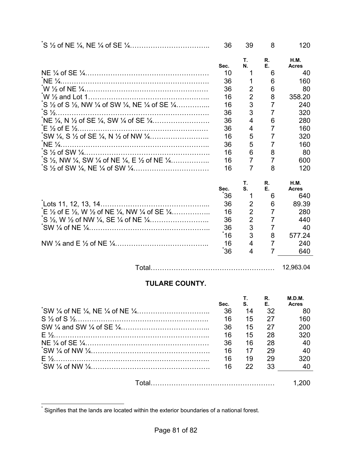|                                                                                                                          | 36   | 39             | 8                   | 120                         |
|--------------------------------------------------------------------------------------------------------------------------|------|----------------|---------------------|-----------------------------|
|                                                                                                                          | Sec. | Τ.<br>N.       | R.<br>Е.            | <b>H.M.</b><br><b>Acres</b> |
|                                                                                                                          | 10   |                | 6                   | 40                          |
|                                                                                                                          | 36   |                | 6                   | 160                         |
|                                                                                                                          | 36   | $\overline{2}$ | 6                   | 80                          |
|                                                                                                                          | 16   | $\overline{2}$ | 8                   | 358.20                      |
| $\zeta$ S $\frac{1}{2}$ of S $\frac{1}{2}$ , NW $\frac{1}{4}$ of SW $\frac{1}{4}$ , NE $\frac{1}{4}$ of SE $\frac{1}{4}$ | 16   | 3              | 7                   | 240                         |
|                                                                                                                          | 36   | 3              | $\overline{7}$      | 320                         |
|                                                                                                                          | 36   | 4              | 6                   | 280                         |
|                                                                                                                          | 36   | 4              | 7                   | 160                         |
|                                                                                                                          | 16   | 5              | 7                   | 320                         |
|                                                                                                                          | 36   | 5              | 7                   | 160                         |
|                                                                                                                          | 16   | 6              | 8                   | 80                          |
| $\zeta$ S $\frac{1}{2}$ , NW $\frac{1}{4}$ , SW $\frac{1}{4}$ of NE $\frac{1}{4}$ , E $\frac{1}{2}$ of NE $\frac{1}{4}$  | 16   | 7              | 7                   | 600                         |
|                                                                                                                          | 16   | 7              | 8                   | 120                         |
|                                                                                                                          |      | Т.             | R.                  | <b>H.M.</b>                 |
|                                                                                                                          | Sec. | S.             | Е.                  | <b>Acres</b>                |
|                                                                                                                          | 36   | 1              | 6                   | 640                         |
|                                                                                                                          | 36   | 2              | 6                   | 89.39                       |
| $E \frac{1}{2}$ of E $\frac{1}{2}$ , W $\frac{1}{2}$ of NE $\frac{1}{4}$ , NW $\frac{1}{4}$ of SE $\frac{1}{4}$          | 16   | $\overline{2}$ | $\overline{7}$      | 280                         |
|                                                                                                                          | 36   | $\overline{2}$ | $\overline{7}$      | 440                         |
|                                                                                                                          | 36   | 3              | 7                   | 40                          |
|                                                                                                                          | ້16  | 3              | 8                   | 577.24                      |
|                                                                                                                          | 16   | 4              | 7<br>$\overline{7}$ | 240                         |
|                                                                                                                          | 36   | 4              |                     | 640                         |
|                                                                                                                          |      |                |                     |                             |

Total……………………………………………… 12,963.04

# **TULARE COUNTY.**

| Sec. | $S_{\cdot}$ F. | R. | M.D.M.<br><b>Acres</b> |
|------|----------------|----|------------------------|
| 36   | 14             | 32 | 80                     |
| 16   | 15             | 27 | 160                    |
| 36   | 15             | 27 | 200                    |
| 16   | 15             | 28 | 320                    |
| 36   | 16             | 28 | 40                     |
| 16   | 17             | 29 | 40                     |
| 16   | 19             | 29 | 320                    |
| 16   | 22             | 33 | 40                     |
|      |                |    |                        |

 \* Signifies that the lands are located within the exterior boundaries of a national forest.